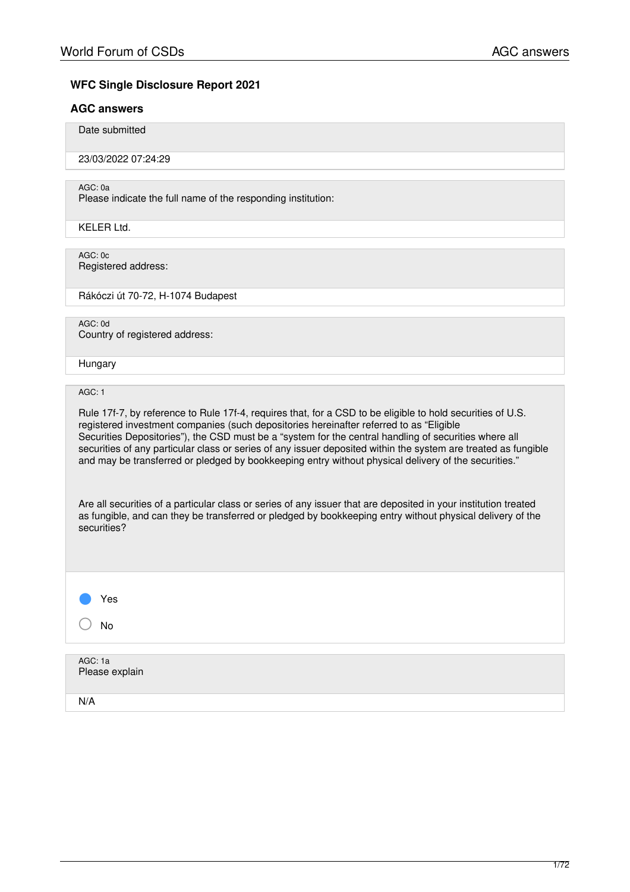# **WFC Single Disclosure Report 2021**

# **AGC answers**

Date submitted

23/03/2022 07:24:29

AGC: 0a

Please indicate the full name of the responding institution:

KELER Ltd.

AGC: 0c Registered address:

Rákóczi út 70-72, H-1074 Budapest

AGC: 0d

Country of registered address:

Hungary

AGC: 1

Rule 17f-7, by reference to Rule 17f-4, requires that, for a CSD to be eligible to hold securities of U.S. registered investment companies (such depositories hereinafter referred to as "Eligible Securities Depositories"), the CSD must be a "system for the central handling of securities where all securities of any particular class or series of any issuer deposited within the system are treated as fungible and may be transferred or pledged by bookkeeping entry without physical delivery of the securities."

Are all securities of a particular class or series of any issuer that are deposited in your institution treated as fungible, and can they be transferred or pledged by bookkeeping entry without physical delivery of the securities?

Yes ○ No

AGC: 1a Please explain N/A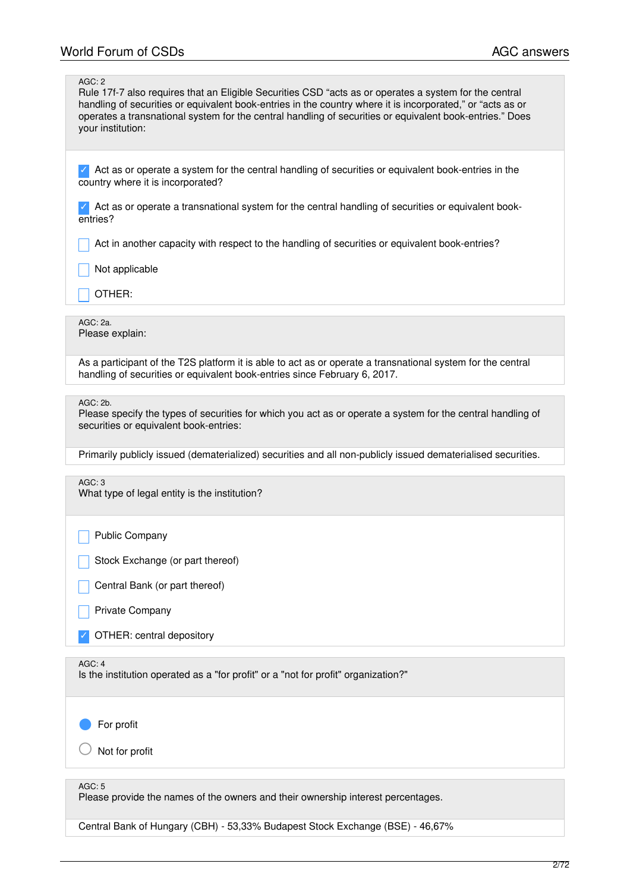| AGC: 2<br>Rule 17f-7 also requires that an Eligible Securities CSD "acts as or operates a system for the central<br>handling of securities or equivalent book-entries in the country where it is incorporated," or "acts as or<br>operates a transnational system for the central handling of securities or equivalent book-entries." Does<br>your institution: |
|-----------------------------------------------------------------------------------------------------------------------------------------------------------------------------------------------------------------------------------------------------------------------------------------------------------------------------------------------------------------|
| Act as or operate a system for the central handling of securities or equivalent book-entries in the<br>country where it is incorporated?                                                                                                                                                                                                                        |
| Act as or operate a transnational system for the central handling of securities or equivalent book-<br>entries?                                                                                                                                                                                                                                                 |
| Act in another capacity with respect to the handling of securities or equivalent book-entries?                                                                                                                                                                                                                                                                  |
| Not applicable                                                                                                                                                                                                                                                                                                                                                  |
| OTHER:                                                                                                                                                                                                                                                                                                                                                          |
| AGC: 2a.<br>Please explain:                                                                                                                                                                                                                                                                                                                                     |
| As a participant of the T2S platform it is able to act as or operate a transnational system for the central<br>handling of securities or equivalent book-entries since February 6, 2017.                                                                                                                                                                        |
| AGC: 2b.<br>Please specify the types of securities for which you act as or operate a system for the central handling of<br>securities or equivalent book-entries:                                                                                                                                                                                               |
| Primarily publicly issued (dematerialized) securities and all non-publicly issued dematerialised securities.                                                                                                                                                                                                                                                    |
| AGC:3<br>What type of legal entity is the institution?                                                                                                                                                                                                                                                                                                          |
| <b>Public Company</b>                                                                                                                                                                                                                                                                                                                                           |
| Stock Exchange (or part thereof)                                                                                                                                                                                                                                                                                                                                |
| Central Bank (or part thereof)                                                                                                                                                                                                                                                                                                                                  |
| Private Company                                                                                                                                                                                                                                                                                                                                                 |
| OTHER: central depository                                                                                                                                                                                                                                                                                                                                       |
| AGC: 4<br>Is the institution operated as a "for profit" or a "not for profit" organization?"                                                                                                                                                                                                                                                                    |
| For profit                                                                                                                                                                                                                                                                                                                                                      |
| Not for profit                                                                                                                                                                                                                                                                                                                                                  |
| AGC: 5<br>Please provide the names of the owners and their ownership interest percentages.                                                                                                                                                                                                                                                                      |

Central Bank of Hungary (CBH) - 53,33% Budapest Stock Exchange (BSE) - 46,67%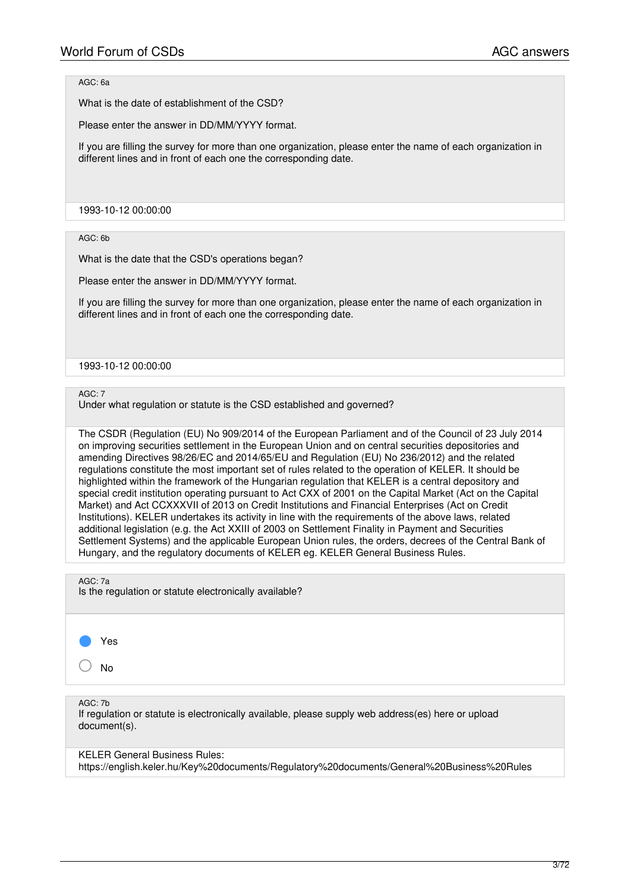# AGC: 6a

What is the date of establishment of the CSD?

Please enter the answer in DD/MM/YYYY format.

If you are filling the survey for more than one organization, please enter the name of each organization in different lines and in front of each one the corresponding date.

1993-10-12 00:00:00

### AGC: 6b

What is the date that the CSD's operations began?

Please enter the answer in DD/MM/YYYY format.

If you are filling the survey for more than one organization, please enter the name of each organization in different lines and in front of each one the corresponding date.

#### 1993-10-12 00:00:00

# AGC: 7

Under what regulation or statute is the CSD established and governed?

The CSDR (Regulation (EU) No 909/2014 of the European Parliament and of the Council of 23 July 2014 on improving securities settlement in the European Union and on central securities depositories and amending Directives 98/26/EC and 2014/65/EU and Regulation (EU) No 236/2012) and the related regulations constitute the most important set of rules related to the operation of KELER. It should be highlighted within the framework of the Hungarian regulation that KELER is a central depository and special credit institution operating pursuant to Act CXX of 2001 on the Capital Market (Act on the Capital Market) and Act CCXXXVII of 2013 on Credit Institutions and Financial Enterprises (Act on Credit Institutions). KELER undertakes its activity in line with the requirements of the above laws, related additional legislation (e.g. the Act XXIII of 2003 on Settlement Finality in Payment and Securities Settlement Systems) and the applicable European Union rules, the orders, decrees of the Central Bank of Hungary, and the regulatory documents of KELER eg. KELER General Business Rules.

AGC: 7a

Is the regulation or statute electronically available?



○ No

AGC: 7b

If regulation or statute is electronically available, please supply web address(es) here or upload document(s).

KELER General Business Rules:

https://english.keler.hu/Key%20documents/Regulatory%20documents/General%20Business%20Rules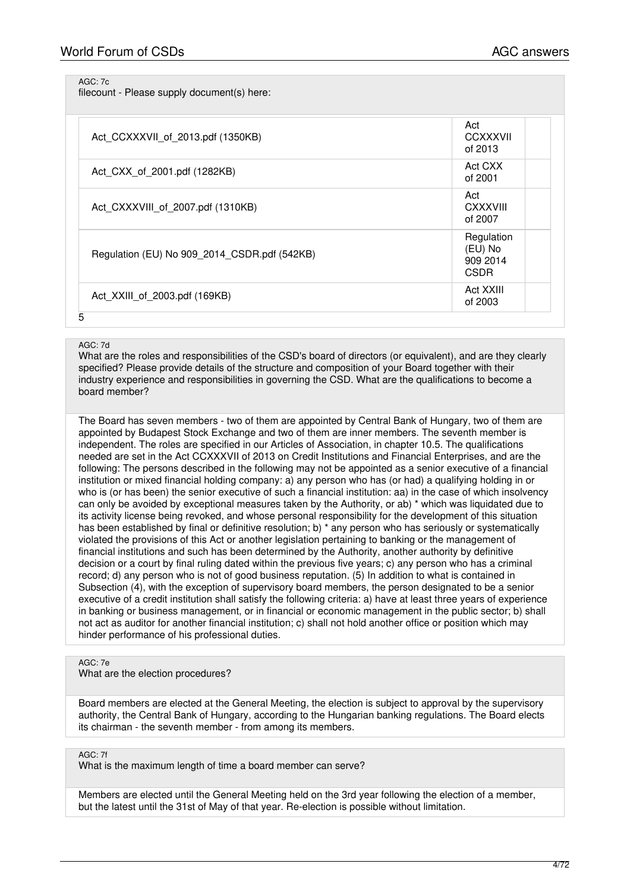AGC: 7c

filecount - Please supply document(s) here:

| Act_CCXXXVII_of_2013.pdf (1350KB)            | Act<br>CCXXXVII<br>of 2013                       |
|----------------------------------------------|--------------------------------------------------|
| Act_CXX_of_2001.pdf (1282KB)                 | Act CXX<br>of 2001                               |
| Act CXXXVIII of 2007.pdf (1310KB)            | Act<br>CXXXVIII<br>of 2007                       |
| Regulation (EU) No 909_2014_CSDR.pdf (542KB) | Regulation<br>(EU) No<br>909 2014<br><b>CSDR</b> |
| Act XXIII of 2003.pdf (169KB)                | Act XXIII<br>of 2003                             |

### AGC: 7d

What are the roles and responsibilities of the CSD's board of directors (or equivalent), and are they clearly specified? Please provide details of the structure and composition of your Board together with their industry experience and responsibilities in governing the CSD. What are the qualifications to become a board member?

The Board has seven members - two of them are appointed by Central Bank of Hungary, two of them are appointed by Budapest Stock Exchange and two of them are inner members. The seventh member is independent. The roles are specified in our Articles of Association, in chapter 10.5. The qualifications needed are set in the Act CCXXXVII of 2013 on Credit Institutions and Financial Enterprises, and are the following: The persons described in the following may not be appointed as a senior executive of a financial institution or mixed financial holding company: a) any person who has (or had) a qualifying holding in or who is (or has been) the senior executive of such a financial institution: aa) in the case of which insolvency can only be avoided by exceptional measures taken by the Authority, or ab) \* which was liquidated due to its activity license being revoked, and whose personal responsibility for the development of this situation has been established by final or definitive resolution; b) \* any person who has seriously or systematically violated the provisions of this Act or another legislation pertaining to banking or the management of financial institutions and such has been determined by the Authority, another authority by definitive decision or a court by final ruling dated within the previous five years; c) any person who has a criminal record; d) any person who is not of good business reputation. (5) In addition to what is contained in Subsection (4), with the exception of supervisory board members, the person designated to be a senior executive of a credit institution shall satisfy the following criteria: a) have at least three years of experience in banking or business management, or in financial or economic management in the public sector; b) shall not act as auditor for another financial institution; c) shall not hold another office or position which may hinder performance of his professional duties.

### AGC: 7e

What are the election procedures?

Board members are elected at the General Meeting, the election is subject to approval by the supervisory authority, the Central Bank of Hungary, according to the Hungarian banking regulations. The Board elects its chairman - the seventh member - from among its members.

### AGC: 7f

What is the maximum length of time a board member can serve?

Members are elected until the General Meeting held on the 3rd year following the election of a member, but the latest until the 31st of May of that year. Re-election is possible without limitation.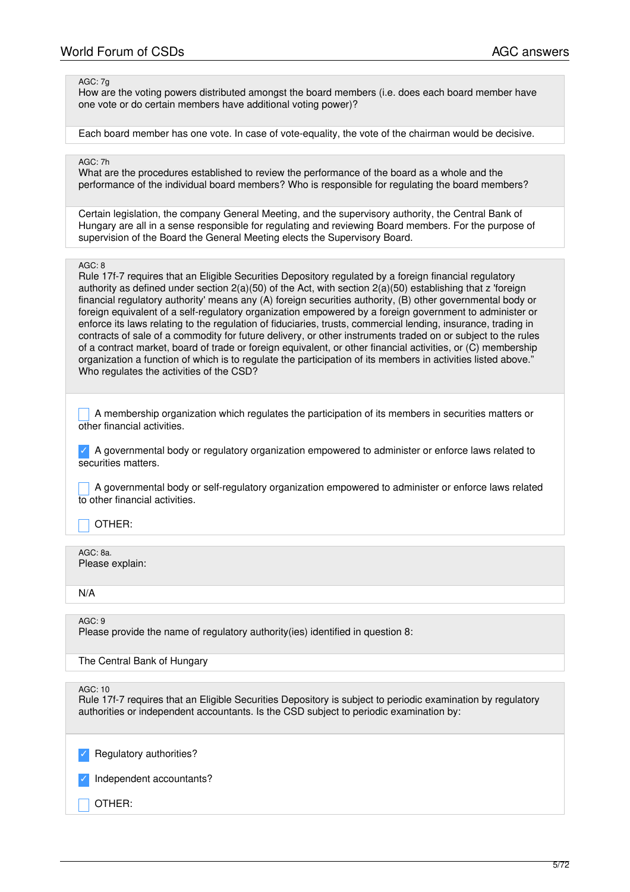### AGC: 7g

How are the voting powers distributed amongst the board members (i.e. does each board member have one vote or do certain members have additional voting power)?

Each board member has one vote. In case of vote-equality, the vote of the chairman would be decisive.

### AGC: 7h

What are the procedures established to review the performance of the board as a whole and the performance of the individual board members? Who is responsible for regulating the board members?

Certain legislation, the company General Meeting, and the supervisory authority, the Central Bank of Hungary are all in a sense responsible for regulating and reviewing Board members. For the purpose of supervision of the Board the General Meeting elects the Supervisory Board.

### AGC: 8

Rule 17f-7 requires that an Eligible Securities Depository regulated by a foreign financial regulatory authority as defined under section 2(a)(50) of the Act, with section 2(a)(50) establishing that z 'foreign financial regulatory authority' means any (A) foreign securities authority, (B) other governmental body or foreign equivalent of a self-regulatory organization empowered by a foreign government to administer or enforce its laws relating to the regulation of fiduciaries, trusts, commercial lending, insurance, trading in contracts of sale of a commodity for future delivery, or other instruments traded on or subject to the rules of a contract market, board of trade or foreign equivalent, or other financial activities, or (C) membership organization a function of which is to regulate the participation of its members in activities listed above." Who regulates the activities of the CSD?

A membership organization which regulates the participation of its members in securities matters or other financial activities.

✓ A governmental body or regulatory organization empowered to administer or enforce laws related to securities matters.

\_ A governmental body or self-regulatory organization empowered to administer or enforce laws related to other financial activities.

### \_ OTHER:

AGC: 8a. Please explain:

N/A

AGC: 9

Please provide the name of regulatory authority(ies) identified in question 8:

The Central Bank of Hungary

 $AGC: 10$ 

Rule 17f-7 requires that an Eligible Securities Depository is subject to periodic examination by regulatory authorities or independent accountants. Is the CSD subject to periodic examination by:

Regulatory authorities?

Independent accountants?

# \_ OTHER: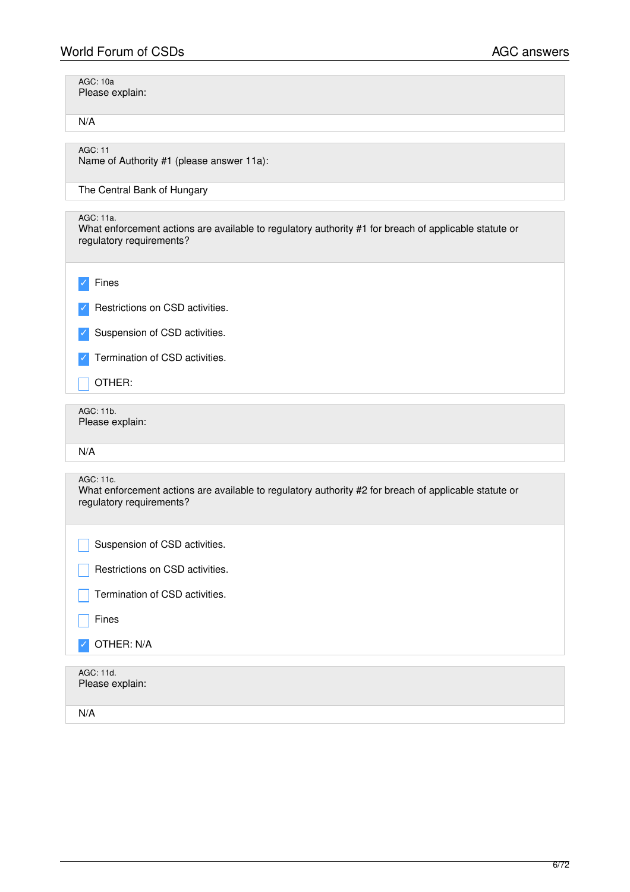| <b>AGC: 10a</b><br>Please explain:                                                                                                             |
|------------------------------------------------------------------------------------------------------------------------------------------------|
| N/A                                                                                                                                            |
| <b>AGC: 11</b><br>Name of Authority #1 (please answer 11a):                                                                                    |
| The Central Bank of Hungary                                                                                                                    |
| AGC: 11a.<br>What enforcement actions are available to regulatory authority #1 for breach of applicable statute or<br>regulatory requirements? |
| Fines                                                                                                                                          |
| Restrictions on CSD activities.                                                                                                                |
| Suspension of CSD activities.                                                                                                                  |
| Termination of CSD activities.                                                                                                                 |
| OTHER:                                                                                                                                         |
| AGC: 11b.<br>Please explain:                                                                                                                   |
| N/A                                                                                                                                            |
|                                                                                                                                                |
| AGC: 11c.<br>What enforcement actions are available to regulatory authority #2 for breach of applicable statute or<br>regulatory requirements? |
| Suspension of CSD activities                                                                                                                   |
| Restrictions on CSD activities.                                                                                                                |
| Termination of CSD activities.                                                                                                                 |
| Fines                                                                                                                                          |
| OTHER: N/A                                                                                                                                     |

N/A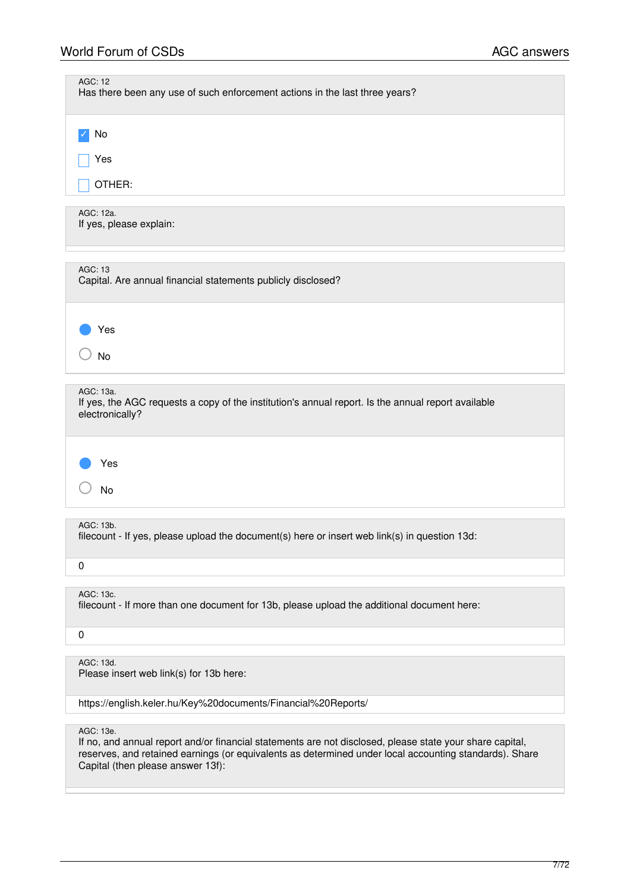| <b>AGC: 12</b><br>Has there been any use of such enforcement actions in the last three years?                                      |  |
|------------------------------------------------------------------------------------------------------------------------------------|--|
| No                                                                                                                                 |  |
| Yes                                                                                                                                |  |
| OTHER:                                                                                                                             |  |
| AGC: 12a.<br>If yes, please explain:                                                                                               |  |
| <b>AGC: 13</b><br>Capital. Are annual financial statements publicly disclosed?                                                     |  |
| Yes                                                                                                                                |  |
| <b>No</b>                                                                                                                          |  |
| AGC: 13a.<br>If yes, the AGC requests a copy of the institution's annual report. Is the annual report available<br>electronically? |  |
| Yes<br>No                                                                                                                          |  |
| AGC: 13b.<br>filecount - If yes, please upload the document(s) here or insert web link(s) in question 13d:                         |  |
| 0                                                                                                                                  |  |
| AGC: 13c.<br>filecount - If more than one document for 13b, please upload the additional document here:                            |  |
| $\pmb{0}$                                                                                                                          |  |
| AGC: 13d.<br>Please insert web link(s) for 13b here:                                                                               |  |
| https://english.keler.hu/Key%20documents/Financial%20Reports/                                                                      |  |

AGC: 13e.

If no, and annual report and/or financial statements are not disclosed, please state your share capital, reserves, and retained earnings (or equivalents as determined under local accounting standards). Share Capital (then please answer 13f):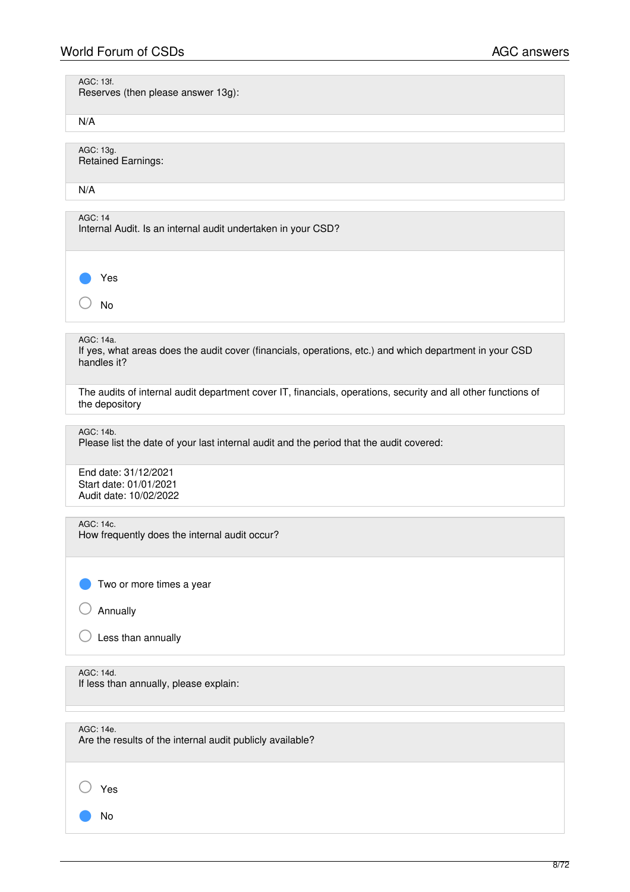| <b>World Forum of CSDs</b>                                                                                                          | <b>AGC answers</b> |
|-------------------------------------------------------------------------------------------------------------------------------------|--------------------|
| AGC: 13f.<br>Reserves (then please answer 13g):                                                                                     |                    |
| N/A                                                                                                                                 |                    |
| AGC: 13g.<br><b>Retained Earnings:</b>                                                                                              |                    |
| N/A                                                                                                                                 |                    |
| AGC: 14<br>Internal Audit. Is an internal audit undertaken in your CSD?                                                             |                    |
| Yes                                                                                                                                 |                    |
| No                                                                                                                                  |                    |
| AGC: 14a.<br>If yes, what areas does the audit cover (financials, operations, etc.) and which department in your CSD<br>handles it? |                    |
| The audits of internal audit department cover IT, financials, operations, security and all other functions of<br>the depository     |                    |
| AGC: 14b.<br>Please list the date of your last internal audit and the period that the audit covered:                                |                    |
| End date: 31/12/2021<br>Start date: 01/01/2021<br>Audit date: 10/02/2022                                                            |                    |
| AGC: 14c.<br>How frequently does the internal audit occur?                                                                          |                    |
| Two or more times a year                                                                                                            |                    |
| Annually                                                                                                                            |                    |
| Less than annually                                                                                                                  |                    |
| AGC: 14d.<br>If less than annually, please explain:                                                                                 |                    |
| AGC: 14e.<br>Are the results of the internal audit publicly available?                                                              |                    |

○ Yes

● No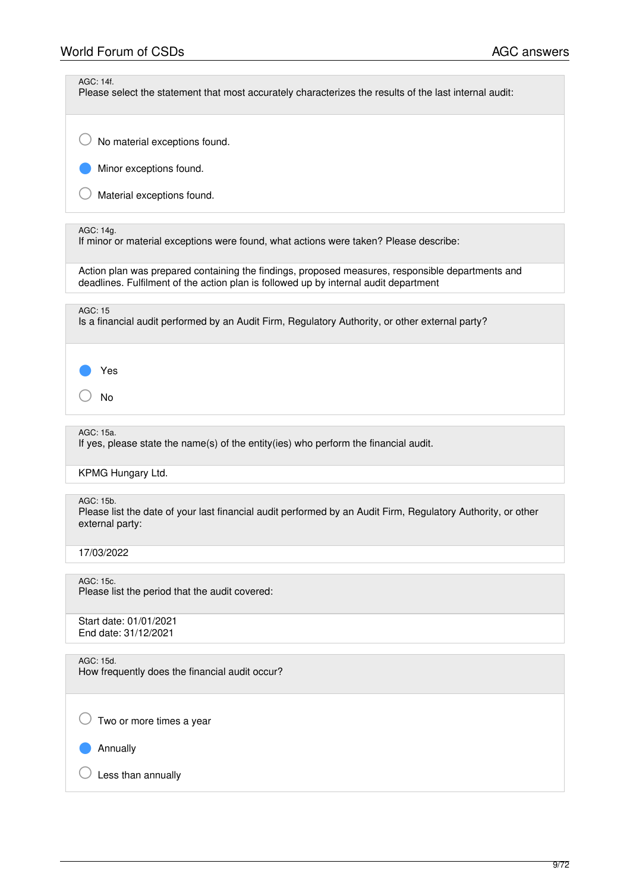AGC: 14f.

Please select the statement that most accurately characterizes the results of the last internal audit:

 $\bigcirc$  No material exceptions found.

Minor exceptions found.

 $\bigcirc$  Material exceptions found.

### AGC: 14g.

If minor or material exceptions were found, what actions were taken? Please describe:

Action plan was prepared containing the findings, proposed measures, responsible departments and deadlines. Fulfilment of the action plan is followed up by internal audit department

# AGC: 15

Is a financial audit performed by an Audit Firm, Regulatory Authority, or other external party?

Yes

○ No

### AGC: 15a.

If yes, please state the name(s) of the entity(ies) who perform the financial audit.

# KPMG Hungary Ltd.

### AGC: 15b.

Please list the date of your last financial audit performed by an Audit Firm, Regulatory Authority, or other external party:

### 17/03/2022

AGC: 15c. Please list the period that the audit covered:

Start date: 01/01/2021 End date: 31/12/2021

# AGC: 15d.

How frequently does the financial audit occur?

 $\bigcirc$  Two or more times a year

Annually

 $\bigcirc$  Less than annually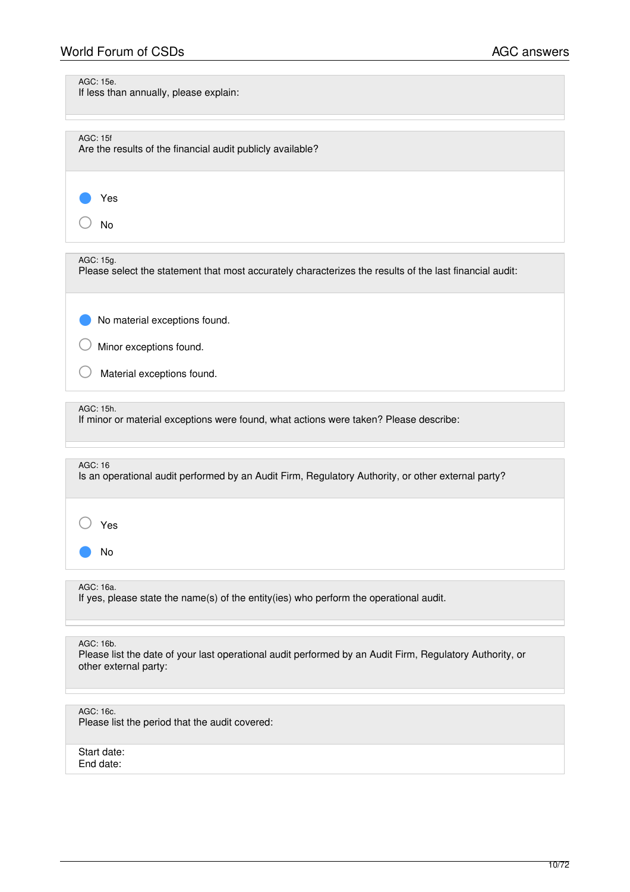# World Forum of CSDs **AGC** answers

AGC: 15e.

If less than annually, please explain:

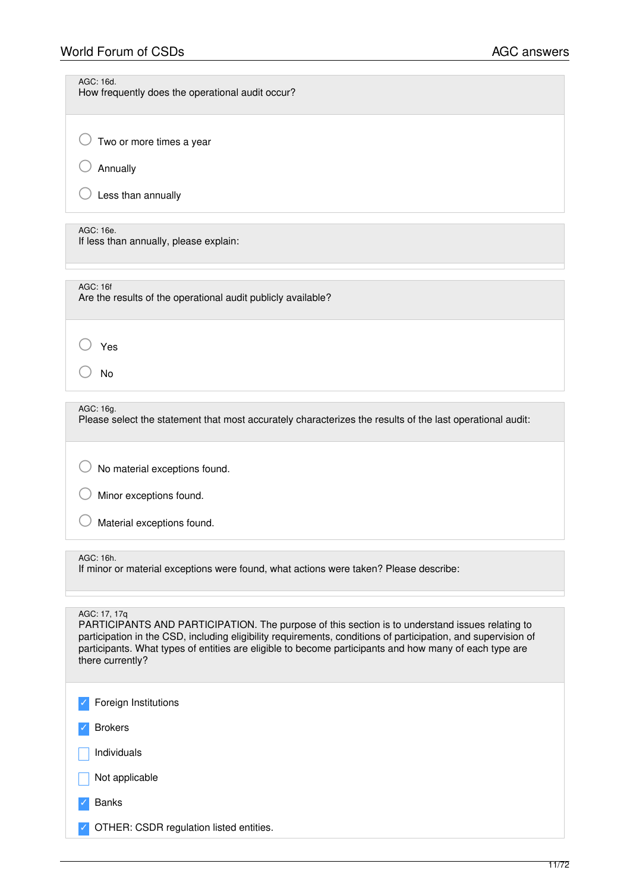| <b>World Forum of CSDs</b>                                                                                             | <b>AGC answers</b> |
|------------------------------------------------------------------------------------------------------------------------|--------------------|
| AGC: 16d.<br>How frequently does the operational audit occur?                                                          |                    |
| Two or more times a year                                                                                               |                    |
| Annually                                                                                                               |                    |
| Less than annually                                                                                                     |                    |
| AGC: 16e.<br>If less than annually, please explain:                                                                    |                    |
| <b>AGC: 16f</b><br>Are the results of the operational audit publicly available?                                        |                    |
| Yes                                                                                                                    |                    |
| <b>No</b>                                                                                                              |                    |
| AGC: 16g.<br>Please select the statement that most accurately characterizes the results of the last operational audit: |                    |
| No material exceptions found.                                                                                          |                    |

○ Minor exceptions found.

Material exceptions found.

# AGC: 16h.

If minor or material exceptions were found, what actions were taken? Please describe:

### AGC: 17, 17q

PARTICIPANTS AND PARTICIPATION. The purpose of this section is to understand issues relating to participation in the CSD, including eligibility requirements, conditions of participation, and supervision of participants. What types of entities are eligible to become participants and how many of each type are there currently?

| $\sqrt{\phantom{a}}$ Foreign Institutions |  |
|-------------------------------------------|--|
| $\sqrt{\phantom{a}}$ Brokers              |  |
| $\vert$   Individuals                     |  |

Not applicable

**Banks** 

✓ OTHER: CSDR regulation listed entities.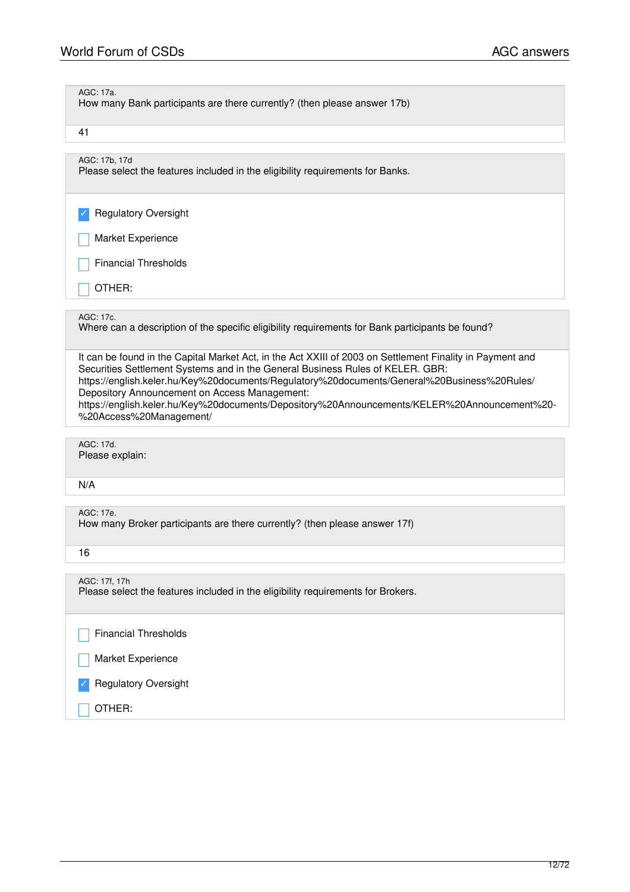| AGC: 17a.<br>How many Bank participants are there currently? (then please answer 17b)                                                                                                                                                                                                                                                                                                                                                                                  |
|------------------------------------------------------------------------------------------------------------------------------------------------------------------------------------------------------------------------------------------------------------------------------------------------------------------------------------------------------------------------------------------------------------------------------------------------------------------------|
| 41                                                                                                                                                                                                                                                                                                                                                                                                                                                                     |
| AGC: 17b, 17d<br>Please select the features included in the eligibility requirements for Banks.                                                                                                                                                                                                                                                                                                                                                                        |
| <b>Regulatory Oversight</b>                                                                                                                                                                                                                                                                                                                                                                                                                                            |
| Market Experience                                                                                                                                                                                                                                                                                                                                                                                                                                                      |
| <b>Financial Thresholds</b>                                                                                                                                                                                                                                                                                                                                                                                                                                            |
| OTHER:                                                                                                                                                                                                                                                                                                                                                                                                                                                                 |
| AGC: 17c.<br>Where can a description of the specific eligibility requirements for Bank participants be found?                                                                                                                                                                                                                                                                                                                                                          |
| It can be found in the Capital Market Act, in the Act XXIII of 2003 on Settlement Finality in Payment and<br>Securities Settlement Systems and in the General Business Rules of KELER. GBR:<br>https://english.keler.hu/Key%20documents/Regulatory%20documents/General%20Business%20Rules/<br>Depository Announcement on Access Management:<br>https://english.keler.hu/Key%20documents/Depository%20Announcements/KELER%20Announcement%20-<br>%20Access%20Management/ |
| AGC: 17d.<br>Please explain:                                                                                                                                                                                                                                                                                                                                                                                                                                           |
| N/A                                                                                                                                                                                                                                                                                                                                                                                                                                                                    |
| AGC: 17e.<br>How many Broker participants are there currently? (then please answer 17f)                                                                                                                                                                                                                                                                                                                                                                                |
| 16                                                                                                                                                                                                                                                                                                                                                                                                                                                                     |
| AGC: 17f, 17h<br>Please select the features included in the eligibility requirements for Brokers.                                                                                                                                                                                                                                                                                                                                                                      |
| <b>Financial Thresholds</b>                                                                                                                                                                                                                                                                                                                                                                                                                                            |
| Market Experience                                                                                                                                                                                                                                                                                                                                                                                                                                                      |
| <b>Regulatory Oversight</b>                                                                                                                                                                                                                                                                                                                                                                                                                                            |
| OTHER:                                                                                                                                                                                                                                                                                                                                                                                                                                                                 |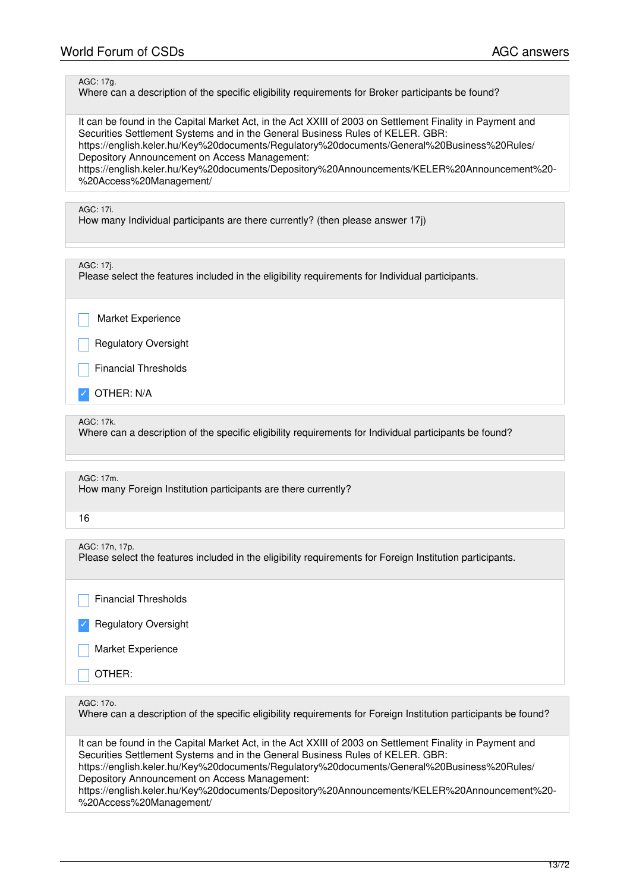### AGC: 17g.

Where can a description of the specific eligibility requirements for Broker participants be found?

It can be found in the Capital Market Act, in the Act XXIII of 2003 on Settlement Finality in Payment and Securities Settlement Systems and in the General Business Rules of KELER. GBR: https://english.keler.hu/Key%20documents/Regulatory%20documents/General%20Business%20Rules/ Depository Announcement on Access Management:

https://english.keler.hu/Key%20documents/Depository%20Announcements/KELER%20Announcement%20- %20Access%20Management/

### AGC: 17i.

How many Individual participants are there currently? (then please answer 17j)

### AGC: 17j.

Please select the features included in the eligibility requirements for Individual participants.

Market Experience

Regulatory Oversight

Financial Thresholds

OTHER: N/A

### AGC: 17k.

Where can a description of the specific eligibility requirements for Individual participants be found?

| AGC: 17m.<br>How many Foreign Institution participants are there currently?                                                                                                                                                                                                                                                                 |
|---------------------------------------------------------------------------------------------------------------------------------------------------------------------------------------------------------------------------------------------------------------------------------------------------------------------------------------------|
| 16                                                                                                                                                                                                                                                                                                                                          |
|                                                                                                                                                                                                                                                                                                                                             |
| AGC: 17n, 17p.<br>Please select the features included in the eligibility requirements for Foreign Institution participants.                                                                                                                                                                                                                 |
| <b>Financial Thresholds</b>                                                                                                                                                                                                                                                                                                                 |
| <b>Regulatory Oversight</b>                                                                                                                                                                                                                                                                                                                 |
| Market Experience                                                                                                                                                                                                                                                                                                                           |
| OTHER:                                                                                                                                                                                                                                                                                                                                      |
|                                                                                                                                                                                                                                                                                                                                             |
| AGC: 17o.<br>Where can a description of the specific eligibility requirements for Foreign Institution participants be found?                                                                                                                                                                                                                |
| It can be found in the Capital Market Act, in the Act XXIII of 2003 on Settlement Finality in Payment and<br>Securities Settlement Systems and in the General Business Rules of KELER. GBR:<br>https://english.keler.hu/Key%20documents/Regulatory%20documents/General%20Business%20Rules/<br>Depository Announcement on Access Management: |

https://english.keler.hu/Key%20documents/Depository%20Announcements/KELER%20Announcement%20- %20Access%20Management/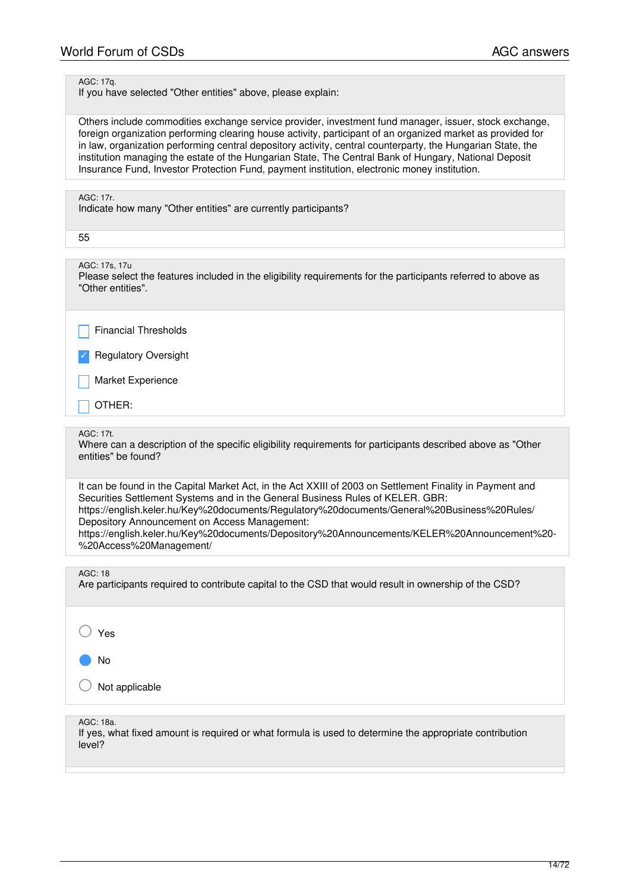### AGC: 17q.

If you have selected "Other entities" above, please explain:

Others include commodities exchange service provider, investment fund manager, issuer, stock exchange, foreign organization performing clearing house activity, participant of an organized market as provided for in law, organization performing central depository activity, central counterparty, the Hungarian State, the institution managing the estate of the Hungarian State, The Central Bank of Hungary, National Deposit Insurance Fund, Investor Protection Fund, payment institution, electronic money institution.

### AGC: 17r.

Indicate how many "Other entities" are currently participants?

55

AGC: 17s, 17u

Please select the features included in the eligibility requirements for the participants referred to above as "Other entities".

Financial Thresholds

**Regulatory Oversight** 

Market Experience

\_ OTHER:

### AGC: 17t.

Where can a description of the specific eligibility requirements for participants described above as "Other entities" be found?

It can be found in the Capital Market Act, in the Act XXIII of 2003 on Settlement Finality in Payment and Securities Settlement Systems and in the General Business Rules of KELER. GBR: https://english.keler.hu/Key%20documents/Regulatory%20documents/General%20Business%20Rules/ Depository Announcement on Access Management: https://english.keler.hu/Key%20documents/Depository%20Announcements/KELER%20Announcement%20- %20Access%20Management/

AGC: 18

Are participants required to contribute capital to the CSD that would result in ownership of the CSD?

Yes

● No

Not applicable

AGC: 18a.

If yes, what fixed amount is required or what formula is used to determine the appropriate contribution level?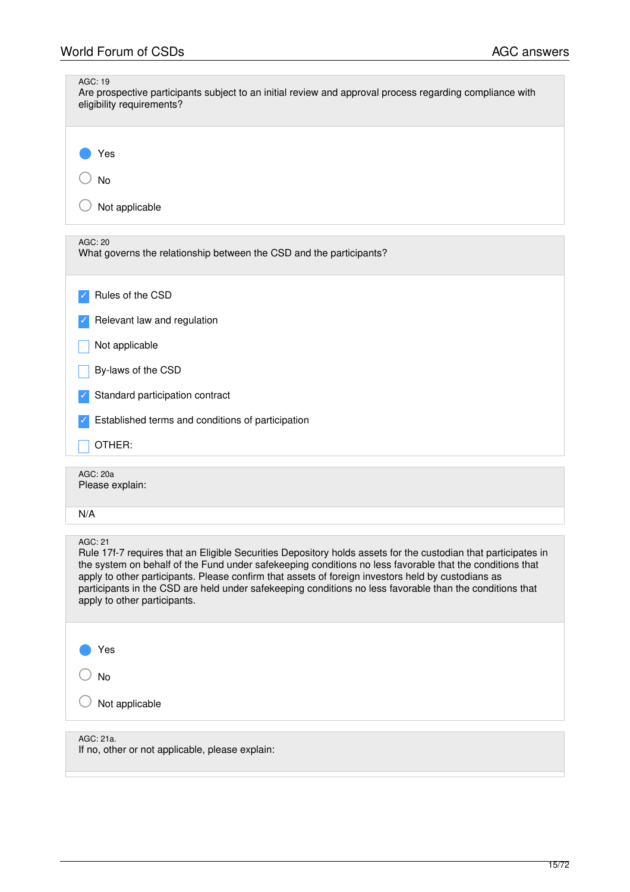| <b>AGC: 19</b><br>Are prospective participants subject to an initial review and approval process regarding compliance with<br>eligibility requirements?                                                                                                                                                                                                                                                                                                                                 |
|-----------------------------------------------------------------------------------------------------------------------------------------------------------------------------------------------------------------------------------------------------------------------------------------------------------------------------------------------------------------------------------------------------------------------------------------------------------------------------------------|
| Yes<br>No<br>Not applicable                                                                                                                                                                                                                                                                                                                                                                                                                                                             |
|                                                                                                                                                                                                                                                                                                                                                                                                                                                                                         |
| AGC: 20<br>What governs the relationship between the CSD and the participants?                                                                                                                                                                                                                                                                                                                                                                                                          |
| Rules of the CSD                                                                                                                                                                                                                                                                                                                                                                                                                                                                        |
| Relevant law and regulation                                                                                                                                                                                                                                                                                                                                                                                                                                                             |
| Not applicable                                                                                                                                                                                                                                                                                                                                                                                                                                                                          |
| By-laws of the CSD                                                                                                                                                                                                                                                                                                                                                                                                                                                                      |
| Standard participation contract                                                                                                                                                                                                                                                                                                                                                                                                                                                         |
| Established terms and conditions of participation                                                                                                                                                                                                                                                                                                                                                                                                                                       |
| OTHER:                                                                                                                                                                                                                                                                                                                                                                                                                                                                                  |
| AGC: 20a<br>Please explain:                                                                                                                                                                                                                                                                                                                                                                                                                                                             |
| N/A                                                                                                                                                                                                                                                                                                                                                                                                                                                                                     |
| AGC: 21<br>Rule 17f-7 requires that an Eligible Securities Depository holds assets for the custodian that participates in<br>the system on behalf of the Fund under safekeeping conditions no less favorable that the conditions that<br>apply to other participants. Please confirm that assets of foreign investors held by custodians as<br>participants in the CSD are held under safekeeping conditions no less favorable than the conditions that<br>apply to other participants. |
| Yes                                                                                                                                                                                                                                                                                                                                                                                                                                                                                     |
| No                                                                                                                                                                                                                                                                                                                                                                                                                                                                                      |
| Not applicable                                                                                                                                                                                                                                                                                                                                                                                                                                                                          |
| AGC: 21a.<br>If no, other or not applicable, please explain:                                                                                                                                                                                                                                                                                                                                                                                                                            |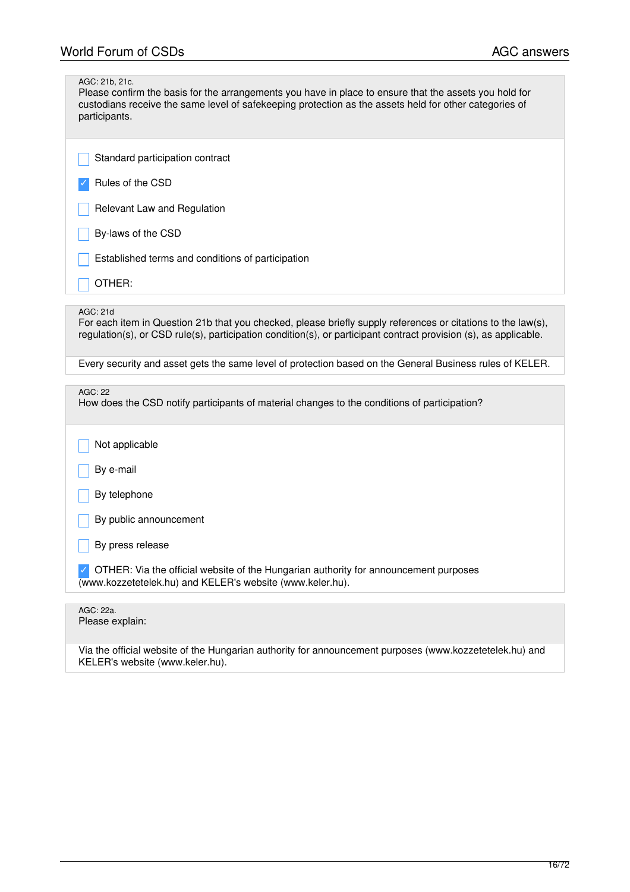| AGC: 21b, 21c.<br>Please confirm the basis for the arrangements you have in place to ensure that the assets you hold for<br>custodians receive the same level of safekeeping protection as the assets held for other categories of<br>participants. |
|-----------------------------------------------------------------------------------------------------------------------------------------------------------------------------------------------------------------------------------------------------|
| Standard participation contract                                                                                                                                                                                                                     |
| Rules of the CSD                                                                                                                                                                                                                                    |
| Relevant Law and Regulation                                                                                                                                                                                                                         |
| By-laws of the CSD                                                                                                                                                                                                                                  |
| Established terms and conditions of participation                                                                                                                                                                                                   |
| OTHER:                                                                                                                                                                                                                                              |
|                                                                                                                                                                                                                                                     |
| AGC: 21d<br>For each item in Question 21b that you checked, please briefly supply references or citations to the law(s),<br>regulation(s), or CSD rule(s), participation condition(s), or participant contract provision (s), as applicable.        |
| Every security and asset gets the same level of protection based on the General Business rules of KELER.                                                                                                                                            |
|                                                                                                                                                                                                                                                     |
| <b>AGC: 22</b><br>How does the CSD notify participants of material changes to the conditions of participation?                                                                                                                                      |
| Not applicable                                                                                                                                                                                                                                      |
| By e-mail                                                                                                                                                                                                                                           |
| By telephone                                                                                                                                                                                                                                        |
| By public announcement                                                                                                                                                                                                                              |
| By press release                                                                                                                                                                                                                                    |
| OTHER: Via the official website of the Hungarian authority for announcement purposes<br>(www.kozzetetelek.hu) and KELER's website (www.keler.hu).                                                                                                   |
|                                                                                                                                                                                                                                                     |
| AGC: 22a.<br>Please explain:                                                                                                                                                                                                                        |
| Via the official website of the Hungarian authority for announcement purposes (www.kozzetetelek.hu) and<br>KELER's website (www.keler.hu).                                                                                                          |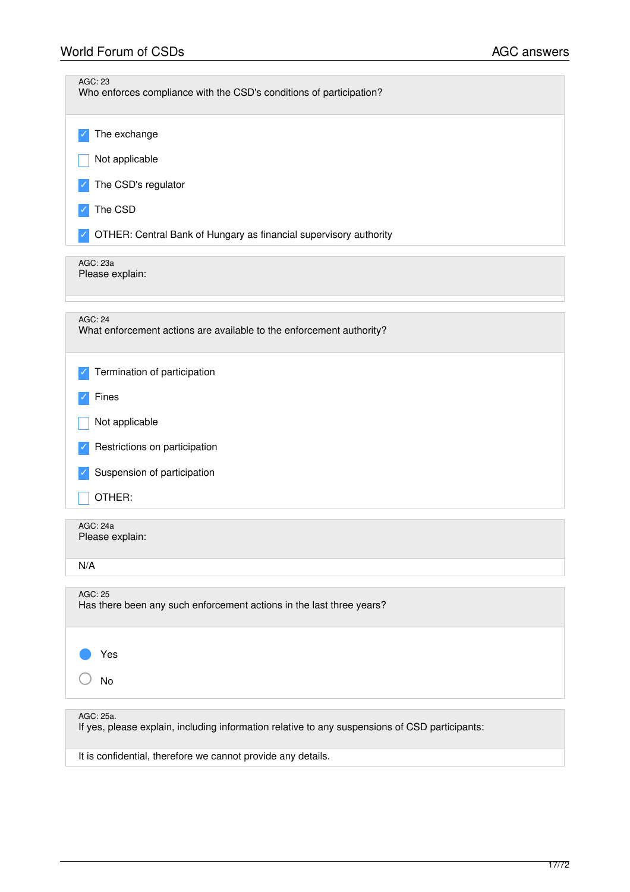| <b>AGC: 23</b><br>Who enforces compliance with the CSD's conditions of participation?                       |
|-------------------------------------------------------------------------------------------------------------|
| The exchange                                                                                                |
| Not applicable                                                                                              |
| The CSD's regulator                                                                                         |
| The CSD                                                                                                     |
| OTHER: Central Bank of Hungary as financial supervisory authority                                           |
| AGC: 23a<br>Please explain:                                                                                 |
| <b>AGC: 24</b><br>What enforcement actions are available to the enforcement authority?                      |
| Termination of participation                                                                                |
| Fines                                                                                                       |
| Not applicable                                                                                              |
| Restrictions on participation                                                                               |
| Suspension of participation                                                                                 |
| OTHER:                                                                                                      |
| AGC: 24a<br>Please explain:                                                                                 |
| N/A                                                                                                         |
| AGC: 25<br>Has there been any such enforcement actions in the last three years?                             |
| Yes                                                                                                         |
| No                                                                                                          |
| AGC: 25a.<br>If yes, please explain, including information relative to any suspensions of CSD participants: |
| It is confidential, therefore we cannot provide any details.                                                |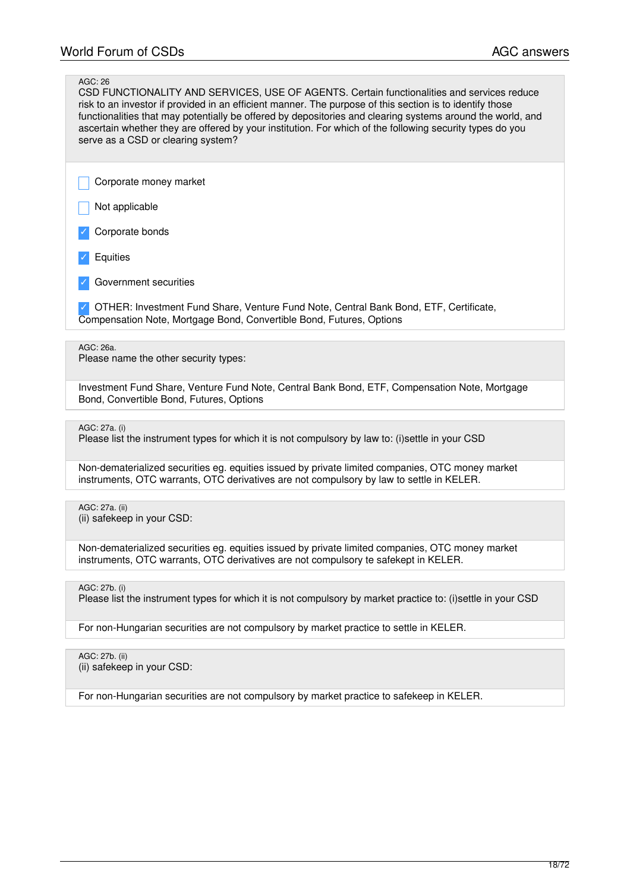# AGC: 26

CSD FUNCTIONALITY AND SERVICES, USE OF AGENTS. Certain functionalities and services reduce risk to an investor if provided in an efficient manner. The purpose of this section is to identify those functionalities that may potentially be offered by depositories and clearing systems around the world, and ascertain whether they are offered by your institution. For which of the following security types do you serve as a CSD or clearing system?

\_ Corporate money market

Not applicable

Corporate bonds

- **Equities**
- Government securities

✓ OTHER: Investment Fund Share, Venture Fund Note, Central Bank Bond, ETF, Certificate, Compensation Note, Mortgage Bond, Convertible Bond, Futures, Options

AGC: 26a.

Please name the other security types:

Investment Fund Share, Venture Fund Note, Central Bank Bond, ETF, Compensation Note, Mortgage Bond, Convertible Bond, Futures, Options

AGC: 27a. (i)

Please list the instrument types for which it is not compulsory by law to: (i)settle in your CSD

Non-dematerialized securities eg. equities issued by private limited companies, OTC money market instruments, OTC warrants, OTC derivatives are not compulsory by law to settle in KELER.

AGC: 27a. (ii) (ii) safekeep in your CSD:

Non-dematerialized securities eg. equities issued by private limited companies, OTC money market instruments, OTC warrants, OTC derivatives are not compulsory te safekept in KELER.

AGC: 27b. (i)

Please list the instrument types for which it is not compulsory by market practice to: (i)settle in your CSD

For non-Hungarian securities are not compulsory by market practice to settle in KELER.

AGC: 27b. (ii) (ii) safekeep in your CSD:

For non-Hungarian securities are not compulsory by market practice to safekeep in KELER.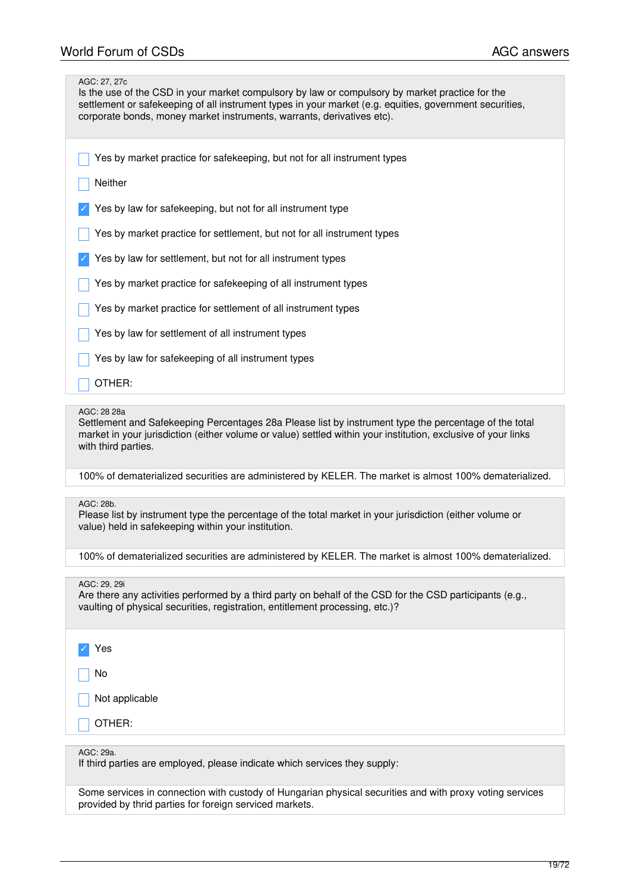| AGC: 27, 27c<br>Is the use of the CSD in your market compulsory by law or compulsory by market practice for the<br>settlement or safekeeping of all instrument types in your market (e.g. equities, government securities,<br>corporate bonds, money market instruments, warrants, derivatives etc). |
|------------------------------------------------------------------------------------------------------------------------------------------------------------------------------------------------------------------------------------------------------------------------------------------------------|
| Yes by market practice for safekeeping, but not for all instrument types                                                                                                                                                                                                                             |
| Neither                                                                                                                                                                                                                                                                                              |
| Yes by law for safekeeping, but not for all instrument type                                                                                                                                                                                                                                          |
| Yes by market practice for settlement, but not for all instrument types                                                                                                                                                                                                                              |
| Yes by law for settlement, but not for all instrument types                                                                                                                                                                                                                                          |
| Yes by market practice for safekeeping of all instrument types                                                                                                                                                                                                                                       |
| Yes by market practice for settlement of all instrument types                                                                                                                                                                                                                                        |
| Yes by law for settlement of all instrument types                                                                                                                                                                                                                                                    |
| Yes by law for safekeeping of all instrument types                                                                                                                                                                                                                                                   |
| OTHER:                                                                                                                                                                                                                                                                                               |
|                                                                                                                                                                                                                                                                                                      |
|                                                                                                                                                                                                                                                                                                      |
| AGC: 28 28a<br>Settlement and Safekeeping Percentages 28a Please list by instrument type the percentage of the total<br>market in your jurisdiction (either volume or value) settled within your institution, exclusive of your links<br>with third parties.                                         |
| 100% of dematerialized securities are administered by KELER. The market is almost 100% dematerialized.                                                                                                                                                                                               |
| AGC: 28b.<br>Please list by instrument type the percentage of the total market in your jurisdiction (either volume or<br>value) held in safekeeping within your institution.                                                                                                                         |
| 100% of dematerialized securities are administered by KELER. The market is almost 100% dematerialized.                                                                                                                                                                                               |
|                                                                                                                                                                                                                                                                                                      |
| AGC: 29, 29i<br>Are there any activities performed by a third party on behalf of the CSD for the CSD participants (e.g.,<br>vaulting of physical securities, registration, entitlement processing, etc.)?                                                                                            |
| Yes                                                                                                                                                                                                                                                                                                  |
| No                                                                                                                                                                                                                                                                                                   |
| Not applicable                                                                                                                                                                                                                                                                                       |
| OTHER:                                                                                                                                                                                                                                                                                               |

AGC: 29a.

If third parties are employed, please indicate which services they supply:

Some services in connection with custody of Hungarian physical securities and with proxy voting services provided by thrid parties for foreign serviced markets.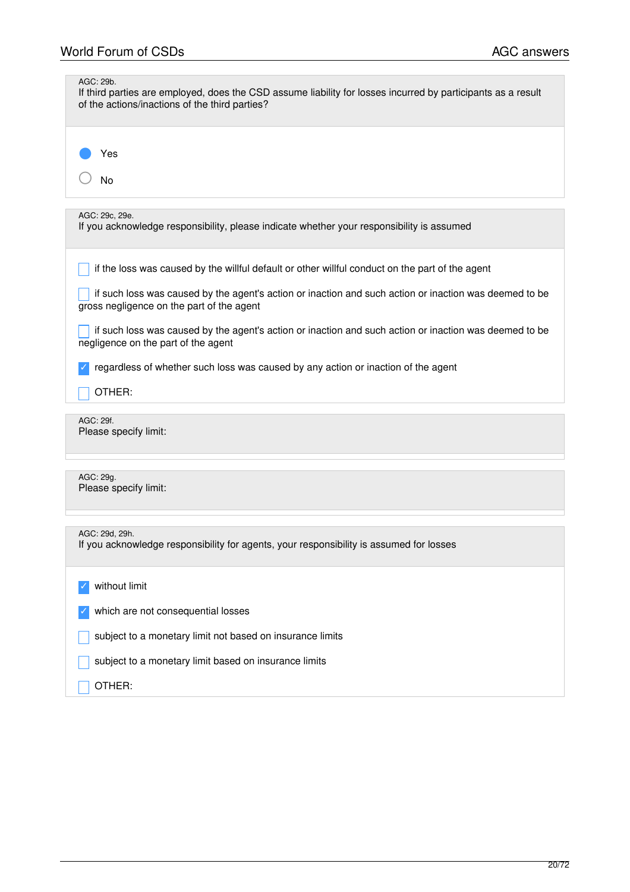| AGC: 29b.<br>If third parties are employed, does the CSD assume liability for losses incurred by participants as a result<br>of the actions/inactions of the third parties? |
|-----------------------------------------------------------------------------------------------------------------------------------------------------------------------------|
| Yes<br>No                                                                                                                                                                   |
| AGC: 29c, 29e.<br>If you acknowledge responsibility, please indicate whether your responsibility is assumed                                                                 |
| if the loss was caused by the willful default or other willful conduct on the part of the agent                                                                             |
| if such loss was caused by the agent's action or inaction and such action or inaction was deemed to be<br>gross negligence on the part of the agent                         |
| if such loss was caused by the agent's action or inaction and such action or inaction was deemed to be<br>negligence on the part of the agent                               |
| regardless of whether such loss was caused by any action or inaction of the agent                                                                                           |
| OTHER:                                                                                                                                                                      |
| AGC: 29f.<br>Please specify limit:                                                                                                                                          |
| AGC: 29g.<br>Please specify limit:                                                                                                                                          |
| AGC: 29d, 29h.<br>If you acknowledge responsibility for agents, your responsibility is assumed for losses                                                                   |
| without limit                                                                                                                                                               |
| which are not consequential losses                                                                                                                                          |
| subject to a monetary limit not based on insurance limits                                                                                                                   |
| subject to a monetary limit based on insurance limits                                                                                                                       |
| OTHER:                                                                                                                                                                      |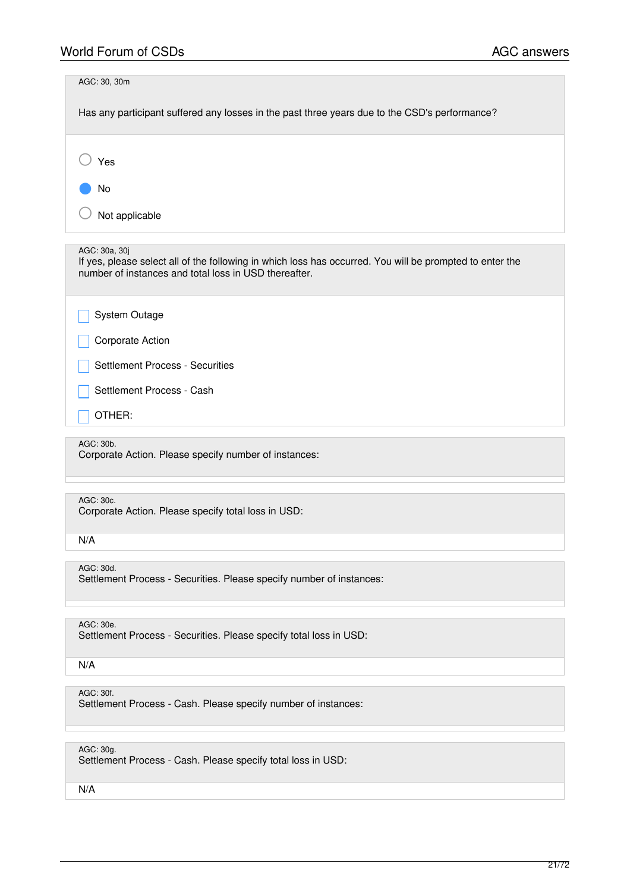| AGC: 30, 30m<br>Has any participant suffered any losses in the past three years due to the CSD's performance?                                                                      |
|------------------------------------------------------------------------------------------------------------------------------------------------------------------------------------|
| Yes                                                                                                                                                                                |
| No<br>Not applicable                                                                                                                                                               |
| AGC: 30a, 30j<br>If yes, please select all of the following in which loss has occurred. You will be prompted to enter the<br>number of instances and total loss in USD thereafter. |
| System Outage                                                                                                                                                                      |
| Corporate Action                                                                                                                                                                   |
| Settlement Process - Securities                                                                                                                                                    |
| Settlement Process - Cash                                                                                                                                                          |
| OTHER:                                                                                                                                                                             |
| AGC: 30b.<br>Corporate Action. Please specify number of instances:                                                                                                                 |
|                                                                                                                                                                                    |
| AGC: 30c.<br>Corporate Action. Please specify total loss in USD:                                                                                                                   |
| N/A                                                                                                                                                                                |
| AGC: 30d.<br>Settlement Process - Securities. Please specify number of instances:                                                                                                  |
|                                                                                                                                                                                    |
| AGC: 30e.<br>Settlement Process - Securities. Please specify total loss in USD:                                                                                                    |
| N/A                                                                                                                                                                                |
| AGC: 30f.<br>Settlement Process - Cash. Please specify number of instances:                                                                                                        |
|                                                                                                                                                                                    |
| AGC: 30g.<br>Settlement Process - Cash. Please specify total loss in USD:                                                                                                          |
| N/A                                                                                                                                                                                |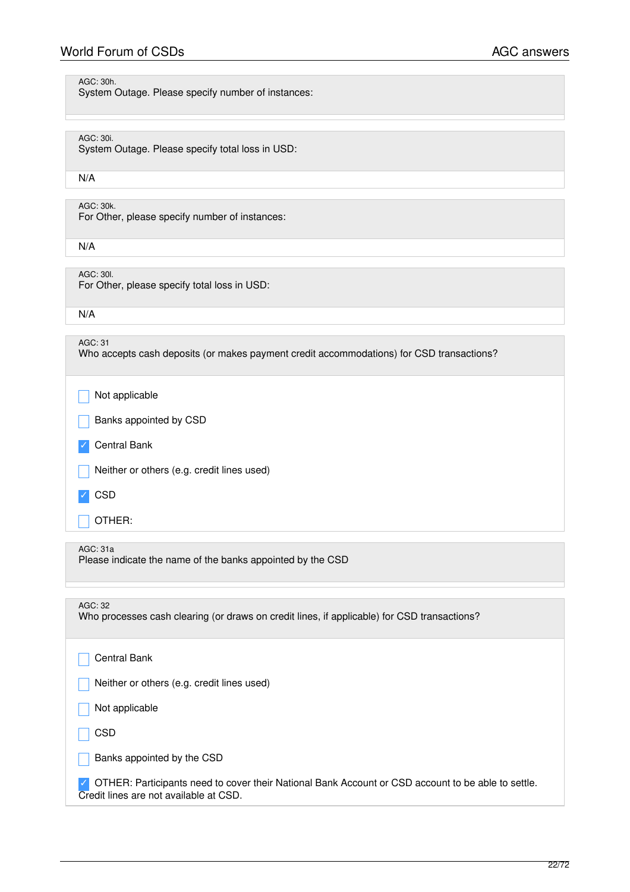# World Forum of CSDs **AGC** answers

System Outage. Please specify number of instances:

# AGC: 30i.

System Outage. Please specify total loss in USD:

### N/A

AGC: 30k.

For Other, please specify number of instances:

N/A

AGC: 30l. For Other, please specify total loss in USD:

N/A

| AGC:31                                                                                   |
|------------------------------------------------------------------------------------------|
| Who accepts cash deposits (or makes payment credit accommodations) for CSD transactions? |
|                                                                                          |
|                                                                                          |

Not applicable

Banks appointed by CSD

✓ Central Bank

Neither or others (e.g. credit lines used)

✓ CSD

\_ OTHER:

AGC: 31a

Please indicate the name of the banks appointed by the CSD

| AGC: 32<br>Who processes cash clearing (or draws on credit lines, if applicable) for CSD transactions?                                       |
|----------------------------------------------------------------------------------------------------------------------------------------------|
| <b>Central Bank</b>                                                                                                                          |
| Neither or others (e.g. credit lines used)                                                                                                   |
| Not applicable                                                                                                                               |
| <b>CSD</b>                                                                                                                                   |
| Banks appointed by the CSD                                                                                                                   |
| OTHER: Participants need to cover their National Bank Account or CSD account to be able to settle.<br>Credit lines are not available at CSD. |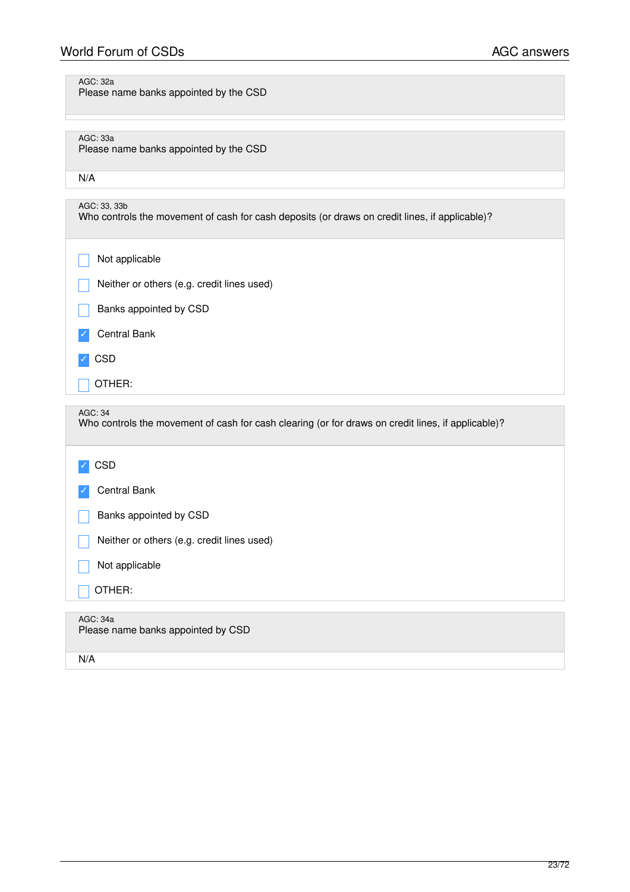# World Forum of CSDs **AGC** answers

# AGC: 32a

Please name banks appointed by the CSD

# AGC: 33a

Please name banks appointed by the CSD

|--|

| AGC: 33, 33b<br>Who controls the movement of cash for cash deposits (or draws on credit lines, if applicable)? |
|----------------------------------------------------------------------------------------------------------------|
| Not applicable                                                                                                 |
| Neither or others (e.g. credit lines used)                                                                     |
| Banks appointed by CSD                                                                                         |
| Central Bank                                                                                                   |
| <b>CSD</b>                                                                                                     |
| OTHER:                                                                                                         |
|                                                                                                                |

### AGC: 34

| AGC: 34<br>Who controls the movement of cash for cash clearing (or for draws on credit lines, if applicable)? |
|---------------------------------------------------------------------------------------------------------------|
| <b>CSD</b>                                                                                                    |
| Central Bank                                                                                                  |
| Banks appointed by CSD                                                                                        |
| Neither or others (e.g. credit lines used)                                                                    |
| Not applicable                                                                                                |
| OTHER:                                                                                                        |
|                                                                                                               |
| AGC: 34a<br>Please name banks appointed by CSD                                                                |
| N/A                                                                                                           |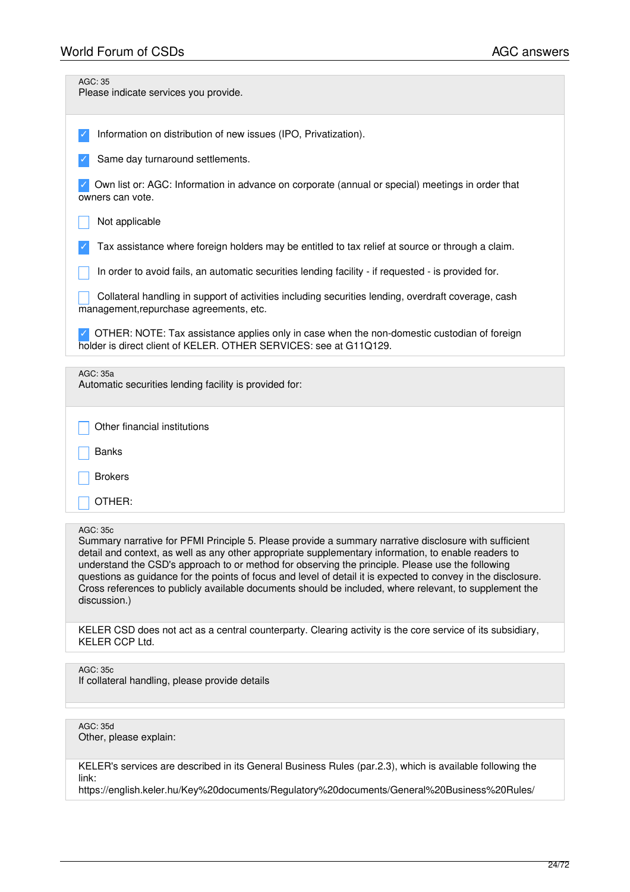| AGC: 35<br>Please indicate services you provide.                                                                                                                                                                                                                                                                                                                                                                                                                                                                                                                                |
|---------------------------------------------------------------------------------------------------------------------------------------------------------------------------------------------------------------------------------------------------------------------------------------------------------------------------------------------------------------------------------------------------------------------------------------------------------------------------------------------------------------------------------------------------------------------------------|
| Information on distribution of new issues (IPO, Privatization).                                                                                                                                                                                                                                                                                                                                                                                                                                                                                                                 |
| Same day turnaround settlements.                                                                                                                                                                                                                                                                                                                                                                                                                                                                                                                                                |
| Own list or: AGC: Information in advance on corporate (annual or special) meetings in order that<br>owners can vote.                                                                                                                                                                                                                                                                                                                                                                                                                                                            |
| Not applicable                                                                                                                                                                                                                                                                                                                                                                                                                                                                                                                                                                  |
| Tax assistance where foreign holders may be entitled to tax relief at source or through a claim.                                                                                                                                                                                                                                                                                                                                                                                                                                                                                |
| In order to avoid fails, an automatic securities lending facility - if requested - is provided for.                                                                                                                                                                                                                                                                                                                                                                                                                                                                             |
| Collateral handling in support of activities including securities lending, overdraft coverage, cash<br>management, repurchase agreements, etc.                                                                                                                                                                                                                                                                                                                                                                                                                                  |
| OTHER: NOTE: Tax assistance applies only in case when the non-domestic custodian of foreign<br>holder is direct client of KELER. OTHER SERVICES: see at G11Q129.                                                                                                                                                                                                                                                                                                                                                                                                                |
| AGC: 35a<br>Automatic securities lending facility is provided for:                                                                                                                                                                                                                                                                                                                                                                                                                                                                                                              |
|                                                                                                                                                                                                                                                                                                                                                                                                                                                                                                                                                                                 |
| Other financial institutions                                                                                                                                                                                                                                                                                                                                                                                                                                                                                                                                                    |
| <b>Banks</b>                                                                                                                                                                                                                                                                                                                                                                                                                                                                                                                                                                    |
| <b>Brokers</b>                                                                                                                                                                                                                                                                                                                                                                                                                                                                                                                                                                  |
| OTHER:                                                                                                                                                                                                                                                                                                                                                                                                                                                                                                                                                                          |
| <b>AGC: 35c</b><br>Summary narrative for PFMI Principle 5. Please provide a summary narrative disclosure with sufficient<br>detail and context, as well as any other appropriate supplementary information, to enable readers to<br>understand the CSD's approach to or method for observing the principle. Please use the following<br>questions as guidance for the points of focus and level of detail it is expected to convey in the disclosure.<br>Cross references to publicly available documents should be included, where relevant, to supplement the<br>discussion.) |
| KELER CSD does not act as a central counterparty. Clearing activity is the core service of its subsidiary,<br>KELER CCP Ltd.                                                                                                                                                                                                                                                                                                                                                                                                                                                    |
| AGC: 35c                                                                                                                                                                                                                                                                                                                                                                                                                                                                                                                                                                        |
| If collateral handling, please provide details                                                                                                                                                                                                                                                                                                                                                                                                                                                                                                                                  |
|                                                                                                                                                                                                                                                                                                                                                                                                                                                                                                                                                                                 |
| AGC: 35d<br>Other, please explain:                                                                                                                                                                                                                                                                                                                                                                                                                                                                                                                                              |
| KELER's services are described in its General Business Rules (par.2.3), which is available following the                                                                                                                                                                                                                                                                                                                                                                                                                                                                        |

link:

https://english.keler.hu/Key%20documents/Regulatory%20documents/General%20Business%20Rules/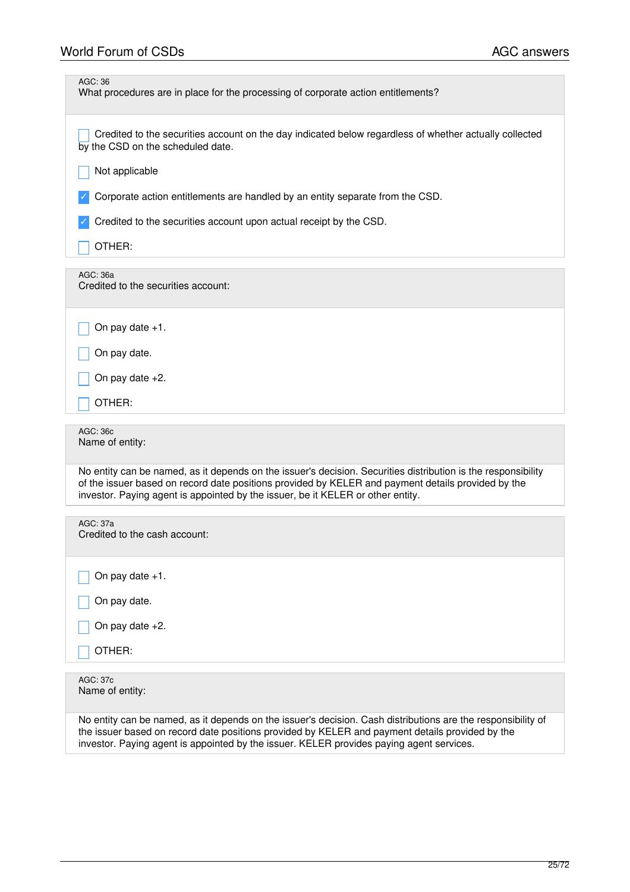| AGC: 36<br>What procedures are in place for the processing of corporate action entitlements?                                                                                                                        |
|---------------------------------------------------------------------------------------------------------------------------------------------------------------------------------------------------------------------|
| Credited to the securities account on the day indicated below regardless of whether actually collected<br>by the CSD on the scheduled date.                                                                         |
| Not applicable                                                                                                                                                                                                      |
| Corporate action entitlements are handled by an entity separate from the CSD.                                                                                                                                       |
| Credited to the securities account upon actual receipt by the CSD.                                                                                                                                                  |
| OTHER:                                                                                                                                                                                                              |
| AGC: 36a<br>Credited to the securities account:                                                                                                                                                                     |
| On pay date $+1$ .                                                                                                                                                                                                  |
| On pay date.                                                                                                                                                                                                        |
| On pay date $+2$ .                                                                                                                                                                                                  |
| OTHER:                                                                                                                                                                                                              |
| AGC: 36c<br>Name of entity:                                                                                                                                                                                         |
| No entity can be named, as it depends on the issuer's decision. Securities distribution is the responsibility<br>of the issuer based on record date positions provided by KELER and payment details provided by the |
| investor. Paying agent is appointed by the issuer, be it KELER or other entity.                                                                                                                                     |
| <b>AGC: 37a</b>                                                                                                                                                                                                     |
| Credited to the cash account:                                                                                                                                                                                       |
| On pay date +1.                                                                                                                                                                                                     |
| On pay date.                                                                                                                                                                                                        |
| On pay date $+2$ .                                                                                                                                                                                                  |
| OTHER:                                                                                                                                                                                                              |
| AGC: 37c<br>Name of entity:                                                                                                                                                                                         |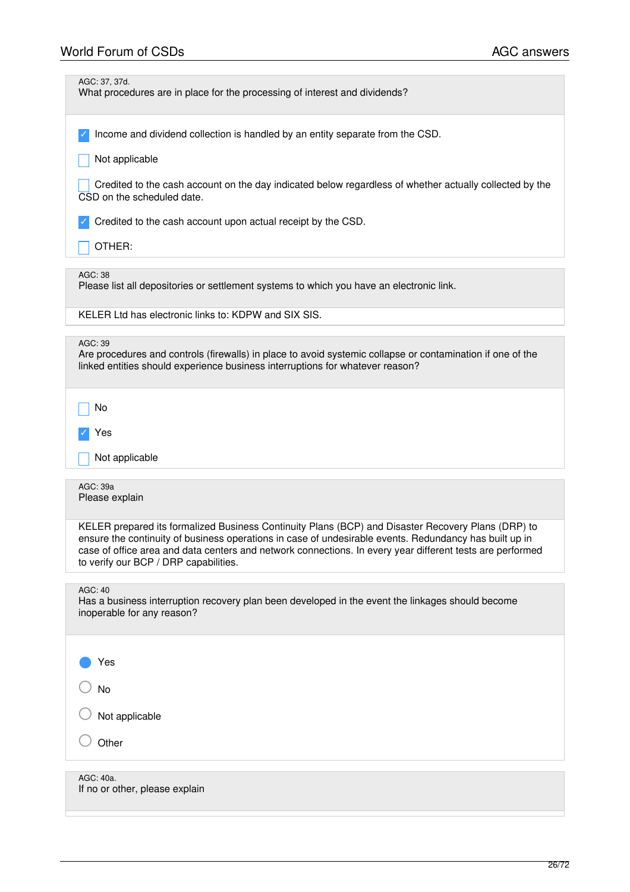| AGC: 37, 37d.<br>What procedures are in place for the processing of interest and dividends?                                                                                                                                                                                                                                                                        |
|--------------------------------------------------------------------------------------------------------------------------------------------------------------------------------------------------------------------------------------------------------------------------------------------------------------------------------------------------------------------|
| Income and dividend collection is handled by an entity separate from the CSD.<br>Not applicable                                                                                                                                                                                                                                                                    |
| Credited to the cash account on the day indicated below regardless of whether actually collected by the<br>CSD on the scheduled date.                                                                                                                                                                                                                              |
| Credited to the cash account upon actual receipt by the CSD.<br>OTHER:                                                                                                                                                                                                                                                                                             |
|                                                                                                                                                                                                                                                                                                                                                                    |
| AGC: 38<br>Please list all depositories or settlement systems to which you have an electronic link.                                                                                                                                                                                                                                                                |
| KELER Ltd has electronic links to: KDPW and SIX SIS.                                                                                                                                                                                                                                                                                                               |
| AGC: 39<br>Are procedures and controls (firewalls) in place to avoid systemic collapse or contamination if one of the<br>linked entities should experience business interruptions for whatever reason?                                                                                                                                                             |
| No                                                                                                                                                                                                                                                                                                                                                                 |
| Yes                                                                                                                                                                                                                                                                                                                                                                |
| Not applicable                                                                                                                                                                                                                                                                                                                                                     |
| AGC: 39a<br>Please explain                                                                                                                                                                                                                                                                                                                                         |
| KELER prepared its formalized Business Continuity Plans (BCP) and Disaster Recovery Plans (DRP) to<br>ensure the continuity of business operations in case of undesirable events. Redundancy has built up in<br>case of office area and data centers and network connections. In every year different tests are performed<br>to verify our BCP / DRP capabilities. |
| <b>AGC: 40</b><br>Has a business interruption recovery plan been developed in the event the linkages should become<br>inoperable for any reason?                                                                                                                                                                                                                   |
| Yes                                                                                                                                                                                                                                                                                                                                                                |
| No                                                                                                                                                                                                                                                                                                                                                                 |
| Not applicable                                                                                                                                                                                                                                                                                                                                                     |
| Other                                                                                                                                                                                                                                                                                                                                                              |
| AGC: 40a.<br>If no or other, please explain                                                                                                                                                                                                                                                                                                                        |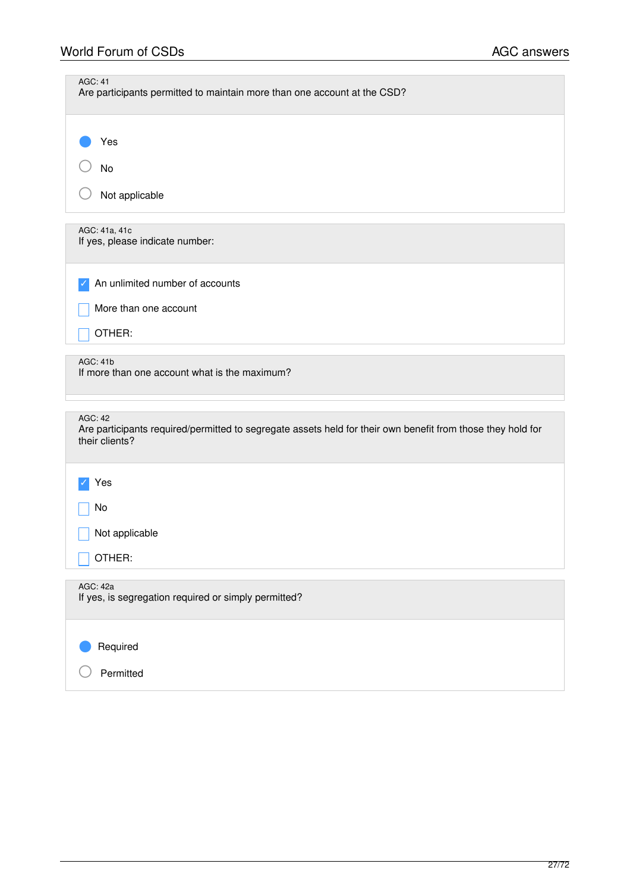| <b>AGC: 41</b><br>Are participants permitted to maintain more than one account at the CSD?                                                      |
|-------------------------------------------------------------------------------------------------------------------------------------------------|
| Yes                                                                                                                                             |
| No                                                                                                                                              |
| Not applicable                                                                                                                                  |
| AGC: 41a, 41c<br>If yes, please indicate number:                                                                                                |
| An unlimited number of accounts                                                                                                                 |
| More than one account                                                                                                                           |
| OTHER:                                                                                                                                          |
| <b>AGC: 41b</b><br>If more than one account what is the maximum?                                                                                |
| <b>AGC: 42</b><br>Are participants required/permitted to segregate assets held for their own benefit from those they hold for<br>their clients? |
| Yes                                                                                                                                             |
| No                                                                                                                                              |
| Not applicable                                                                                                                                  |
| OTHER:                                                                                                                                          |
| AGC: 42a<br>If yes, is segregation required or simply permitted?                                                                                |
| Required                                                                                                                                        |
| Permitted                                                                                                                                       |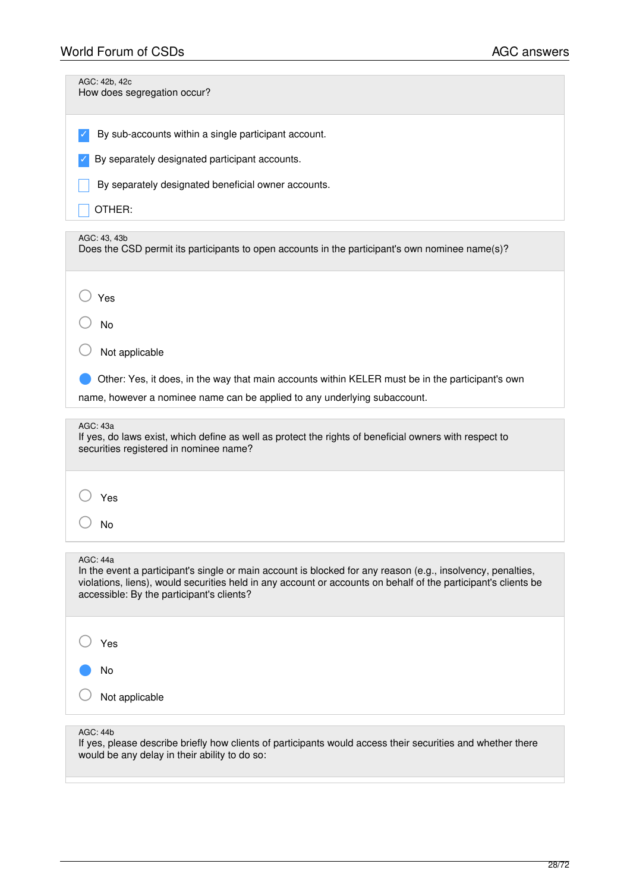| AGC: 42b, 42c<br>How does segregation occur?                                                                                                                                                                                                                                                  |
|-----------------------------------------------------------------------------------------------------------------------------------------------------------------------------------------------------------------------------------------------------------------------------------------------|
| By sub-accounts within a single participant account.                                                                                                                                                                                                                                          |
| By separately designated participant accounts.                                                                                                                                                                                                                                                |
| By separately designated beneficial owner accounts.                                                                                                                                                                                                                                           |
| OTHER:                                                                                                                                                                                                                                                                                        |
| AGC: 43, 43b<br>Does the CSD permit its participants to open accounts in the participant's own nominee name(s)?                                                                                                                                                                               |
| Yes                                                                                                                                                                                                                                                                                           |
| No                                                                                                                                                                                                                                                                                            |
| Not applicable                                                                                                                                                                                                                                                                                |
| Other: Yes, it does, in the way that main accounts within KELER must be in the participant's own                                                                                                                                                                                              |
| name, however a nominee name can be applied to any underlying subaccount.                                                                                                                                                                                                                     |
|                                                                                                                                                                                                                                                                                               |
| AGC: 43a<br>If yes, do laws exist, which define as well as protect the rights of beneficial owners with respect to<br>securities registered in nominee name?                                                                                                                                  |
|                                                                                                                                                                                                                                                                                               |
| Yes                                                                                                                                                                                                                                                                                           |
| No                                                                                                                                                                                                                                                                                            |
| <b>AGC: 44a</b><br>In the event a participant's single or main account is blocked for any reason (e.g., insolvency, penalties,<br>violations, liens), would securities held in any account or accounts on behalf of the participant's clients be<br>accessible: By the participant's clients? |
| Yes                                                                                                                                                                                                                                                                                           |
| No                                                                                                                                                                                                                                                                                            |
| Not applicable                                                                                                                                                                                                                                                                                |

If yes, please describe briefly how clients of participants would access their securities and whether there would be any delay in their ability to do so: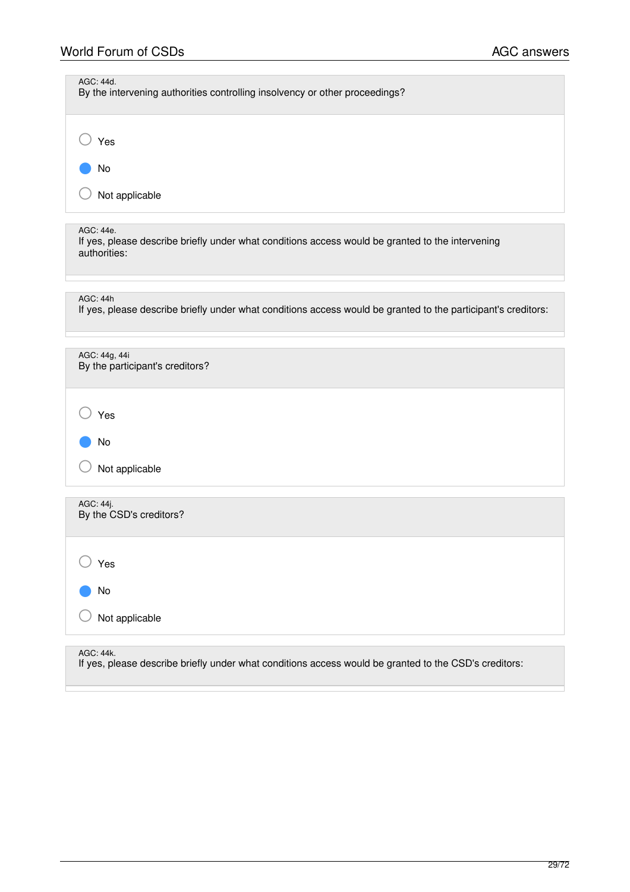| AGC: 44d.<br>By the intervening authorities controlling insolvency or other proceedings?                                         |
|----------------------------------------------------------------------------------------------------------------------------------|
| Yes                                                                                                                              |
| No                                                                                                                               |
| Not applicable                                                                                                                   |
| AGC: 44e.<br>If yes, please describe briefly under what conditions access would be granted to the intervening<br>authorities:    |
|                                                                                                                                  |
| <b>AGC: 44h</b><br>If yes, please describe briefly under what conditions access would be granted to the participant's creditors: |
|                                                                                                                                  |
| AGC: 44g, 44i<br>By the participant's creditors?                                                                                 |
| Yes                                                                                                                              |
| No                                                                                                                               |
| Not applicable                                                                                                                   |
| AGC: 44j.<br>By the CSD's creditors?                                                                                             |
| Yes                                                                                                                              |
| No                                                                                                                               |
| Not applicable                                                                                                                   |

AGC: 44k.

If yes, please describe briefly under what conditions access would be granted to the CSD's creditors: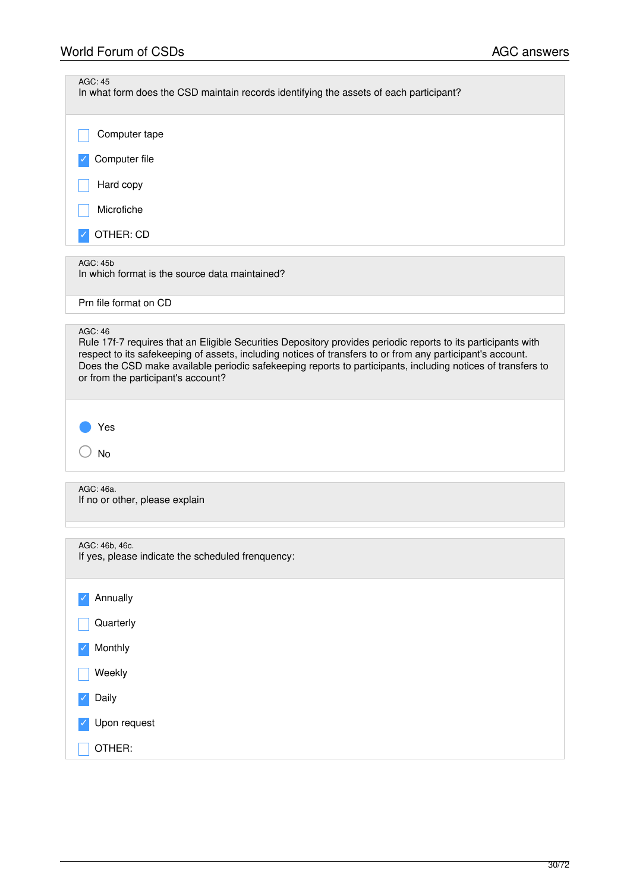| <b>AGC: 45</b><br>In what form does the CSD maintain records identifying the assets of each participant?                                                                                                                                                                                                                                                                                           |
|----------------------------------------------------------------------------------------------------------------------------------------------------------------------------------------------------------------------------------------------------------------------------------------------------------------------------------------------------------------------------------------------------|
| Computer tape                                                                                                                                                                                                                                                                                                                                                                                      |
| Computer file                                                                                                                                                                                                                                                                                                                                                                                      |
| Hard copy                                                                                                                                                                                                                                                                                                                                                                                          |
| Microfiche                                                                                                                                                                                                                                                                                                                                                                                         |
| OTHER: CD                                                                                                                                                                                                                                                                                                                                                                                          |
| AGC: 45b<br>In which format is the source data maintained?                                                                                                                                                                                                                                                                                                                                         |
| Prn file format on CD                                                                                                                                                                                                                                                                                                                                                                              |
| <b>AGC: 46</b><br>Rule 17f-7 requires that an Eligible Securities Depository provides periodic reports to its participants with<br>respect to its safekeeping of assets, including notices of transfers to or from any participant's account.<br>Does the CSD make available periodic safekeeping reports to participants, including notices of transfers to<br>or from the participant's account? |
| Yes<br><b>No</b>                                                                                                                                                                                                                                                                                                                                                                                   |
| AGC: 46a.<br>If no or other, please explain                                                                                                                                                                                                                                                                                                                                                        |
| AGC: 46b, 46c.<br>If yes, please indicate the scheduled frenquency:                                                                                                                                                                                                                                                                                                                                |
| Annually                                                                                                                                                                                                                                                                                                                                                                                           |
| Quarterly                                                                                                                                                                                                                                                                                                                                                                                          |
| Monthly                                                                                                                                                                                                                                                                                                                                                                                            |
| Weekly                                                                                                                                                                                                                                                                                                                                                                                             |
| Daily                                                                                                                                                                                                                                                                                                                                                                                              |
| Upon request                                                                                                                                                                                                                                                                                                                                                                                       |
| OTHER:                                                                                                                                                                                                                                                                                                                                                                                             |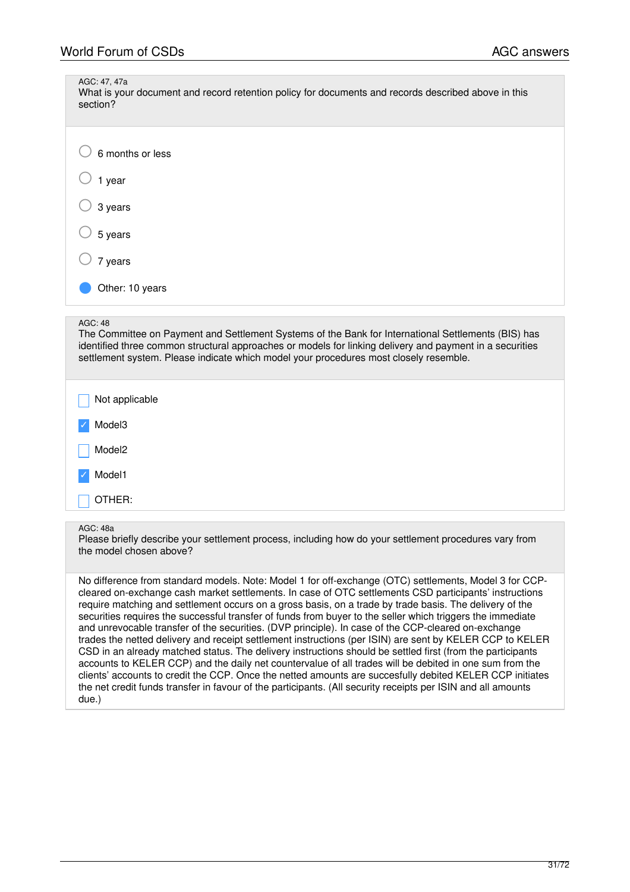| AGC: 47, 47a<br>What is your document and record retention policy for documents and records described above in this<br>section?                                                                                                                                                                          |
|----------------------------------------------------------------------------------------------------------------------------------------------------------------------------------------------------------------------------------------------------------------------------------------------------------|
| 6 months or less                                                                                                                                                                                                                                                                                         |
| 1 year                                                                                                                                                                                                                                                                                                   |
| 3 years                                                                                                                                                                                                                                                                                                  |
| 5 years                                                                                                                                                                                                                                                                                                  |
| 7 years                                                                                                                                                                                                                                                                                                  |
| Other: 10 years                                                                                                                                                                                                                                                                                          |
| <b>AGC: 48</b>                                                                                                                                                                                                                                                                                           |
| The Committee on Payment and Settlement Systems of the Bank for International Settlements (BIS) has<br>identified three common structural approaches or models for linking delivery and payment in a securities<br>settlement system. Please indicate which model your procedures most closely resemble. |
| Not applicable                                                                                                                                                                                                                                                                                           |
| Model3                                                                                                                                                                                                                                                                                                   |
| Model <sub>2</sub>                                                                                                                                                                                                                                                                                       |
| Model1                                                                                                                                                                                                                                                                                                   |
| OTHER:                                                                                                                                                                                                                                                                                                   |
| <b>AGC: 48a</b>                                                                                                                                                                                                                                                                                          |
| Please briefly describe your settlement process, including how do your settlement procedures vary from<br>the model chosen above?                                                                                                                                                                        |

No difference from standard models. Note: Model 1 for off-exchange (OTC) settlements, Model 3 for CCPcleared on-exchange cash market settlements. In case of OTC settlements CSD participants' instructions require matching and settlement occurs on a gross basis, on a trade by trade basis. The delivery of the securities requires the successful transfer of funds from buyer to the seller which triggers the immediate and unrevocable transfer of the securities. (DVP principle). In case of the CCP-cleared on-exchange trades the netted delivery and receipt settlement instructions (per ISIN) are sent by KELER CCP to KELER CSD in an already matched status. The delivery instructions should be settled first (from the participants accounts to KELER CCP) and the daily net countervalue of all trades will be debited in one sum from the clients' accounts to credit the CCP. Once the netted amounts are succesfully debited KELER CCP initiates the net credit funds transfer in favour of the participants. (All security receipts per ISIN and all amounts due.)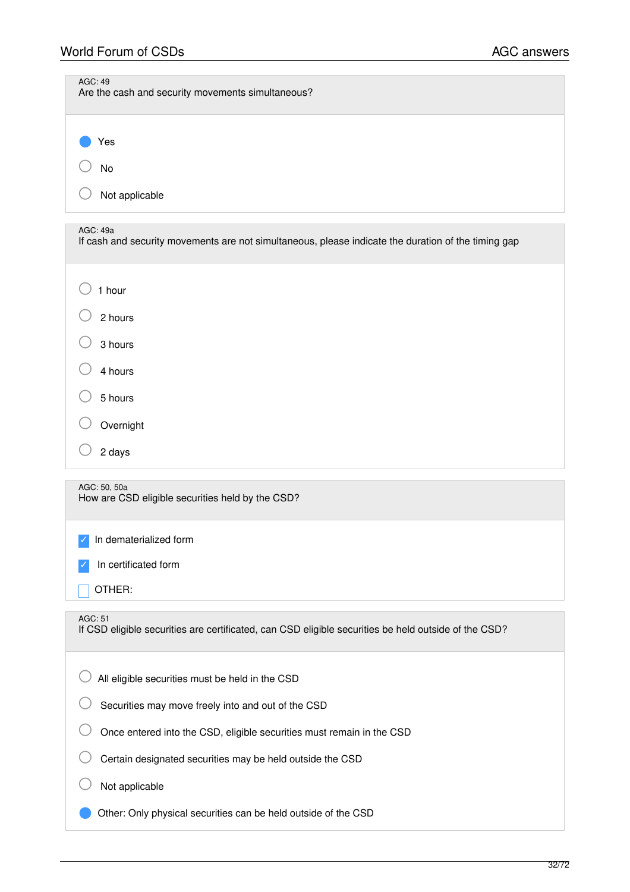| <b>AGC: 49</b><br>Are the cash and security movements simultaneous?                                             |
|-----------------------------------------------------------------------------------------------------------------|
| Yes<br><b>No</b>                                                                                                |
| Not applicable                                                                                                  |
| AGC: 49a<br>If cash and security movements are not simultaneous, please indicate the duration of the timing gap |
| 1 hour                                                                                                          |
| 2 hours                                                                                                         |
| 3 hours                                                                                                         |
| 4 hours                                                                                                         |
| 5 hours                                                                                                         |
| Overnight                                                                                                       |
| 2 days                                                                                                          |
| AGC: 50, 50a<br>How are CSD eligible securities held by the CSD?                                                |
| In dematerialized form                                                                                          |
| In certificated form                                                                                            |
| OTHER:                                                                                                          |
| AGC: 51<br>If CSD eligible securities are certificated, can CSD eligible securities be held outside of the CSD? |
| All eligible securities must be held in the CSD                                                                 |
| Securities may move freely into and out of the CSD                                                              |
| Once entered into the CSD, eligible securities must remain in the CSD                                           |
| Certain designated securities may be held outside the CSD                                                       |
| Not applicable                                                                                                  |
| Other: Only physical securities can be held outside of the CSD                                                  |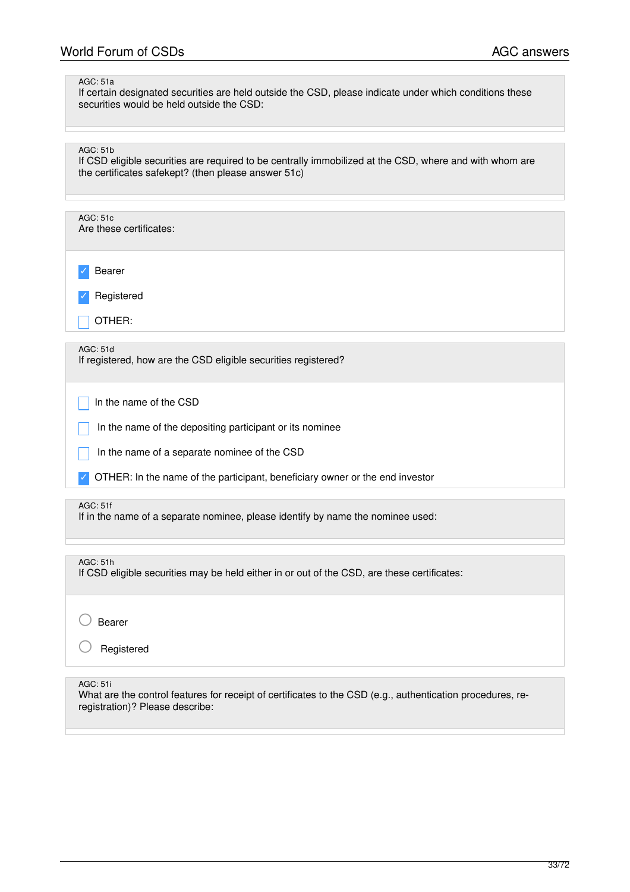### AGC: 51a

If certain designated securities are held outside the CSD, please indicate under which conditions these securities would be held outside the CSD:

AGC: 51b

If CSD eligible securities are required to be centrally immobilized at the CSD, where and with whom are the certificates safekept? (then please answer 51c)

| AGC: 51c<br>Are these certificates:                                                                |
|----------------------------------------------------------------------------------------------------|
| Bearer                                                                                             |
| Registered                                                                                         |
| OTHER:                                                                                             |
|                                                                                                    |
| AGC: 51d<br>If registered, how are the CSD eligible securities registered?                         |
| In the name of the CSD                                                                             |
| In the name of the depositing participant or its nominee                                           |
| In the name of a separate nominee of the CSD                                                       |
| OTHER: In the name of the participant, beneficiary owner or the end investor                       |
|                                                                                                    |
| <b>AGC: 51f</b><br>If in the name of a separate nominee, please identify by name the nominee used: |

AGC: 51h

If CSD eligible securities may be held either in or out of the CSD, are these certificates:

○ Bearer

**Registered** 

AGC: 51i

What are the control features for receipt of certificates to the CSD (e.g., authentication procedures, reregistration)? Please describe: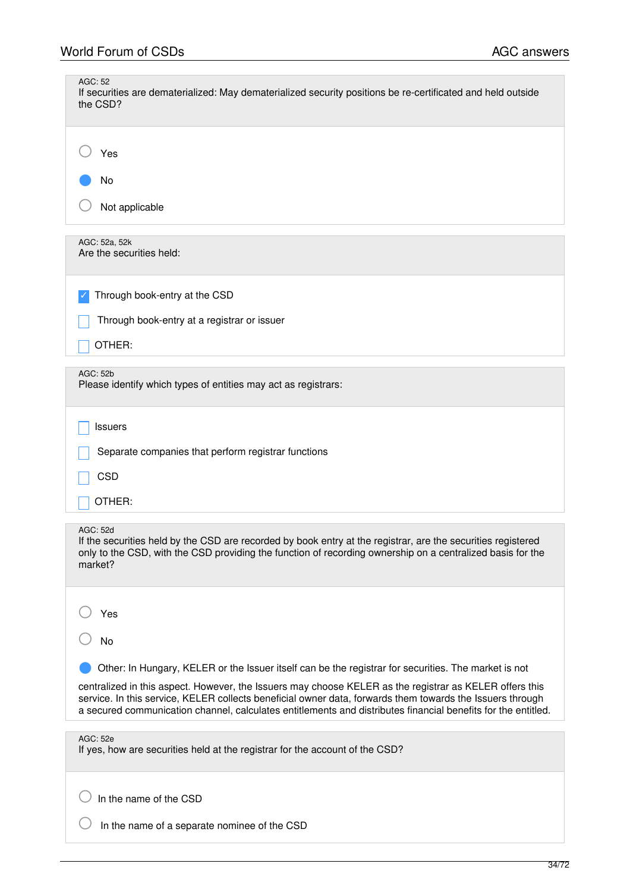| AGC: 52<br>If securities are dematerialized: May dematerialized security positions be re-certificated and held outside<br>the CSD?                                                                                                                                                                                                    |
|---------------------------------------------------------------------------------------------------------------------------------------------------------------------------------------------------------------------------------------------------------------------------------------------------------------------------------------|
| Yes                                                                                                                                                                                                                                                                                                                                   |
| No                                                                                                                                                                                                                                                                                                                                    |
| Not applicable                                                                                                                                                                                                                                                                                                                        |
| AGC: 52a, 52k<br>Are the securities held:                                                                                                                                                                                                                                                                                             |
| Through book-entry at the CSD                                                                                                                                                                                                                                                                                                         |
| Through book-entry at a registrar or issuer                                                                                                                                                                                                                                                                                           |
| OTHER:                                                                                                                                                                                                                                                                                                                                |
| AGC: 52b<br>Please identify which types of entities may act as registrars:                                                                                                                                                                                                                                                            |
| Issuers                                                                                                                                                                                                                                                                                                                               |
| Separate companies that perform registrar functions                                                                                                                                                                                                                                                                                   |
| <b>CSD</b>                                                                                                                                                                                                                                                                                                                            |
| OTHER:                                                                                                                                                                                                                                                                                                                                |
| AGC: 52d<br>If the securities held by the CSD are recorded by book entry at the registrar, are the securities registered<br>only to the CSD, with the CSD providing the function of recording ownership on a centralized basis for the<br>market?                                                                                     |
| Yes                                                                                                                                                                                                                                                                                                                                   |
| No                                                                                                                                                                                                                                                                                                                                    |
| Other: In Hungary, KELER or the Issuer itself can be the registrar for securities. The market is not                                                                                                                                                                                                                                  |
| centralized in this aspect. However, the Issuers may choose KELER as the registrar as KELER offers this<br>service. In this service, KELER collects beneficial owner data, forwards them towards the Issuers through<br>a secured communication channel, calculates entitlements and distributes financial benefits for the entitled. |
| AGC: 52e<br>If yes, how are securities held at the registrar for the account of the CSD?                                                                                                                                                                                                                                              |
| In the name of the CSD                                                                                                                                                                                                                                                                                                                |
| In the name of a separate nominee of the CSD                                                                                                                                                                                                                                                                                          |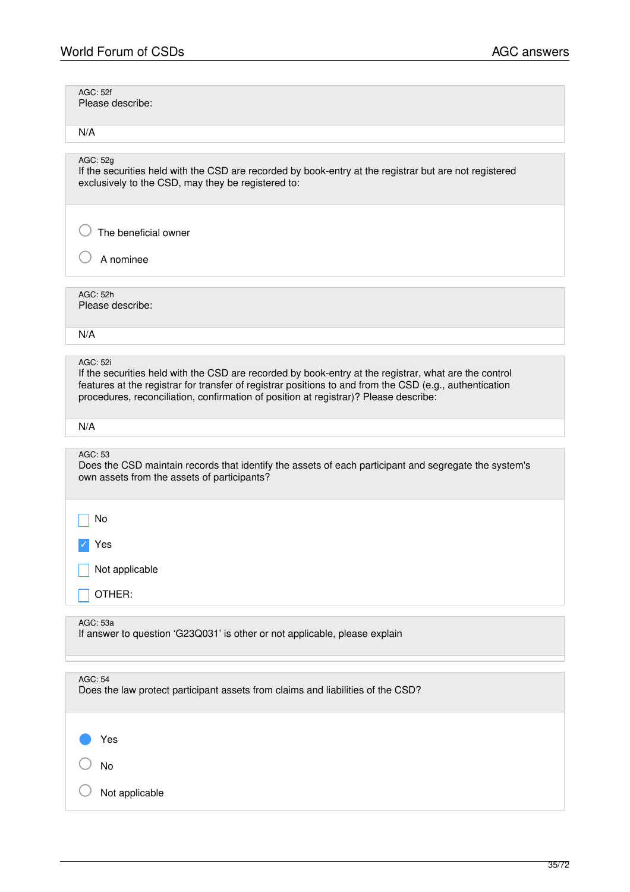| AGC: 52f<br>Please describe:                                                                                                                                                                                                                                                                                                |
|-----------------------------------------------------------------------------------------------------------------------------------------------------------------------------------------------------------------------------------------------------------------------------------------------------------------------------|
| N/A                                                                                                                                                                                                                                                                                                                         |
| AGC: 52g<br>If the securities held with the CSD are recorded by book-entry at the registrar but are not registered<br>exclusively to the CSD, may they be registered to:                                                                                                                                                    |
| The beneficial owner<br>A nominee                                                                                                                                                                                                                                                                                           |
|                                                                                                                                                                                                                                                                                                                             |
| AGC: 52h<br>Please describe:                                                                                                                                                                                                                                                                                                |
| N/A                                                                                                                                                                                                                                                                                                                         |
| <b>AGC: 52i</b><br>If the securities held with the CSD are recorded by book-entry at the registrar, what are the control<br>features at the registrar for transfer of registrar positions to and from the CSD (e.g., authentication<br>procedures, reconciliation, confirmation of position at registrar)? Please describe: |
| N/A                                                                                                                                                                                                                                                                                                                         |
| AGC: 53<br>Does the CSD maintain records that identify the assets of each participant and segregate the system's<br>own assets from the assets of participants?                                                                                                                                                             |
| No                                                                                                                                                                                                                                                                                                                          |
| Yes                                                                                                                                                                                                                                                                                                                         |
|                                                                                                                                                                                                                                                                                                                             |
| Not applicable                                                                                                                                                                                                                                                                                                              |
| OTHER:                                                                                                                                                                                                                                                                                                                      |
| AGC: 53a<br>If answer to question 'G23Q031' is other or not applicable, please explain                                                                                                                                                                                                                                      |
| <b>AGC: 54</b><br>Does the law protect participant assets from claims and liabilities of the CSD?                                                                                                                                                                                                                           |
| Yes                                                                                                                                                                                                                                                                                                                         |
| No                                                                                                                                                                                                                                                                                                                          |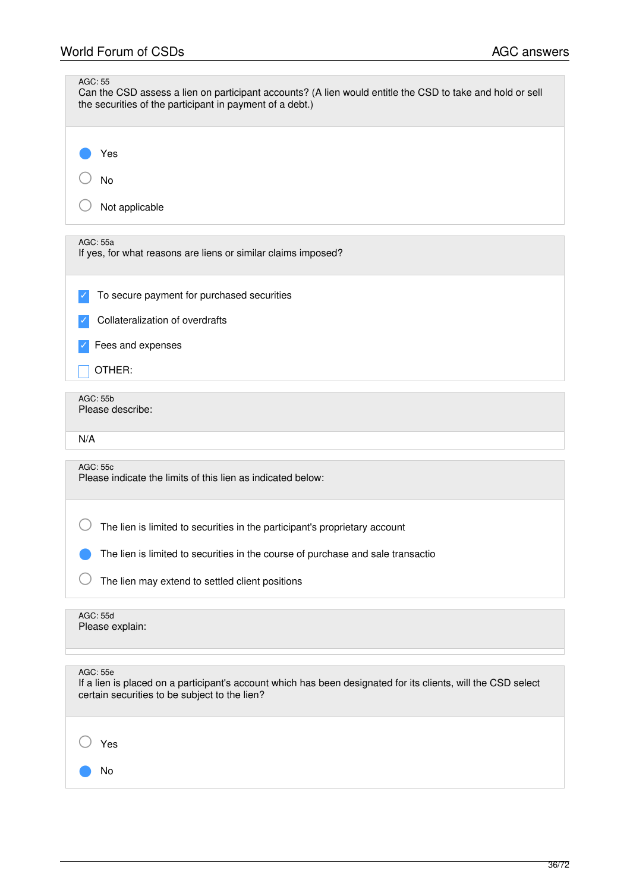| AGC: 55<br>Can the CSD assess a lien on participant accounts? (A lien would entitle the CSD to take and hold or sell<br>the securities of the participant in payment of a debt.)  |
|-----------------------------------------------------------------------------------------------------------------------------------------------------------------------------------|
| Yes<br>No<br>Not applicable                                                                                                                                                       |
| AGC: 55a<br>If yes, for what reasons are liens or similar claims imposed?                                                                                                         |
| To secure payment for purchased securities<br>Collateralization of overdrafts<br>Fees and expenses<br>OTHER:                                                                      |
| <b>AGC: 55b</b><br>Please describe:<br>N/A                                                                                                                                        |
| <b>AGC: 55c</b><br>Please indicate the limits of this lien as indicated below:<br>The lien is limited to securities in the participant's proprietary account                      |
| The lien is limited to securities in the course of purchase and sale transactio<br>The lien may extend to settled client positions                                                |
| <b>AGC: 55d</b><br>Please explain:                                                                                                                                                |
| <b>AGC: 55e</b><br>If a lien is placed on a participant's account which has been designated for its clients, will the CSD select<br>certain securities to be subject to the lien? |
| Yes<br>No                                                                                                                                                                         |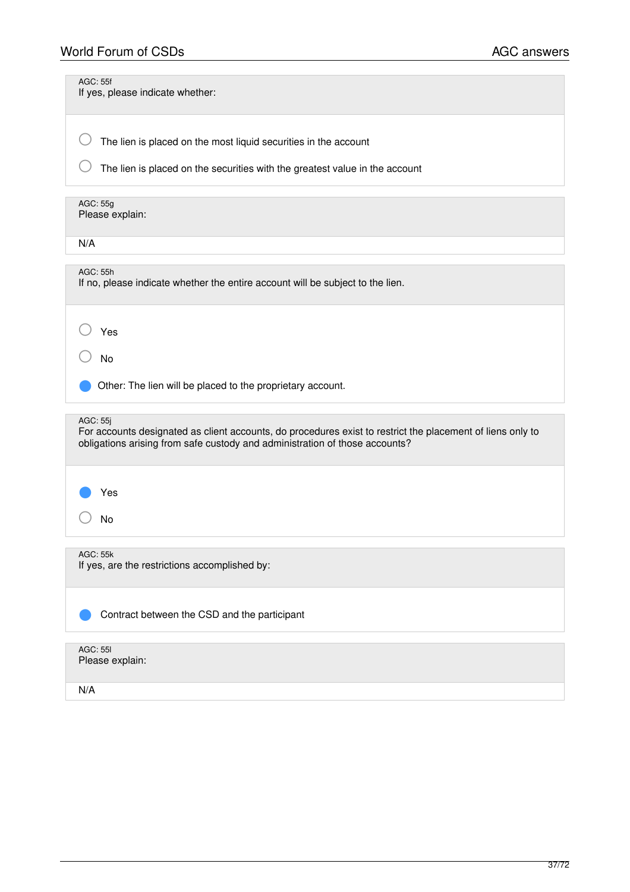| <b>AGC: 55f</b><br>If yes, please indicate whether:                                                                                                                                                   |
|-------------------------------------------------------------------------------------------------------------------------------------------------------------------------------------------------------|
| The lien is placed on the most liquid securities in the account                                                                                                                                       |
| The lien is placed on the securities with the greatest value in the account                                                                                                                           |
| AGC: 55g<br>Please explain:                                                                                                                                                                           |
| N/A                                                                                                                                                                                                   |
| <b>AGC: 55h</b><br>If no, please indicate whether the entire account will be subject to the lien.                                                                                                     |
| Yes                                                                                                                                                                                                   |
| <b>No</b>                                                                                                                                                                                             |
| Other: The lien will be placed to the proprietary account.                                                                                                                                            |
| AGC: 55j<br>For accounts designated as client accounts, do procedures exist to restrict the placement of liens only to<br>obligations arising from safe custody and administration of those accounts? |
| Yes                                                                                                                                                                                                   |
| No                                                                                                                                                                                                    |
| <b>AGC: 55k</b><br>If yes, are the restrictions accomplished by:                                                                                                                                      |
| Contract between the CSD and the participant                                                                                                                                                          |
| <b>AGC: 551</b><br>Please explain:                                                                                                                                                                    |

N/A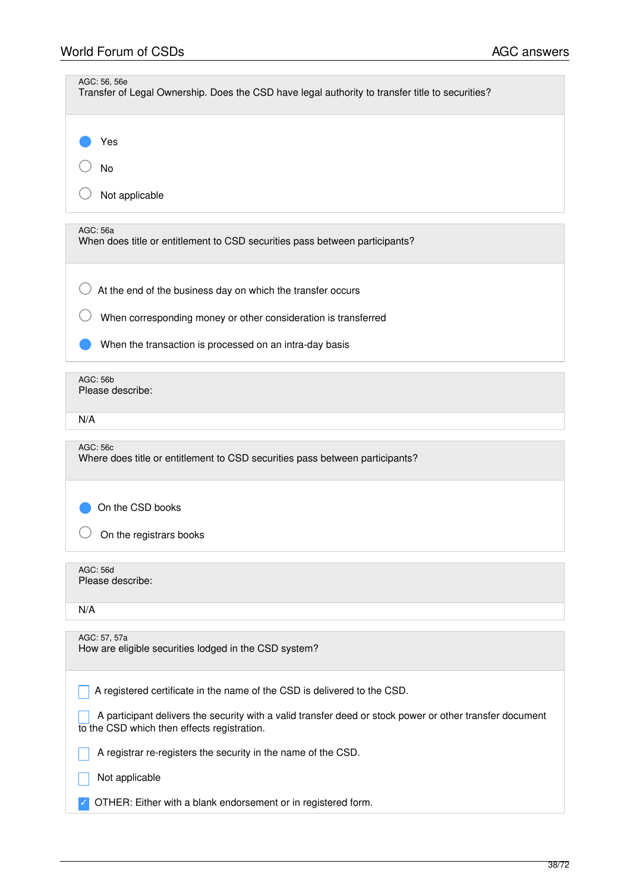| AGC: 56, 56e<br>Transfer of Legal Ownership. Does the CSD have legal authority to transfer title to securities?                                                                                                                     |
|-------------------------------------------------------------------------------------------------------------------------------------------------------------------------------------------------------------------------------------|
| Yes<br>No<br>Not applicable                                                                                                                                                                                                         |
| AGC: 56a<br>When does title or entitlement to CSD securities pass between participants?                                                                                                                                             |
| At the end of the business day on which the transfer occurs<br>When corresponding money or other consideration is transferred<br>When the transaction is processed on an intra-day basis                                            |
| <b>AGC: 56b</b><br>Please describe:                                                                                                                                                                                                 |
| N/A                                                                                                                                                                                                                                 |
| AGC: 56c<br>Where does title or entitlement to CSD securities pass between participants?                                                                                                                                            |
| On the CSD books<br>On the registrars books                                                                                                                                                                                         |
| AGC: 56d<br>Please describe:                                                                                                                                                                                                        |
| N/A                                                                                                                                                                                                                                 |
| AGC: 57, 57a<br>How are eligible securities lodged in the CSD system?                                                                                                                                                               |
| A registered certificate in the name of the CSD is delivered to the CSD.<br>A participant delivers the security with a valid transfer deed or stock power or other transfer document<br>to the CSD which then effects registration. |
| A registrar re-registers the security in the name of the CSD.                                                                                                                                                                       |
| Not applicable                                                                                                                                                                                                                      |
| OTHER: Either with a blank endorsement or in registered form.                                                                                                                                                                       |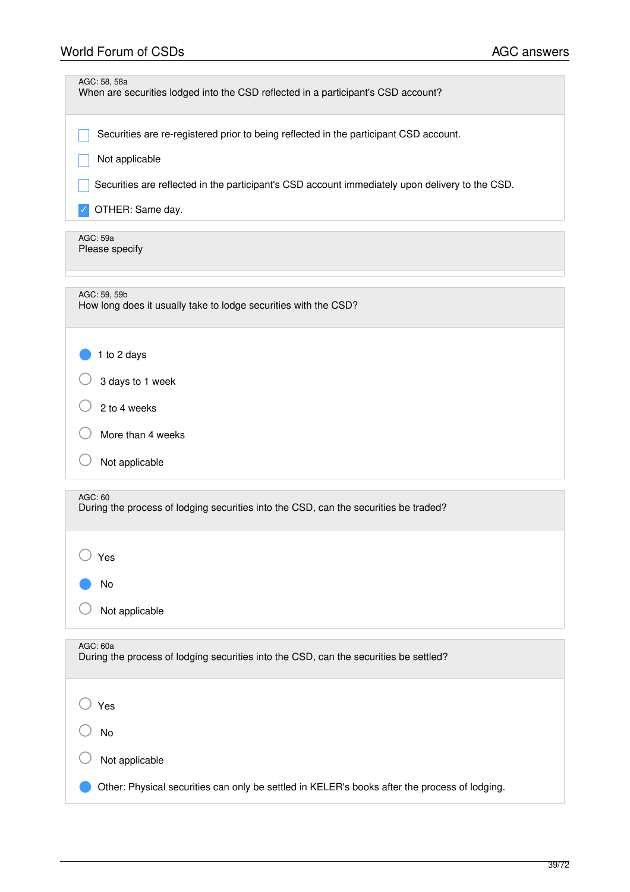| AGC: 58, 58a<br>When are securities lodged into the CSD reflected in a participant's CSD account? |
|---------------------------------------------------------------------------------------------------|
| Securities are re-registered prior to being reflected in the participant CSD account.             |
| Not applicable                                                                                    |
| Securities are reflected in the participant's CSD account immediately upon delivery to the CSD.   |
| OTHER: Same day.                                                                                  |
| AGC: 59a<br>Please specify                                                                        |
| AGC: 59, 59b<br>How long does it usually take to lodge securities with the CSD?                   |
| 1 to 2 days                                                                                       |
| 3 days to 1 week                                                                                  |
| 2 to 4 weeks                                                                                      |
| More than 4 weeks                                                                                 |
| Not applicable                                                                                    |
| AGC: 60<br>During the process of lodging securities into the CSD, can the securities be traded?   |
| Yes                                                                                               |
| No                                                                                                |
| Not applicable                                                                                    |
| AGC: 60a<br>During the process of lodging securities into the CSD, can the securities be settled? |
| Yes                                                                                               |
| No                                                                                                |
| Not applicable                                                                                    |
| Other: Physical securities can only be settled in KELER's books after the process of lodging.     |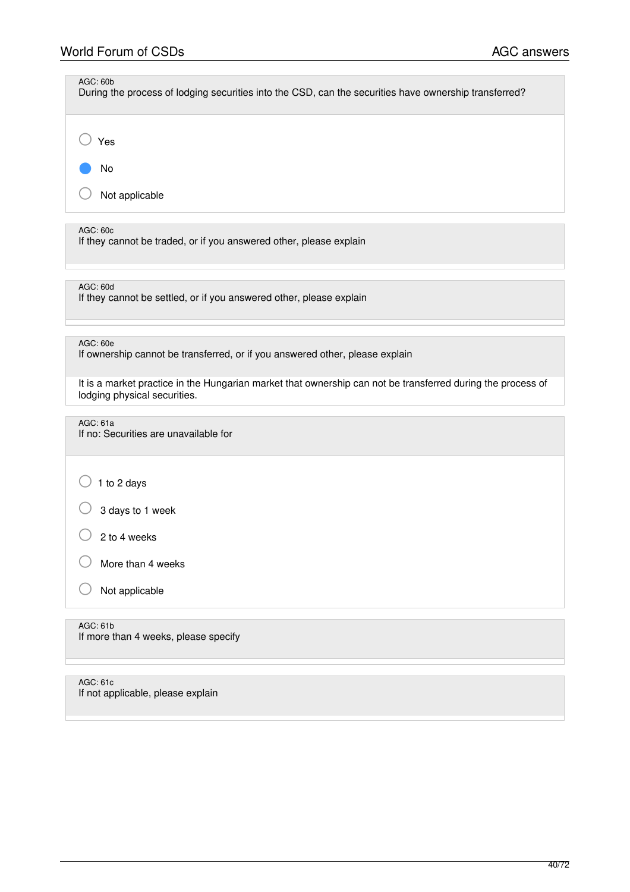| AGC: 60b<br>During the process of lodging securities into the CSD, can the securities have ownership transferred? |
|-------------------------------------------------------------------------------------------------------------------|
| Yes                                                                                                               |
| No                                                                                                                |
| Not applicable                                                                                                    |
| AGC: 60c<br>If they cannot be traded, or if you answered other, please explain                                    |
| AGC: 60d<br>If they cannot be settled, or if you answered other, please explain                                   |
| AGC: 60e                                                                                                          |

If ownership cannot be transferred, or if you answered other, please explain

It is a market practice in the Hungarian market that ownership can not be transferred during the process of lodging physical securities.

AGC: 61a

If no: Securities are unavailable for

 $\bigcirc$  1 to 2 days

 $\bigcirc$  3 days to 1 week

 $\bigcirc$  2 to 4 weeks

 $\bigcirc$  More than 4 weeks

○ Not applicable

AGC: 61b

If more than 4 weeks, please specify

AGC: 61c If not applicable, please explain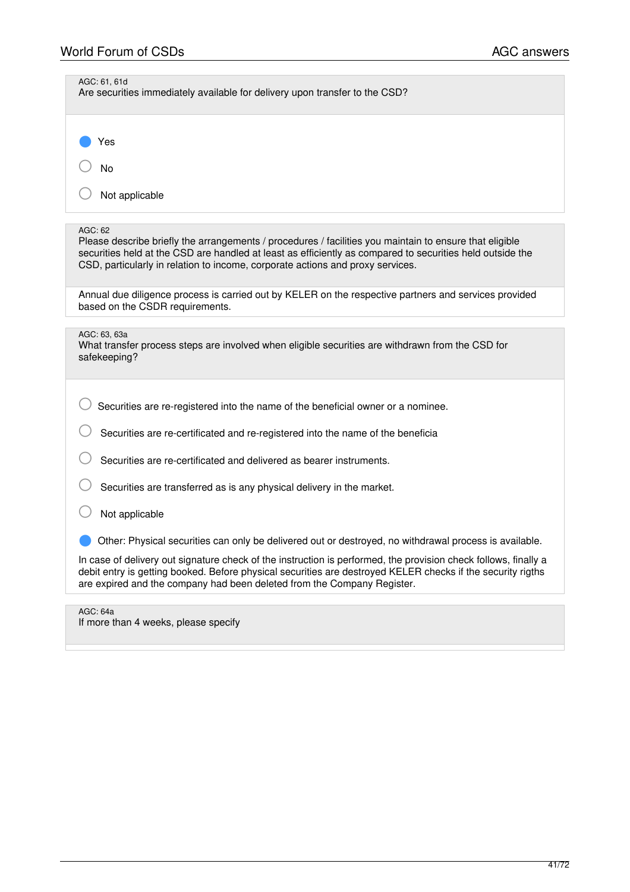| AGC: 61, 61d<br>Are securities immediately available for delivery upon transfer to the CSD?                                                                                                                                                                                                                       |
|-------------------------------------------------------------------------------------------------------------------------------------------------------------------------------------------------------------------------------------------------------------------------------------------------------------------|
| Yes                                                                                                                                                                                                                                                                                                               |
| <b>No</b>                                                                                                                                                                                                                                                                                                         |
| Not applicable                                                                                                                                                                                                                                                                                                    |
|                                                                                                                                                                                                                                                                                                                   |
| AGC: 62<br>Please describe briefly the arrangements / procedures / facilities you maintain to ensure that eligible<br>securities held at the CSD are handled at least as efficiently as compared to securities held outside the<br>CSD, particularly in relation to income, corporate actions and proxy services. |
| Annual due diligence process is carried out by KELER on the respective partners and services provided<br>based on the CSDR requirements.                                                                                                                                                                          |
|                                                                                                                                                                                                                                                                                                                   |
| AGC: 63, 63a<br>What transfer process steps are involved when eligible securities are withdrawn from the CSD for<br>safekeeping?                                                                                                                                                                                  |
|                                                                                                                                                                                                                                                                                                                   |
| Securities are re-registered into the name of the beneficial owner or a nominee.                                                                                                                                                                                                                                  |
| Securities are re-certificated and re-registered into the name of the beneficia                                                                                                                                                                                                                                   |
| Securities are re-certificated and delivered as bearer instruments.                                                                                                                                                                                                                                               |
| Securities are transferred as is any physical delivery in the market.                                                                                                                                                                                                                                             |
| Not applicable                                                                                                                                                                                                                                                                                                    |
| Other: Physical securities can only be delivered out or destroyed, no withdrawal process is available.                                                                                                                                                                                                            |
| In case of delivery out signature check of the instruction is performed, the provision check follows, finally a<br>debit entry is getting booked. Before physical securities are destroyed KELER checks if the security rigths<br>are expired and the company had been deleted from the Company Register.         |
|                                                                                                                                                                                                                                                                                                                   |

AGC: 64a If more than 4 weeks, please specify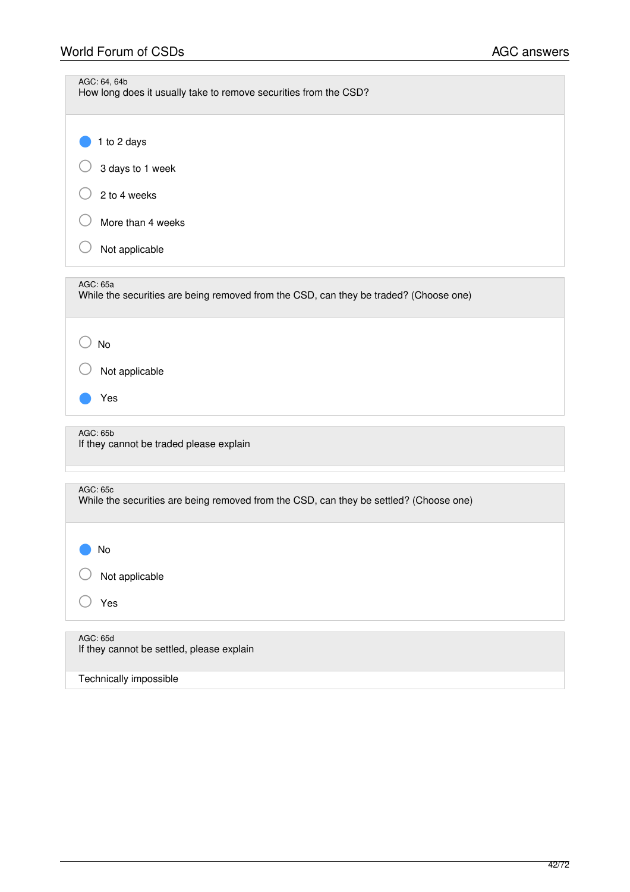| AGC: 64, 64b<br>How long does it usually take to remove securities from the CSD?                   |
|----------------------------------------------------------------------------------------------------|
| 1 to 2 days<br>3 days to 1 week<br>2 to 4 weeks<br>More than 4 weeks<br>Not applicable             |
|                                                                                                    |
| AGC: 65a<br>While the securities are being removed from the CSD, can they be traded? (Choose one)  |
| No<br>Not applicable<br>Yes                                                                        |
| AGC: 65b<br>If they cannot be traded please explain                                                |
| AGC: 65c<br>While the securities are being removed from the CSD, can they be settled? (Choose one) |
| No<br>Not applicable<br>Yes                                                                        |
| AGC: 65d<br>If they cannot be settled, please explain                                              |

Technically impossible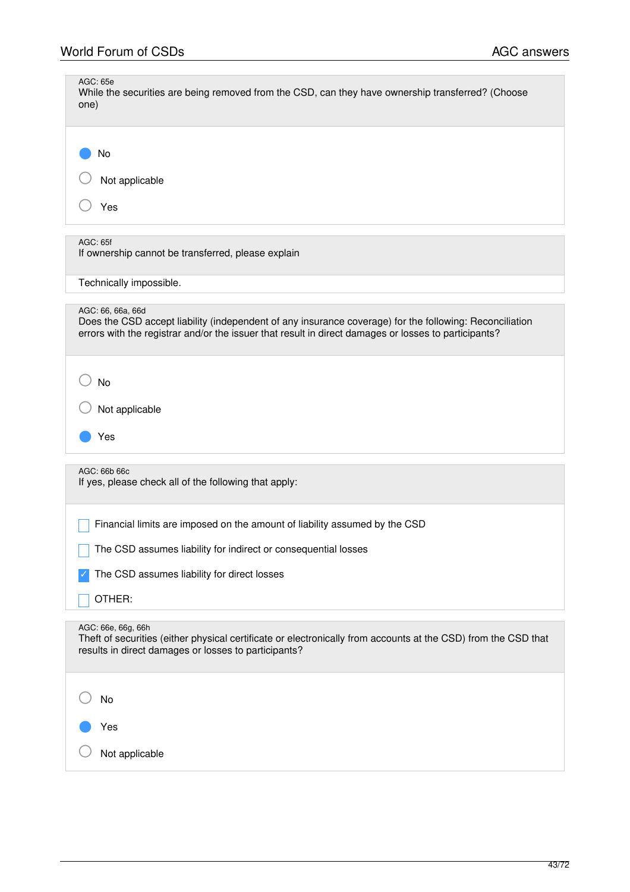| AGC: 65e<br>While the securities are being removed from the CSD, can they have ownership transferred? (Choose<br>one)                                                                                                                |
|--------------------------------------------------------------------------------------------------------------------------------------------------------------------------------------------------------------------------------------|
| No<br>Not applicable                                                                                                                                                                                                                 |
| Yes                                                                                                                                                                                                                                  |
| <b>AGC: 65f</b><br>If ownership cannot be transferred, please explain                                                                                                                                                                |
| Technically impossible.                                                                                                                                                                                                              |
| AGC: 66, 66a, 66d<br>Does the CSD accept liability (independent of any insurance coverage) for the following: Reconciliation<br>errors with the registrar and/or the issuer that result in direct damages or losses to participants? |
| <b>No</b><br>Not applicable<br>Yes                                                                                                                                                                                                   |
| AGC: 66b 66c<br>If yes, please check all of the following that apply:                                                                                                                                                                |
| Financial limits are imposed on the amount of liability assumed by the CSD                                                                                                                                                           |
| The CSD assumes liability for indirect or consequential losses                                                                                                                                                                       |
| The CSD assumes liability for direct losses                                                                                                                                                                                          |
| OTHER:                                                                                                                                                                                                                               |
| AGC: 66e, 66g, 66h<br>Theft of securities (either physical certificate or electronically from accounts at the CSD) from the CSD that<br>results in direct damages or losses to participants?                                         |
| No                                                                                                                                                                                                                                   |
| Yes                                                                                                                                                                                                                                  |
| Not applicable                                                                                                                                                                                                                       |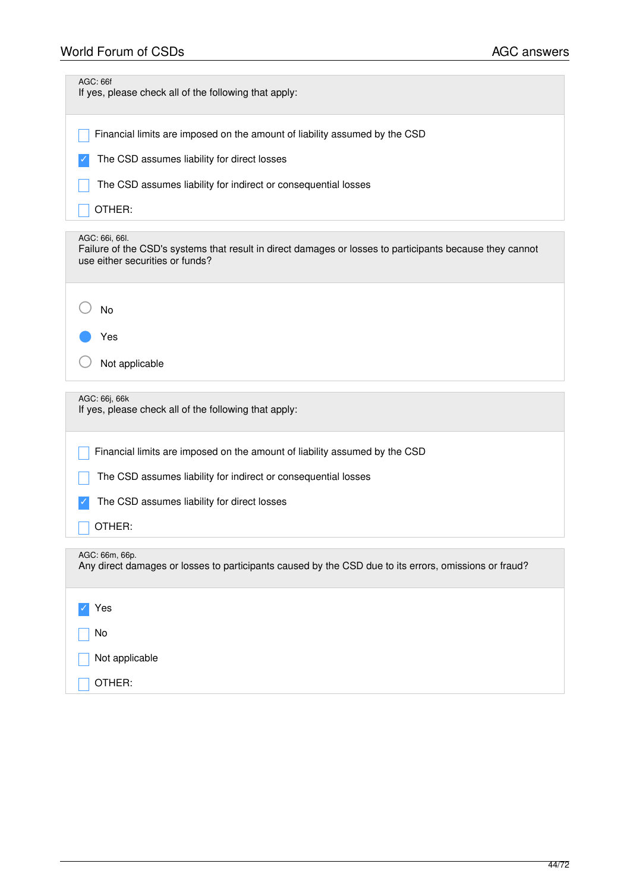# World Forum of CSDs **AGC** answers

| <b>AGC: 66f</b><br>If yes, please check all of the following that apply:                                                                                      |
|---------------------------------------------------------------------------------------------------------------------------------------------------------------|
| Financial limits are imposed on the amount of liability assumed by the CSD                                                                                    |
| The CSD assumes liability for direct losses                                                                                                                   |
| The CSD assumes liability for indirect or consequential losses                                                                                                |
| OTHER:                                                                                                                                                        |
| AGC: 66i, 66l.<br>Failure of the CSD's systems that result in direct damages or losses to participants because they cannot<br>use either securities or funds? |
| No                                                                                                                                                            |
| Yes                                                                                                                                                           |
| Not applicable                                                                                                                                                |
|                                                                                                                                                               |
| AGC: 66j, 66k<br>If yes, please check all of the following that apply:                                                                                        |
| Financial limits are imposed on the amount of liability assumed by the CSD                                                                                    |
| The CSD assumes liability for indirect or consequential losses                                                                                                |
| The CSD assumes liability for direct losses                                                                                                                   |
| OTHER:                                                                                                                                                        |
| AGC: 66m, 66p.<br>Any direct damages or losses to participants caused by the CSD due to its errors, omissions or fraud?                                       |
| Yes                                                                                                                                                           |
| No                                                                                                                                                            |
| Not applicable                                                                                                                                                |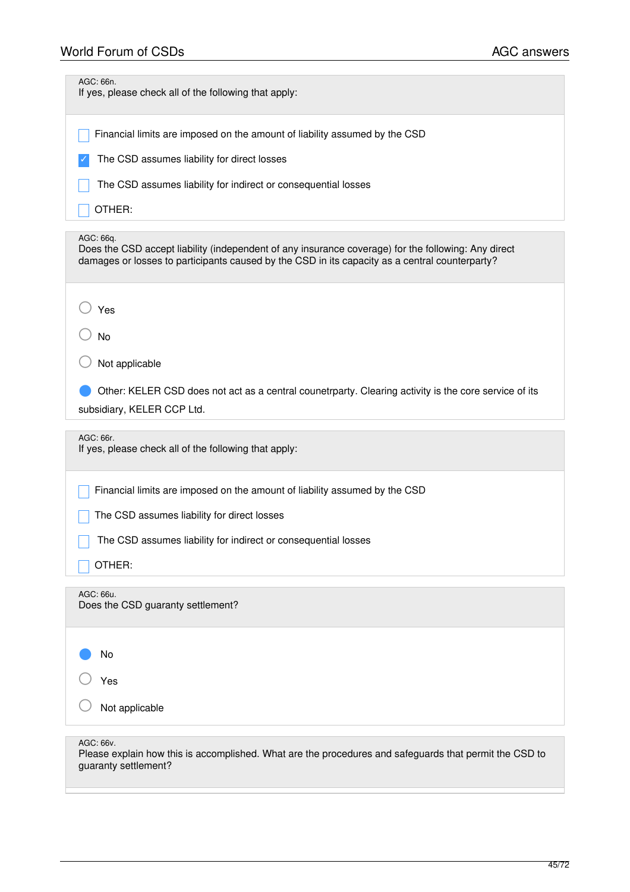| AGC: 66n.<br>If yes, please check all of the following that apply:                                                                                                                                                 |
|--------------------------------------------------------------------------------------------------------------------------------------------------------------------------------------------------------------------|
| Financial limits are imposed on the amount of liability assumed by the CSD                                                                                                                                         |
| The CSD assumes liability for direct losses                                                                                                                                                                        |
| The CSD assumes liability for indirect or consequential losses                                                                                                                                                     |
| OTHER:                                                                                                                                                                                                             |
| AGC: 66q.<br>Does the CSD accept liability (independent of any insurance coverage) for the following: Any direct<br>damages or losses to participants caused by the CSD in its capacity as a central counterparty? |
| Yes                                                                                                                                                                                                                |
| <b>No</b>                                                                                                                                                                                                          |
| Not applicable                                                                                                                                                                                                     |
| Other: KELER CSD does not act as a central counetrparty. Clearing activity is the core service of its                                                                                                              |
| subsidiary, KELER CCP Ltd.                                                                                                                                                                                         |
| AGC: 66r.<br>If yes, please check all of the following that apply:                                                                                                                                                 |
| Financial limits are imposed on the amount of liability assumed by the CSD                                                                                                                                         |
| The CSD assumes liability for direct losses                                                                                                                                                                        |
| The CSD assumes liability for indirect or consequential losses                                                                                                                                                     |
| OTHER:                                                                                                                                                                                                             |
| AGC: 66u.<br>Does the CSD guaranty settlement?                                                                                                                                                                     |
| No                                                                                                                                                                                                                 |
| Yes                                                                                                                                                                                                                |
| Not applicable                                                                                                                                                                                                     |
| AGC: 66v.<br>Please explain how this is accomplished. What are the procedures and safeguards that permit the CSD to                                                                                                |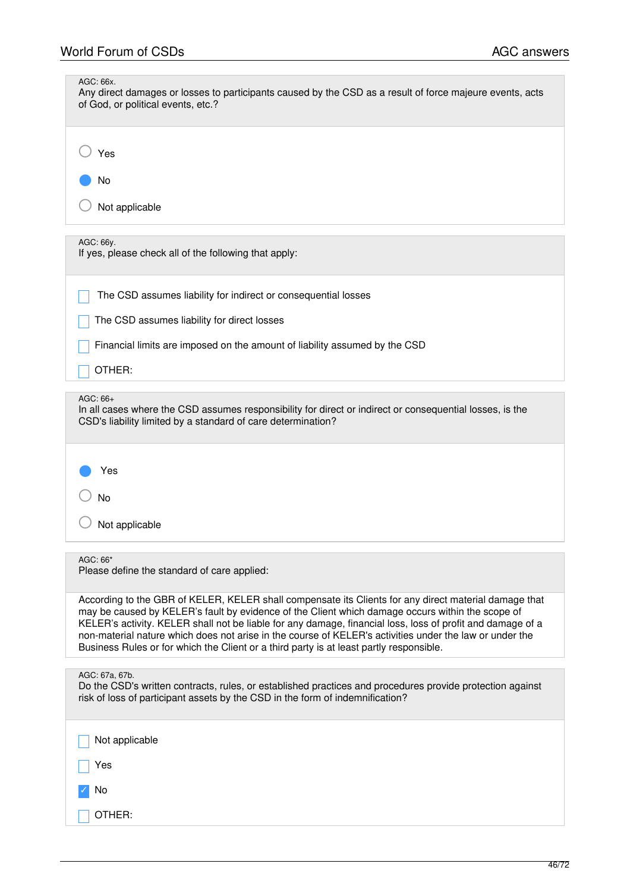| AGC: 66x.<br>Any direct damages or losses to participants caused by the CSD as a result of force majeure events, acts<br>of God, or political events, etc.?                                                                                                                                                                                                                                                                                                                                                                   |
|-------------------------------------------------------------------------------------------------------------------------------------------------------------------------------------------------------------------------------------------------------------------------------------------------------------------------------------------------------------------------------------------------------------------------------------------------------------------------------------------------------------------------------|
| Yes                                                                                                                                                                                                                                                                                                                                                                                                                                                                                                                           |
| No                                                                                                                                                                                                                                                                                                                                                                                                                                                                                                                            |
| Not applicable                                                                                                                                                                                                                                                                                                                                                                                                                                                                                                                |
| AGC: 66y.<br>If yes, please check all of the following that apply:                                                                                                                                                                                                                                                                                                                                                                                                                                                            |
| The CSD assumes liability for indirect or consequential losses                                                                                                                                                                                                                                                                                                                                                                                                                                                                |
| The CSD assumes liability for direct losses                                                                                                                                                                                                                                                                                                                                                                                                                                                                                   |
| Financial limits are imposed on the amount of liability assumed by the CSD                                                                                                                                                                                                                                                                                                                                                                                                                                                    |
| OTHER:                                                                                                                                                                                                                                                                                                                                                                                                                                                                                                                        |
| $AGC: 66+$<br>In all cases where the CSD assumes responsibility for direct or indirect or consequential losses, is the<br>CSD's liability limited by a standard of care determination?                                                                                                                                                                                                                                                                                                                                        |
| Yes                                                                                                                                                                                                                                                                                                                                                                                                                                                                                                                           |
| No                                                                                                                                                                                                                                                                                                                                                                                                                                                                                                                            |
| Not applicable                                                                                                                                                                                                                                                                                                                                                                                                                                                                                                                |
| AGC: 66*<br>Please define the standard of care applied:                                                                                                                                                                                                                                                                                                                                                                                                                                                                       |
| According to the GBR of KELER, KELER shall compensate its Clients for any direct material damage that<br>may be caused by KELER's fault by evidence of the Client which damage occurs within the scope of<br>KELER's activity. KELER shall not be liable for any damage, financial loss, loss of profit and damage of a<br>non-material nature which does not arise in the course of KELER's activities under the law or under the<br>Business Rules or for which the Client or a third party is at least partly responsible. |
| AGC: 67a, 67b.<br>Do the CSD's written contracts, rules, or established practices and procedures provide protection against<br>risk of loss of participant assets by the CSD in the form of indemnification?                                                                                                                                                                                                                                                                                                                  |
| Not applicable                                                                                                                                                                                                                                                                                                                                                                                                                                                                                                                |
| Yes                                                                                                                                                                                                                                                                                                                                                                                                                                                                                                                           |
| No                                                                                                                                                                                                                                                                                                                                                                                                                                                                                                                            |
| OTHER:                                                                                                                                                                                                                                                                                                                                                                                                                                                                                                                        |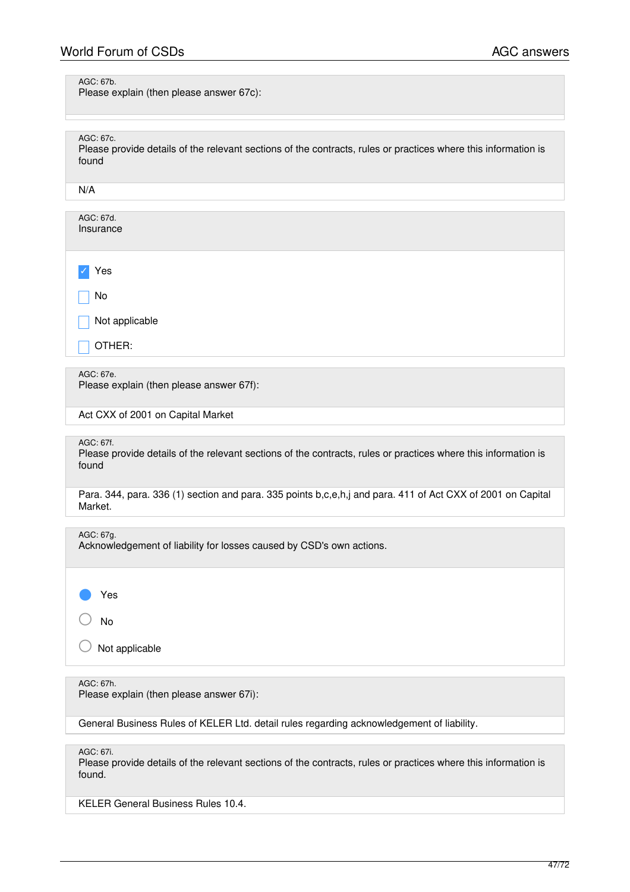AGC: 67b.

Please explain (then please answer 67c):

AGC: 67c.

Please provide details of the relevant sections of the contracts, rules or practices where this information is found

N/A

| AGC: 67d.<br>Insurance              |
|-------------------------------------|
|                                     |
| $\vee$ Yes                          |
| No                                  |
|                                     |
| $\sqrt{\phantom{a}}$ Not applicable |
| OTHER:                              |
|                                     |

AGC: 67e.

Please explain (then please answer 67f):

Act CXX of 2001 on Capital Market

AGC: 67f.

Please provide details of the relevant sections of the contracts, rules or practices where this information is found

Para. 344, para. 336 (1) section and para. 335 points b,c,e,h,j and para. 411 of Act CXX of 2001 on Capital Market.

AGC: 67g.

Acknowledgement of liability for losses caused by CSD's own actions.

Yes

○ No

Not applicable

AGC: 67h.

Please explain (then please answer 67i):

General Business Rules of KELER Ltd. detail rules regarding acknowledgement of liability.

AGC: 67i.

Please provide details of the relevant sections of the contracts, rules or practices where this information is found.

KELER General Business Rules 10.4.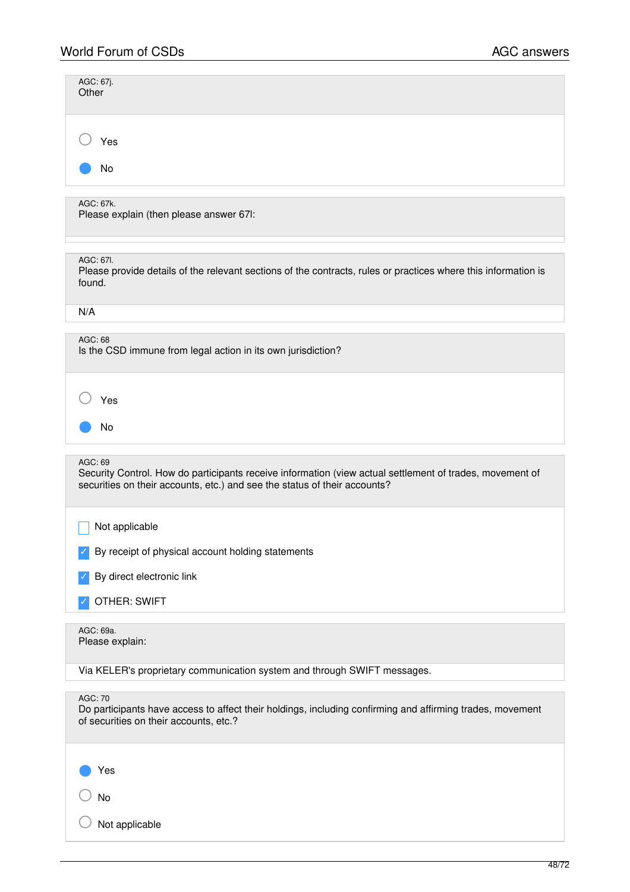| AGC: 67j.<br>Other                                                                                                                                                                               |
|--------------------------------------------------------------------------------------------------------------------------------------------------------------------------------------------------|
| Yes                                                                                                                                                                                              |
| No                                                                                                                                                                                               |
| AGC: 67k.<br>Please explain (then please answer 67I:                                                                                                                                             |
| AGC: 67I.<br>Please provide details of the relevant sections of the contracts, rules or practices where this information is<br>found.                                                            |
| N/A                                                                                                                                                                                              |
| AGC: 68<br>Is the CSD immune from legal action in its own jurisdiction?                                                                                                                          |
| Yes<br>No                                                                                                                                                                                        |
| AGC: 69<br>Security Control. How do participants receive information (view actual settlement of trades, movement of<br>securities on their accounts, etc.) and see the status of their accounts? |
| Not applicable                                                                                                                                                                                   |
| By receipt of physical account holding statements                                                                                                                                                |
| By direct electronic link                                                                                                                                                                        |
| <b>OTHER: SWIFT</b>                                                                                                                                                                              |
| AGC: 69a.<br>Please explain:                                                                                                                                                                     |
| Via KELER's proprietary communication system and through SWIFT messages.                                                                                                                         |
| AGC: 70<br>Do participants have access to affect their holdings, including confirming and affirming trades, movement<br>of securities on their accounts, etc.?                                   |
| Yes                                                                                                                                                                                              |
| No                                                                                                                                                                                               |
| Not applicable                                                                                                                                                                                   |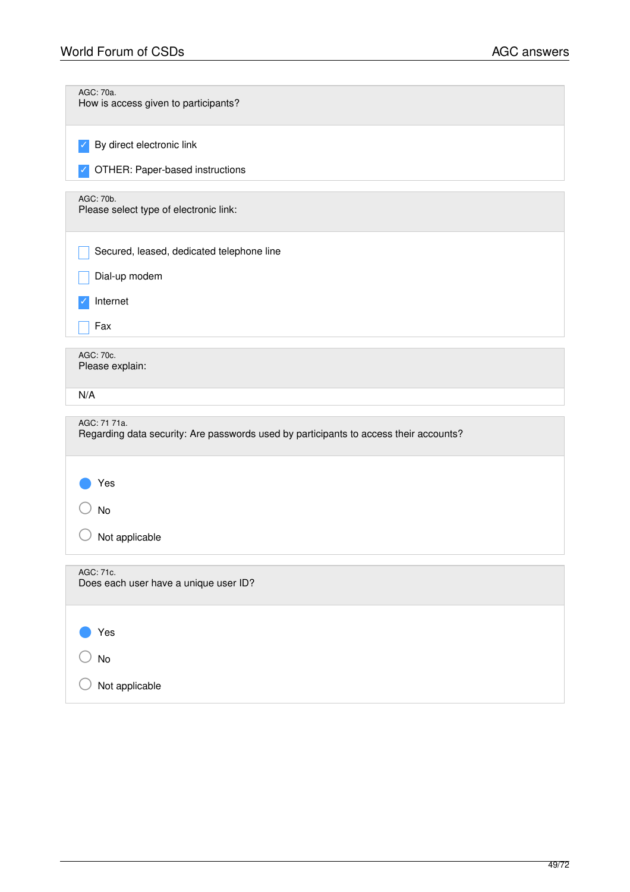| AGC: 70a.<br>How is access given to participants?                                                     |
|-------------------------------------------------------------------------------------------------------|
| By direct electronic link                                                                             |
| OTHER: Paper-based instructions                                                                       |
| AGC: 70b.<br>Please select type of electronic link:                                                   |
| Secured, leased, dedicated telephone line                                                             |
| Dial-up modem                                                                                         |
| Internet                                                                                              |
| Fax                                                                                                   |
| AGC: 70c.<br>Please explain:                                                                          |
| N/A                                                                                                   |
| AGC: 71 71a.<br>Regarding data security: Are passwords used by participants to access their accounts? |
| Yes                                                                                                   |
| No                                                                                                    |
| Not applicable                                                                                        |
| AGC: 71c.<br>Does each user have a unique user ID?                                                    |
| Yes                                                                                                   |
| No                                                                                                    |
| Not applicable                                                                                        |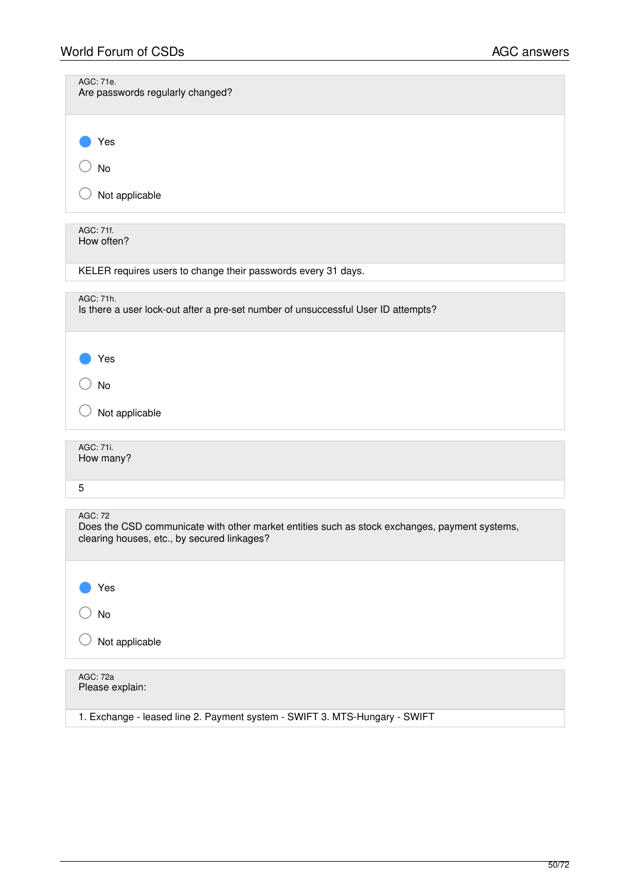| AGC: 71e.<br>Are passwords regularly changed?                                                                                                                  |
|----------------------------------------------------------------------------------------------------------------------------------------------------------------|
| Yes<br>No                                                                                                                                                      |
| Not applicable                                                                                                                                                 |
| AGC: 71f.<br>How often?                                                                                                                                        |
| KELER requires users to change their passwords every 31 days.                                                                                                  |
| AGC: 71h.<br>Is there a user lock-out after a pre-set number of unsuccessful User ID attempts?                                                                 |
| Yes                                                                                                                                                            |
| No                                                                                                                                                             |
| Not applicable                                                                                                                                                 |
| AGC: 71i.<br>How many?                                                                                                                                         |
| 5                                                                                                                                                              |
| <b>AGC: 72</b><br>Does the CSD communicate with other market entities such as stock exchanges, payment systems,<br>clearing houses, etc., by secured linkages? |
| Yes                                                                                                                                                            |
| No                                                                                                                                                             |
| Not applicable                                                                                                                                                 |
| <b>AGC: 72a</b><br>Please explain:                                                                                                                             |
| 1. Exchange - leased line 2. Payment system - SWIFT 3. MTS-Hungary - SWIFT                                                                                     |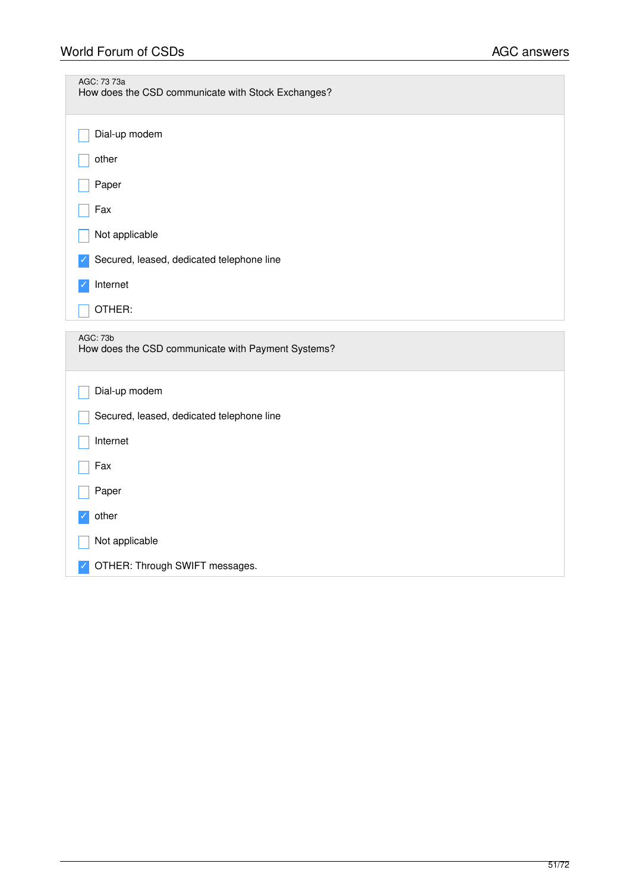| AGC: 73 73a<br>How does the CSD communicate with Stock Exchanges? |
|-------------------------------------------------------------------|
| Dial-up modem                                                     |
| other                                                             |
| Paper                                                             |
| Fax                                                               |
| Not applicable                                                    |
| Secured, leased, dedicated telephone line                         |
| Internet                                                          |
| OTHER:                                                            |
| AGC: 73b<br>How does the CSD communicate with Payment Systems?    |
| Dial-up modem                                                     |
| Secured, leased, dedicated telephone line                         |
| Internet                                                          |
| Fax                                                               |
| Paper                                                             |
| other                                                             |
| Not applicable                                                    |
| OTHER: Through SWIFT messages.                                    |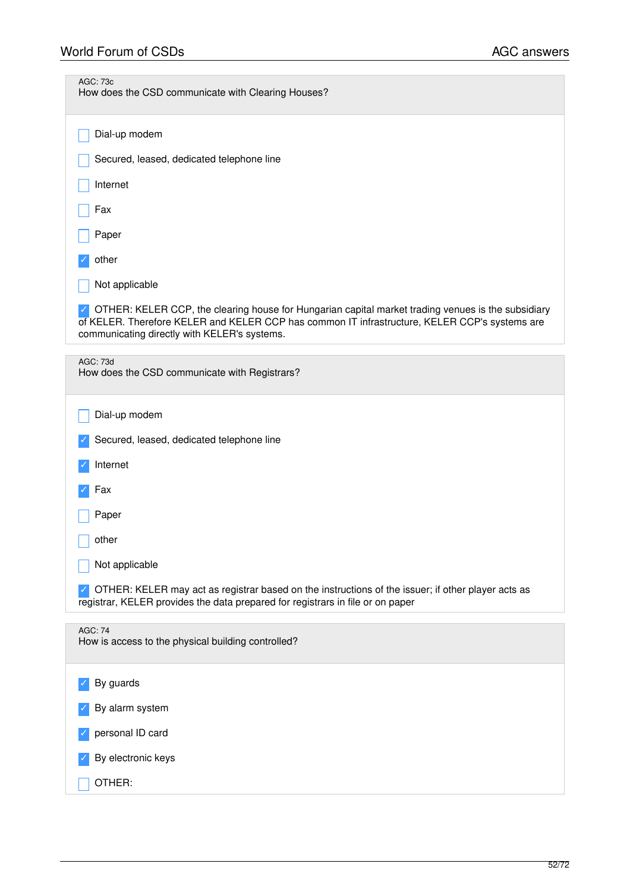| <b>AGC: 73c</b><br>How does the CSD communicate with Clearing Houses?                                                                                                                                                                               |
|-----------------------------------------------------------------------------------------------------------------------------------------------------------------------------------------------------------------------------------------------------|
| Dial-up modem                                                                                                                                                                                                                                       |
| Secured, leased, dedicated telephone line                                                                                                                                                                                                           |
| Internet                                                                                                                                                                                                                                            |
| Fax                                                                                                                                                                                                                                                 |
| Paper                                                                                                                                                                                                                                               |
| other                                                                                                                                                                                                                                               |
| Not applicable                                                                                                                                                                                                                                      |
| OTHER: KELER CCP, the clearing house for Hungarian capital market trading venues is the subsidiary<br>of KELER. Therefore KELER and KELER CCP has common IT infrastructure, KELER CCP's systems are<br>communicating directly with KELER's systems. |
| <b>AGC: 73d</b><br>How does the CSD communicate with Registrars?                                                                                                                                                                                    |
| Dial-up modem                                                                                                                                                                                                                                       |
| Secured, leased, dedicated telephone line                                                                                                                                                                                                           |
| Internet                                                                                                                                                                                                                                            |
| Fax                                                                                                                                                                                                                                                 |
| Paper                                                                                                                                                                                                                                               |
| other                                                                                                                                                                                                                                               |
| Not applicable                                                                                                                                                                                                                                      |
| OTHER: KELER may act as registrar based on the instructions of the issuer; if other player acts as<br>registrar, KELER provides the data prepared for registrars in file or on paper                                                                |
| <b>AGC: 74</b><br>How is access to the physical building controlled?                                                                                                                                                                                |
| By guards                                                                                                                                                                                                                                           |
| By alarm system                                                                                                                                                                                                                                     |
| personal ID card                                                                                                                                                                                                                                    |
| By electronic keys                                                                                                                                                                                                                                  |
| OTHER:                                                                                                                                                                                                                                              |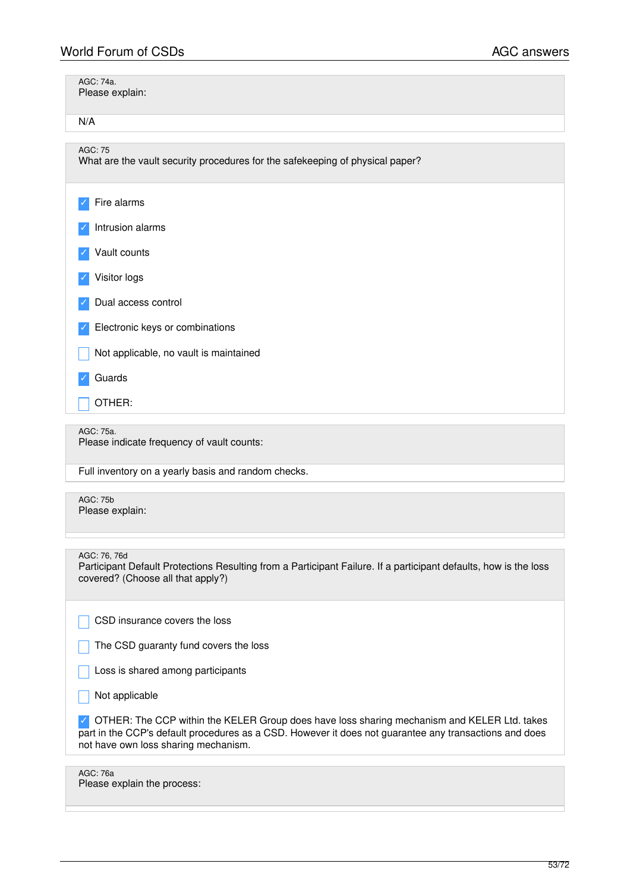| AGC: 74a.<br>Please explain:                                                                                                                                                                                                                  |
|-----------------------------------------------------------------------------------------------------------------------------------------------------------------------------------------------------------------------------------------------|
| N/A                                                                                                                                                                                                                                           |
| <b>AGC: 75</b><br>What are the vault security procedures for the safekeeping of physical paper?                                                                                                                                               |
| Fire alarms                                                                                                                                                                                                                                   |
| Intrusion alarms                                                                                                                                                                                                                              |
| Vault counts                                                                                                                                                                                                                                  |
| Visitor logs                                                                                                                                                                                                                                  |
| Dual access control                                                                                                                                                                                                                           |
| Electronic keys or combinations                                                                                                                                                                                                               |
| Not applicable, no vault is maintained                                                                                                                                                                                                        |
| Guards                                                                                                                                                                                                                                        |
| OTHER:                                                                                                                                                                                                                                        |
| AGC: 75a.<br>Please indicate frequency of vault counts:                                                                                                                                                                                       |
| Full inventory on a yearly basis and random checks.                                                                                                                                                                                           |
| <b>AGC: 75b</b><br>Please explain:                                                                                                                                                                                                            |
| AGC: 76, 76d<br>Participant Default Protections Resulting from a Participant Failure. If a participant defaults, how is the loss<br>covered? (Choose all that apply?)                                                                         |
| CSD insurance covers the loss                                                                                                                                                                                                                 |
| The CSD guaranty fund covers the loss                                                                                                                                                                                                         |
| Loss is shared among participants                                                                                                                                                                                                             |
| Not applicable                                                                                                                                                                                                                                |
| OTHER: The CCP within the KELER Group does have loss sharing mechanism and KELER Ltd. takes<br>part in the CCP's default procedures as a CSD. However it does not guarantee any transactions and does<br>not have own loss sharing mechanism. |
| <b>AGC: 76a</b><br>Please explain the process:                                                                                                                                                                                                |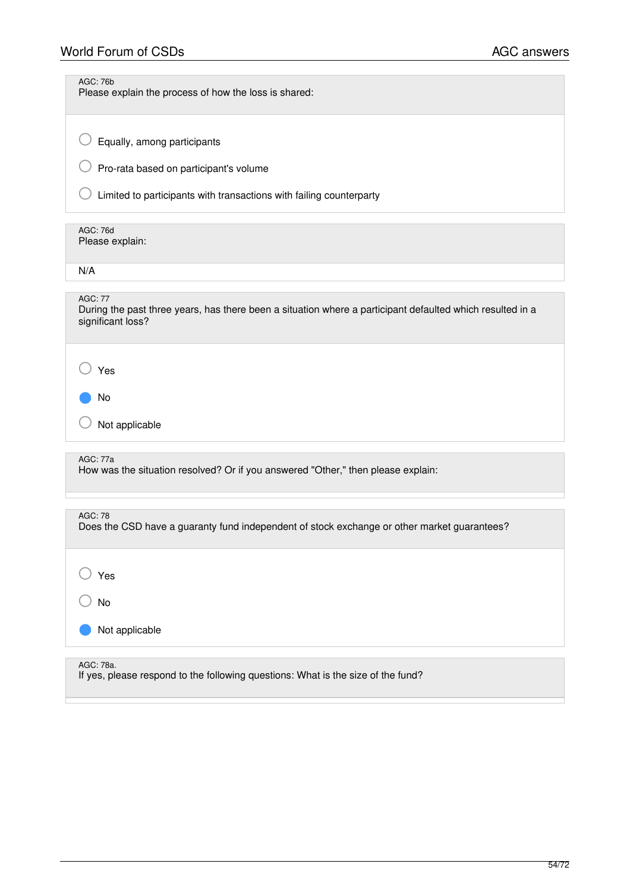# World Forum of CSDs **AGC** answers

| AGC: 76b<br>Please explain the process of how the loss is shared:                                                                                |
|--------------------------------------------------------------------------------------------------------------------------------------------------|
| Equally, among participants<br>Pro-rata based on participant's volume                                                                            |
| Limited to participants with transactions with failing counterparty                                                                              |
| <b>AGC: 76d</b><br>Please explain:                                                                                                               |
| N/A                                                                                                                                              |
| <b>AGC: 77</b><br>During the past three years, has there been a situation where a participant defaulted which resulted in a<br>significant loss? |
| Yes                                                                                                                                              |
| No<br>Not applicable                                                                                                                             |
| AGC: 77a<br>How was the situation resolved? Or if you answered "Other," then please explain:                                                     |
| <b>AGC: 78</b><br>Does the CSD have a guaranty fund independent of stock exchange or other market guarantees?                                    |
| Yes                                                                                                                                              |
| No                                                                                                                                               |
| Not applicable                                                                                                                                   |
| AGC: 78a.                                                                                                                                        |
| If yes, please respond to the following questions: What is the size of the fund?                                                                 |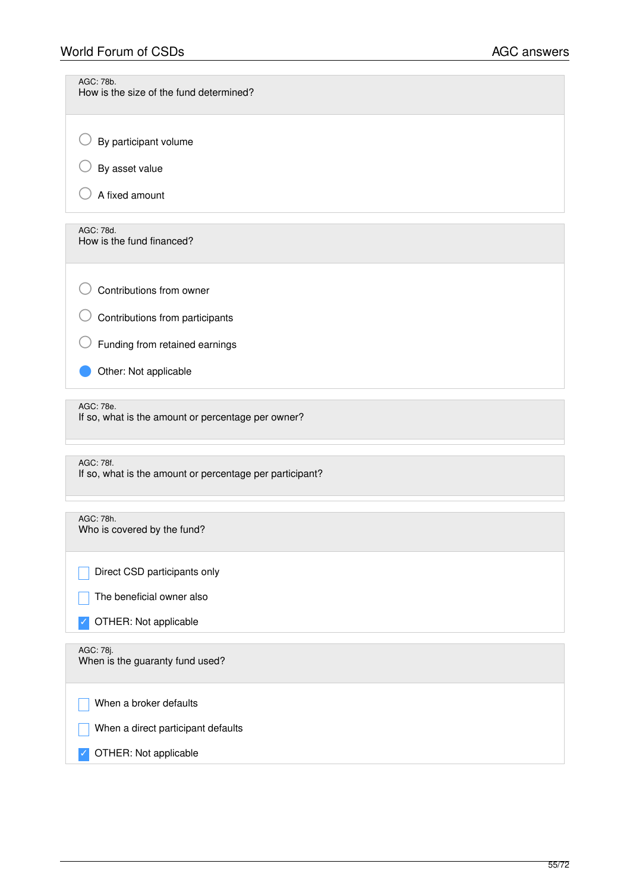| AGC: 78b.<br>How is the size of the fund determined?                  |
|-----------------------------------------------------------------------|
| By participant volume                                                 |
| By asset value                                                        |
| A fixed amount                                                        |
| AGC: 78d.<br>How is the fund financed?                                |
| Contributions from owner                                              |
| Contributions from participants                                       |
| Funding from retained earnings                                        |
| Other: Not applicable                                                 |
| AGC: 78e.<br>If so, what is the amount or percentage per owner?       |
| AGC: 78f.<br>If so, what is the amount or percentage per participant? |
| AGC: 78h.<br>Who is covered by the fund?                              |
| Direct CSD participants only                                          |
| The beneficial owner also                                             |
| OTHER: Not applicable                                                 |
| AGC: 78j.<br>When is the guaranty fund used?                          |
| When a broker defaults                                                |
| When a direct participant defaults                                    |
| OTHER: Not applicable                                                 |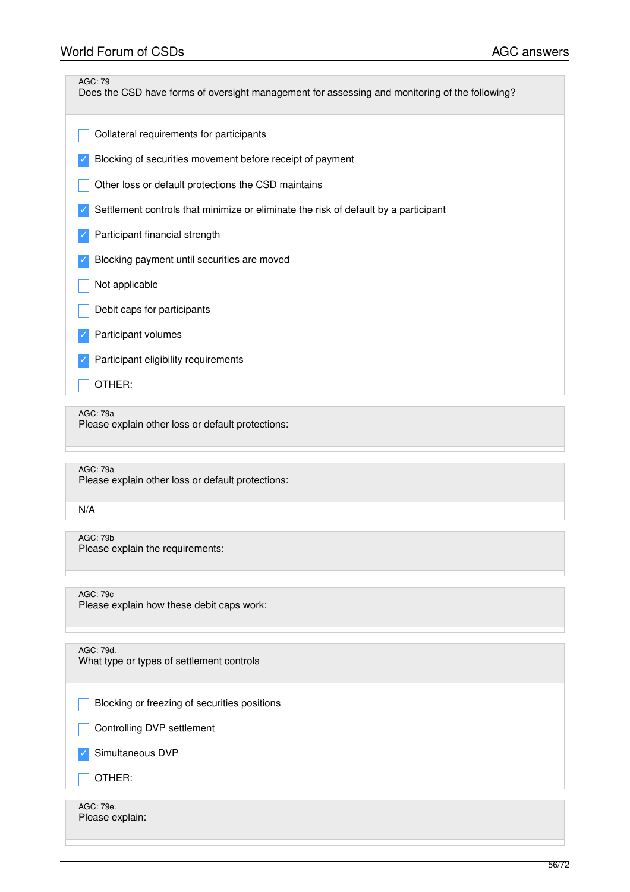| <b>AGC: 79</b><br>Does the CSD have forms of oversight management for assessing and monitoring of the following? |
|------------------------------------------------------------------------------------------------------------------|
| Collateral requirements for participants                                                                         |
| Blocking of securities movement before receipt of payment                                                        |
| Other loss or default protections the CSD maintains                                                              |
| Settlement controls that minimize or eliminate the risk of default by a participant                              |
| Participant financial strength                                                                                   |
| Blocking payment until securities are moved                                                                      |
| Not applicable                                                                                                   |
| Debit caps for participants                                                                                      |
| Participant volumes                                                                                              |
| Participant eligibility requirements                                                                             |
| OTHER:                                                                                                           |
| <b>AGC: 79a</b><br>Please explain other loss or default protections:                                             |
| <b>AGC: 79a</b><br>Please explain other loss or default protections:                                             |
| N/A                                                                                                              |
| <b>AGC: 79b</b><br>Please explain the requirements:                                                              |
| AGC: 79c<br>Please explain how these debit caps work:                                                            |
| AGC: 79d.<br>What type or types of settlement controls                                                           |

Blocking or freezing of securities positions

Controlling DVP settlement

✓ Simultaneous DVP

 $\overline{\phantom{a}}$  OTHER:

AGC: 79e. Please explain: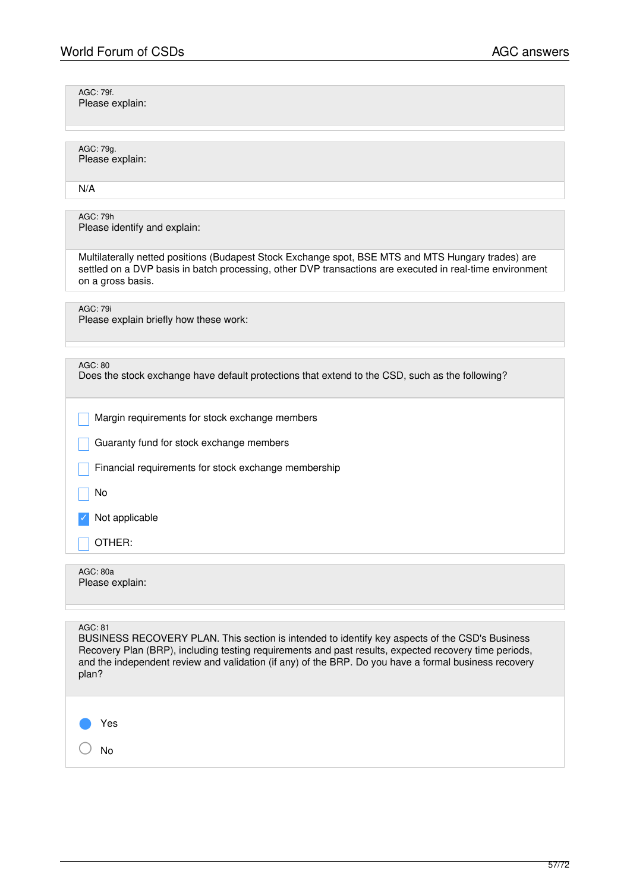○ No

| AGC: 79f.<br>Please explain:                                                                                                                                                                                                                                                                                                         |
|--------------------------------------------------------------------------------------------------------------------------------------------------------------------------------------------------------------------------------------------------------------------------------------------------------------------------------------|
| AGC: 79g.<br>Please explain:                                                                                                                                                                                                                                                                                                         |
| N/A                                                                                                                                                                                                                                                                                                                                  |
| AGC: 79h<br>Please identify and explain:                                                                                                                                                                                                                                                                                             |
| Multilaterally netted positions (Budapest Stock Exchange spot, BSE MTS and MTS Hungary trades) are<br>settled on a DVP basis in batch processing, other DVP transactions are executed in real-time environment<br>on a gross basis.                                                                                                  |
| <b>AGC: 79i</b><br>Please explain briefly how these work:                                                                                                                                                                                                                                                                            |
| AGC: 80<br>Does the stock exchange have default protections that extend to the CSD, such as the following?                                                                                                                                                                                                                           |
| Margin requirements for stock exchange members                                                                                                                                                                                                                                                                                       |
| Guaranty fund for stock exchange members                                                                                                                                                                                                                                                                                             |
| Financial requirements for stock exchange membership                                                                                                                                                                                                                                                                                 |
| No                                                                                                                                                                                                                                                                                                                                   |
| Not applicable                                                                                                                                                                                                                                                                                                                       |
| OTHER:                                                                                                                                                                                                                                                                                                                               |
| AGC: 80a<br>Please explain:                                                                                                                                                                                                                                                                                                          |
| AGC: 81<br>BUSINESS RECOVERY PLAN. This section is intended to identify key aspects of the CSD's Business<br>Recovery Plan (BRP), including testing requirements and past results, expected recovery time periods,<br>and the independent review and validation (if any) of the BRP. Do you have a formal business recovery<br>plan? |
| Yes                                                                                                                                                                                                                                                                                                                                  |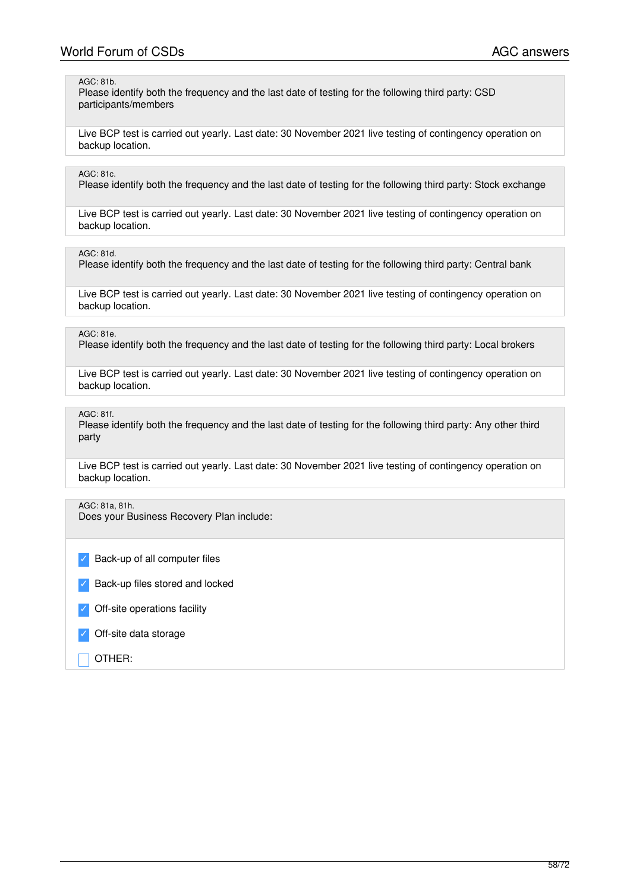### AGC: 81b.

Please identify both the frequency and the last date of testing for the following third party: CSD participants/members

Live BCP test is carried out yearly. Last date: 30 November 2021 live testing of contingency operation on backup location.

### AGC: 81c.

Please identify both the frequency and the last date of testing for the following third party: Stock exchange

Live BCP test is carried out yearly. Last date: 30 November 2021 live testing of contingency operation on backup location.

AGC: 81d.

Please identify both the frequency and the last date of testing for the following third party: Central bank

Live BCP test is carried out yearly. Last date: 30 November 2021 live testing of contingency operation on backup location.

## AGC: 81e.

Please identify both the frequency and the last date of testing for the following third party: Local brokers

Live BCP test is carried out yearly. Last date: 30 November 2021 live testing of contingency operation on backup location.

AGC: 81f.

Please identify both the frequency and the last date of testing for the following third party: Any other third party

Live BCP test is carried out yearly. Last date: 30 November 2021 live testing of contingency operation on backup location.

# AGC: 81a, 81h.

Does your Business Recovery Plan include:

Back-up of all computer files

Back-up files stored and locked

Off-site operations facility

Off-site data storage

\_ OTHER: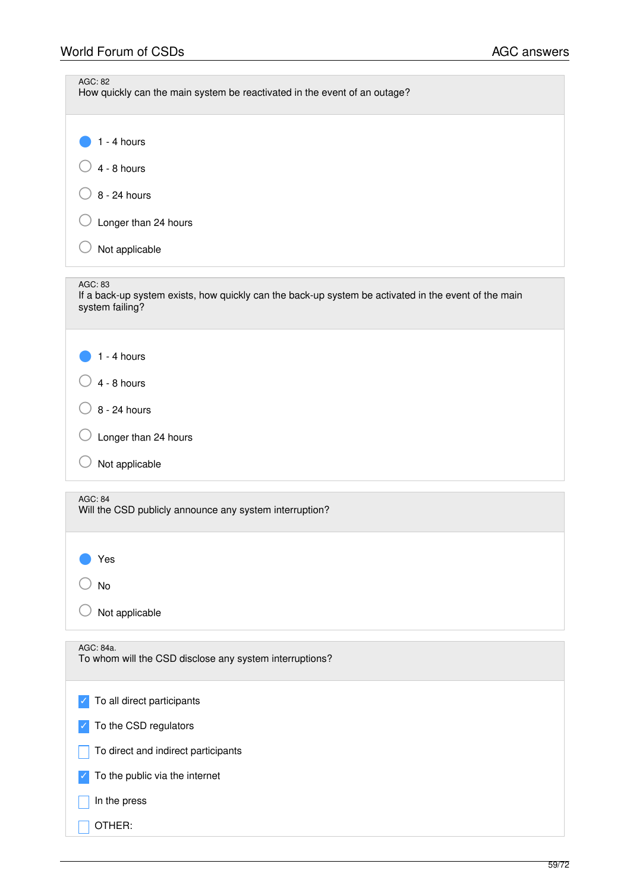| AGC: 82<br>How quickly can the main system be reactivated in the event of an outage?                                               |
|------------------------------------------------------------------------------------------------------------------------------------|
| $1 - 4$ hours                                                                                                                      |
| $4 - 8$ hours                                                                                                                      |
| 8 - 24 hours                                                                                                                       |
| Longer than 24 hours                                                                                                               |
| Not applicable                                                                                                                     |
| AGC: 83<br>If a back-up system exists, how quickly can the back-up system be activated in the event of the main<br>system failing? |
| $1 - 4$ hours                                                                                                                      |
| $4 - 8$ hours                                                                                                                      |
| 8 - 24 hours                                                                                                                       |
| Longer than 24 hours                                                                                                               |
| Not applicable                                                                                                                     |
| AGC: 84<br>Will the CSD publicly announce any system interruption?                                                                 |
| Yes                                                                                                                                |
| No                                                                                                                                 |
| Not applicable                                                                                                                     |
| AGC: 84a.<br>To whom will the CSD disclose any system interruptions?                                                               |
| To all direct participants                                                                                                         |
| To the CSD regulators                                                                                                              |
| To direct and indirect participants                                                                                                |
| To the public via the internet                                                                                                     |
| In the press                                                                                                                       |
| OTHER:                                                                                                                             |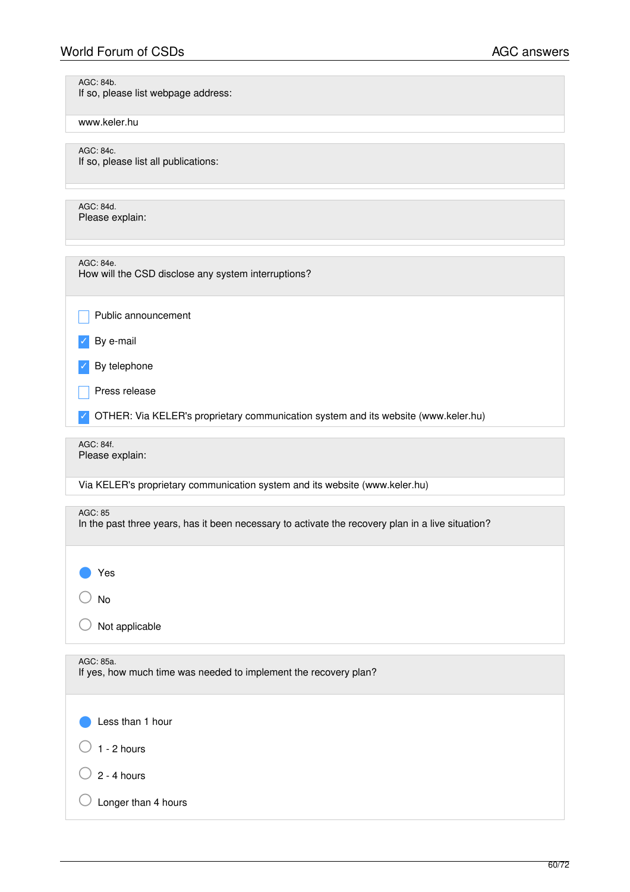AGC: 84b.

| If so, please list webpage address:                                                                          |
|--------------------------------------------------------------------------------------------------------------|
| www.keler.hu                                                                                                 |
| AGC: 84c.<br>If so, please list all publications:                                                            |
| AGC: 84d.<br>Please explain:                                                                                 |
| AGC: 84e.<br>How will the CSD disclose any system interruptions?                                             |
| Public announcement                                                                                          |
| By e-mail                                                                                                    |
| By telephone                                                                                                 |
| Press release                                                                                                |
| OTHER: Via KELER's proprietary communication system and its website (www.keler.hu)                           |
| AGC: 84f.<br>Please explain:                                                                                 |
| Via KELER's proprietary communication system and its website (www.keler.hu)                                  |
| AGC: 85<br>In the past three years, has it been necessary to activate the recovery plan in a live situation? |
| Yes                                                                                                          |
| No                                                                                                           |
| Not applicable                                                                                               |
| AGC: 85a.<br>If yes, how much time was needed to implement the recovery plan?                                |
| Less than 1 hour                                                                                             |
| $1 - 2$ hours                                                                                                |
| $2 - 4$ hours                                                                                                |
| Longer than 4 hours                                                                                          |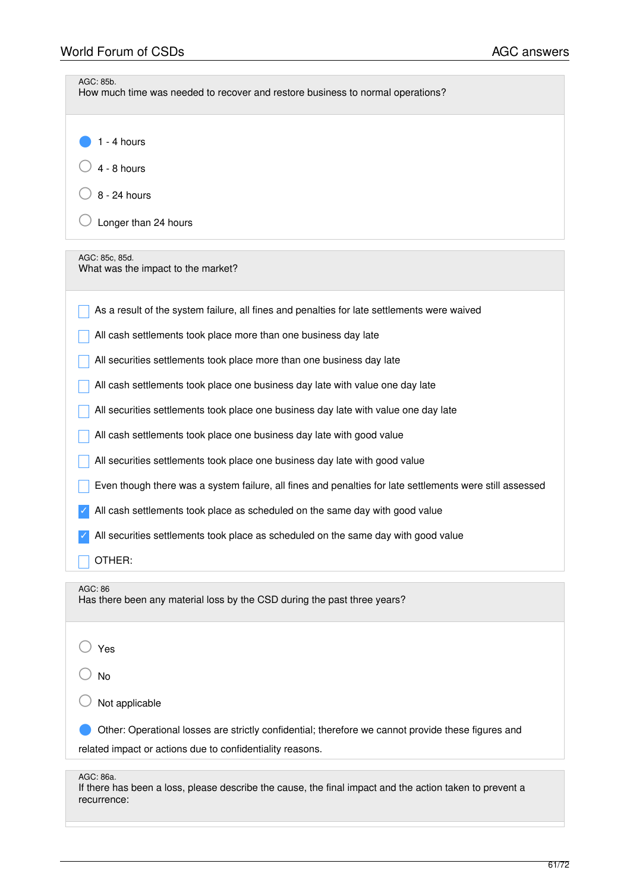| AGC: 85b.<br>How much time was needed to recover and restore business to normal operations?                                         |
|-------------------------------------------------------------------------------------------------------------------------------------|
| $1 - 4$ hours                                                                                                                       |
|                                                                                                                                     |
| $4 - 8$ hours                                                                                                                       |
| 8 - 24 hours                                                                                                                        |
| Longer than 24 hours                                                                                                                |
| AGC: 85c, 85d.<br>What was the impact to the market?                                                                                |
| As a result of the system failure, all fines and penalties for late settlements were waived                                         |
| All cash settlements took place more than one business day late                                                                     |
| All securities settlements took place more than one business day late                                                               |
| All cash settlements took place one business day late with value one day late                                                       |
| All securities settlements took place one business day late with value one day late                                                 |
| All cash settlements took place one business day late with good value                                                               |
| All securities settlements took place one business day late with good value                                                         |
| Even though there was a system failure, all fines and penalties for late settlements were still assessed                            |
| All cash settlements took place as scheduled on the same day with good value                                                        |
| All securities settlements took place as scheduled on the same day with good value                                                  |
| OTHER:                                                                                                                              |
| AGC: 86<br>Has there been any material loss by the CSD during the past three years?                                                 |
| Yes                                                                                                                                 |
| No                                                                                                                                  |
| Not applicable                                                                                                                      |
| Other: Operational losses are strictly confidential; therefore we cannot provide these figures and                                  |
| related impact or actions due to confidentiality reasons.                                                                           |
| AGC: 86a.<br>If there has been a loss, please describe the cause, the final impact and the action taken to prevent a<br>recurrence: |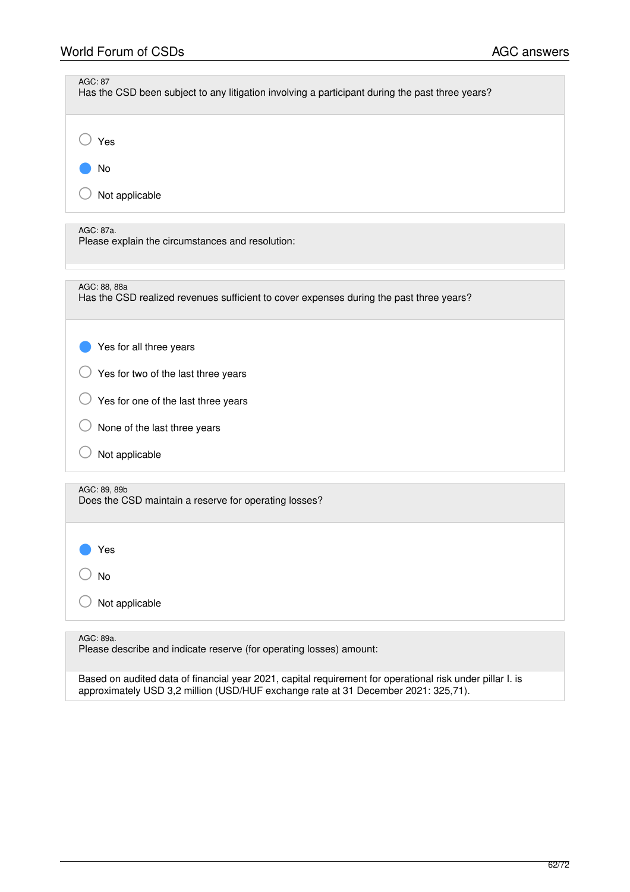| <b>AGC: 87</b><br>Has the CSD been subject to any litigation involving a participant during the past three years? |
|-------------------------------------------------------------------------------------------------------------------|
| Yes                                                                                                               |
| No                                                                                                                |
| Not applicable                                                                                                    |
| AGC: 87a.<br>Please explain the circumstances and resolution:                                                     |
| AGC: 88, 88a<br>Has the CSD realized revenues sufficient to cover expenses during the past three years?           |
| Yes for all three years                                                                                           |
| Yes for two of the last three years                                                                               |
| Yes for one of the last three years                                                                               |
| None of the last three years                                                                                      |
| Not applicable                                                                                                    |
| AGC: 89, 89b<br>Does the CSD maintain a reserve for operating losses?                                             |
| Yes                                                                                                               |
| No                                                                                                                |
| Not applicable                                                                                                    |
| AGC: 89a.<br>Please describe and indicate reserve (for operating losses) amount:                                  |

Based on audited data of financial year 2021, capital requirement for operational risk under pillar I. is approximately USD 3,2 million (USD/HUF exchange rate at 31 December 2021: 325,71).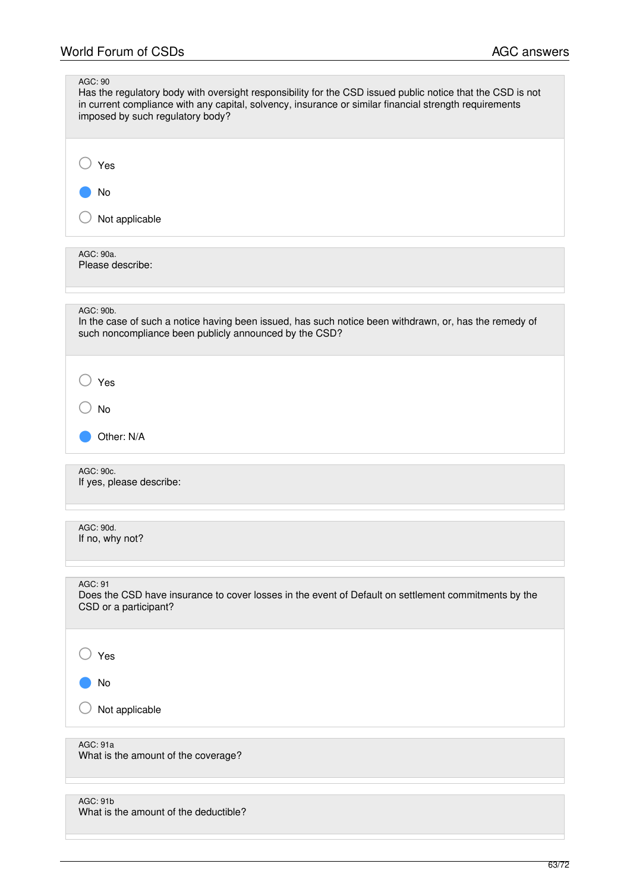H

| AGC: 90<br>Has the regulatory body with oversight responsibility for the CSD issued public notice that the CSD is not<br>in current compliance with any capital, solvency, insurance or similar financial strength requirements<br>imposed by such regulatory body? |
|---------------------------------------------------------------------------------------------------------------------------------------------------------------------------------------------------------------------------------------------------------------------|
| Yes<br>No                                                                                                                                                                                                                                                           |
| Not applicable<br>AGC: 90a.<br>Please describe:                                                                                                                                                                                                                     |
| AGC: 90b.<br>In the case of such a notice having been issued, has such notice been withdrawn, or, has the remedy of<br>such noncompliance been publicly announced by the CSD?                                                                                       |
| Yes<br><b>No</b><br>Other: N/A                                                                                                                                                                                                                                      |
| AGC: 90c.<br>If yes, please describe:                                                                                                                                                                                                                               |
| AGC: 90d.<br>If no, why not?                                                                                                                                                                                                                                        |
| AGC: 91<br>Does the CSD have insurance to cover losses in the event of Default on settlement commitments by the<br>CSD or a participant?                                                                                                                            |
| Yes                                                                                                                                                                                                                                                                 |
| No<br>Not applicable                                                                                                                                                                                                                                                |
| AGC: 91a<br>What is the amount of the coverage?                                                                                                                                                                                                                     |
| <b>AGC: 91b</b><br>What is the amount of the deductible?                                                                                                                                                                                                            |

÷.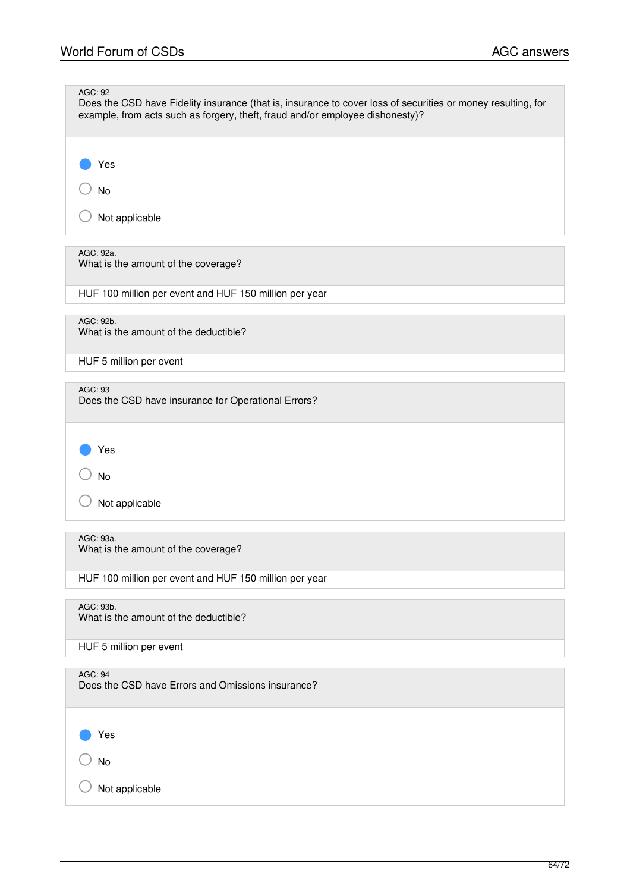| AGC: 92<br>Does the CSD have Fidelity insurance (that is, insurance to cover loss of securities or money resulting, for<br>example, from acts such as forgery, theft, fraud and/or employee dishonesty)? |
|----------------------------------------------------------------------------------------------------------------------------------------------------------------------------------------------------------|
| Yes<br>No                                                                                                                                                                                                |
| Not applicable                                                                                                                                                                                           |
| AGC: 92a.<br>What is the amount of the coverage?                                                                                                                                                         |
| HUF 100 million per event and HUF 150 million per year                                                                                                                                                   |
| AGC: 92b.<br>What is the amount of the deductible?                                                                                                                                                       |
| HUF 5 million per event                                                                                                                                                                                  |
| AGC: 93<br>Does the CSD have insurance for Operational Errors?                                                                                                                                           |
| Yes                                                                                                                                                                                                      |
| No                                                                                                                                                                                                       |
| Not applicable                                                                                                                                                                                           |
| AGC: 93a.<br>What is the amount of the coverage?                                                                                                                                                         |
| HUF 100 million per event and HUF 150 million per year                                                                                                                                                   |
| AGC: 93b.<br>What is the amount of the deductible?                                                                                                                                                       |
| HUF 5 million per event                                                                                                                                                                                  |
| AGC: 94<br>Does the CSD have Errors and Omissions insurance?                                                                                                                                             |
| Yes                                                                                                                                                                                                      |
| <b>No</b>                                                                                                                                                                                                |
| Not applicable                                                                                                                                                                                           |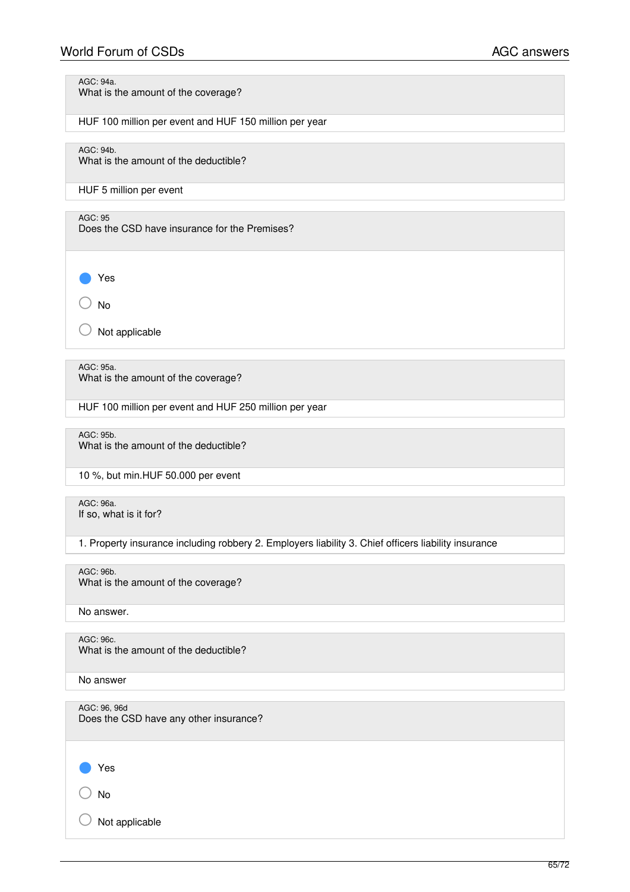# World Forum of CSDs **AGC** answers

AGC: 94a.

What is the amount of the coverage?

HUF 100 million per event and HUF 150 million per year

AGC: 94b.

What is the amount of the deductible?

HUF 5 million per event

AGC: 95

Does the CSD have insurance for the Premises?

● Yes

○ No

Not applicable

AGC: 95a. What is the amount of the coverage?

HUF 100 million per event and HUF 250 million per year

AGC: 95b. What is the amount of the deductible?

10 %, but min.HUF 50.000 per event

AGC: 96a. If so, what is it for?

1. Property insurance including robbery 2. Employers liability 3. Chief officers liability insurance

AGC: 96b.

What is the amount of the coverage?

No answer.

AGC: 96c. What is the amount of the deductible?

No answer

AGC: 96, 96d Does the CSD have any other insurance?

Yes

○ No

 $\bigcirc$  Not applicable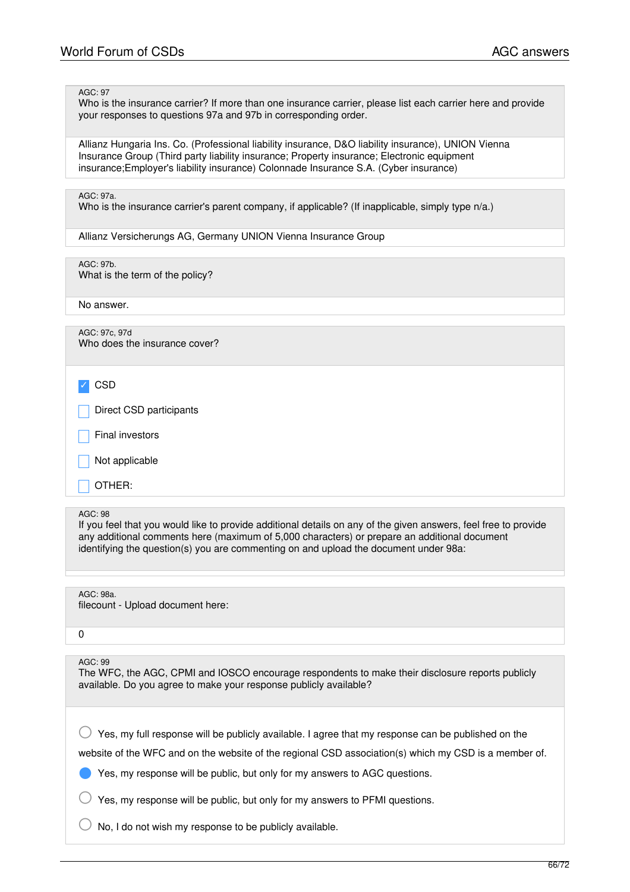#### AGC: 97

Who is the insurance carrier? If more than one insurance carrier, please list each carrier here and provide your responses to questions 97a and 97b in corresponding order.

Allianz Hungaria Ins. Co. (Professional liability insurance, D&O liability insurance), UNION Vienna Insurance Group (Third party liability insurance; Property insurance; Electronic equipment insurance;Employer's liability insurance) Colonnade Insurance S.A. (Cyber insurance)

#### AGC: 97a.

Who is the insurance carrier's parent company, if applicable? (If inapplicable, simply type n/a.)

Allianz Versicherungs AG, Germany UNION Vienna Insurance Group

AGC: 97b. What is the term of the policy?

No answer.

AGC: 97c, 97d Who does the insurance cover?

✓ CSD

Direct CSD participants

Final investors

Not applicable

\_ OTHER:

#### AGC: 98

If you feel that you would like to provide additional details on any of the given answers, feel free to provide any additional comments here (maximum of 5,000 characters) or prepare an additional document identifying the question(s) you are commenting on and upload the document under 98a:

AGC: 98a. filecount - Upload document here:

 $\Omega$ 

### AGC: 99

The WFC, the AGC, CPMI and IOSCO encourage respondents to make their disclosure reports publicly available. Do you agree to make your response publicly available?

 $\bigcirc$  Yes, my full response will be publicly available. I agree that my response can be published on the

website of the WFC and on the website of the regional CSD association(s) which my CSD is a member of.

Yes, my response will be public, but only for my answers to AGC questions.

Yes, my response will be public, but only for my answers to PFMI questions.

No, I do not wish my response to be publicly available.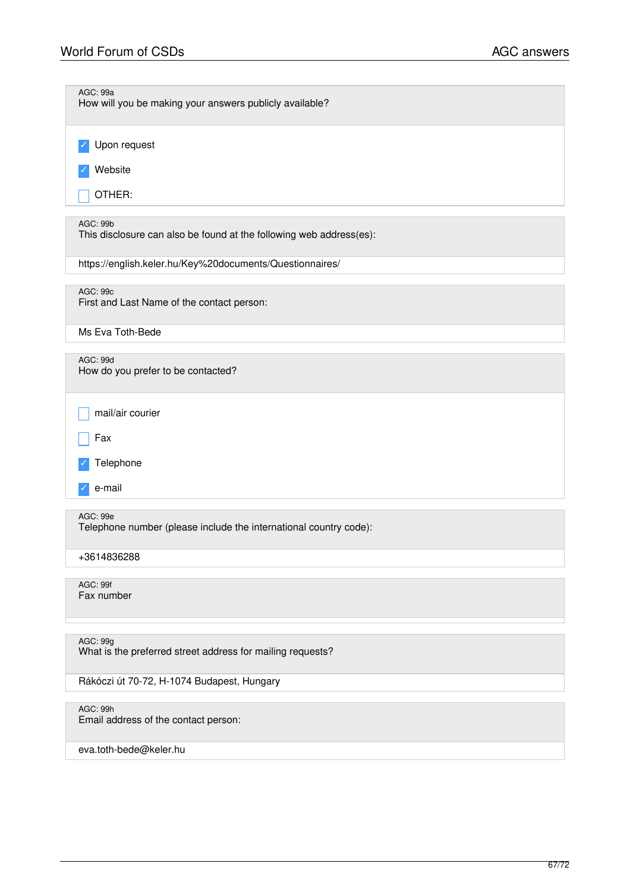| AGC: 99a<br>How will you be making your answers publicly available?                    |
|----------------------------------------------------------------------------------------|
| Upon request                                                                           |
| Website                                                                                |
| OTHER:                                                                                 |
| <b>AGC: 99b</b><br>This disclosure can also be found at the following web address(es): |
| https://english.keler.hu/Key%20documents/Questionnaires/                               |
| AGC: 99c<br>First and Last Name of the contact person:                                 |
| Ms Eva Toth-Bede                                                                       |
| AGC: 99d<br>How do you prefer to be contacted?                                         |
| mail/air courier                                                                       |
| Fax                                                                                    |
| Telephone                                                                              |
| e-mail                                                                                 |
| AGC: 99e<br>Telephone number (please include the international country code):          |
| +3614836288                                                                            |
| AGC: 99f<br>Fax number                                                                 |
| AGC: 99g                                                                               |
| What is the preferred street address for mailing requests?                             |
| Rákóczi út 70-72, H-1074 Budapest, Hungary                                             |
| AGC: 99h<br>Email address of the contact person:                                       |

eva.toth-bede@keler.hu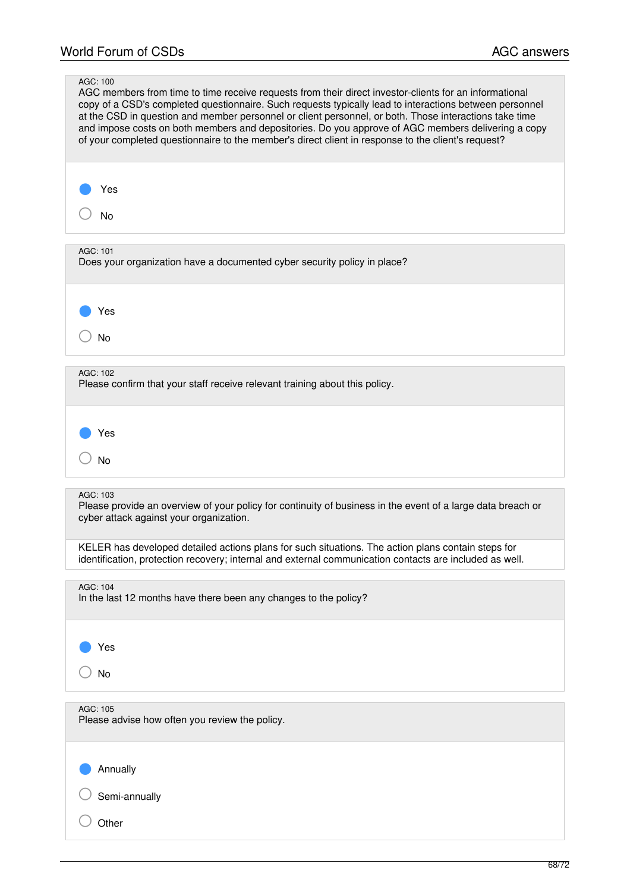| AGC: 100<br>AGC members from time to time receive requests from their direct investor-clients for an informational<br>copy of a CSD's completed questionnaire. Such requests typically lead to interactions between personnel<br>at the CSD in question and member personnel or client personnel, or both. Those interactions take time<br>and impose costs on both members and depositories. Do you approve of AGC members delivering a copy<br>of your completed questionnaire to the member's direct client in response to the client's request? |
|-----------------------------------------------------------------------------------------------------------------------------------------------------------------------------------------------------------------------------------------------------------------------------------------------------------------------------------------------------------------------------------------------------------------------------------------------------------------------------------------------------------------------------------------------------|
| Yes<br>No                                                                                                                                                                                                                                                                                                                                                                                                                                                                                                                                           |
| AGC: 101<br>Does your organization have a documented cyber security policy in place?                                                                                                                                                                                                                                                                                                                                                                                                                                                                |
| Yes<br><b>No</b>                                                                                                                                                                                                                                                                                                                                                                                                                                                                                                                                    |
| AGC: 102<br>Please confirm that your staff receive relevant training about this policy.                                                                                                                                                                                                                                                                                                                                                                                                                                                             |
| Yes<br><b>No</b>                                                                                                                                                                                                                                                                                                                                                                                                                                                                                                                                    |
| AGC: 103<br>Please provide an overview of your policy for continuity of business in the event of a large data breach or<br>cyber attack against your organization.                                                                                                                                                                                                                                                                                                                                                                                  |
| KELER has developed detailed actions plans for such situations. The action plans contain steps for<br>identification, protection recovery; internal and external communication contacts are included as well.                                                                                                                                                                                                                                                                                                                                       |
| AGC: 104<br>In the last 12 months have there been any changes to the policy?                                                                                                                                                                                                                                                                                                                                                                                                                                                                        |
| Yes                                                                                                                                                                                                                                                                                                                                                                                                                                                                                                                                                 |
| No                                                                                                                                                                                                                                                                                                                                                                                                                                                                                                                                                  |
| AGC: 105<br>Please advise how often you review the policy.                                                                                                                                                                                                                                                                                                                                                                                                                                                                                          |
| Annually                                                                                                                                                                                                                                                                                                                                                                                                                                                                                                                                            |
| Semi-annually                                                                                                                                                                                                                                                                                                                                                                                                                                                                                                                                       |
| Other                                                                                                                                                                                                                                                                                                                                                                                                                                                                                                                                               |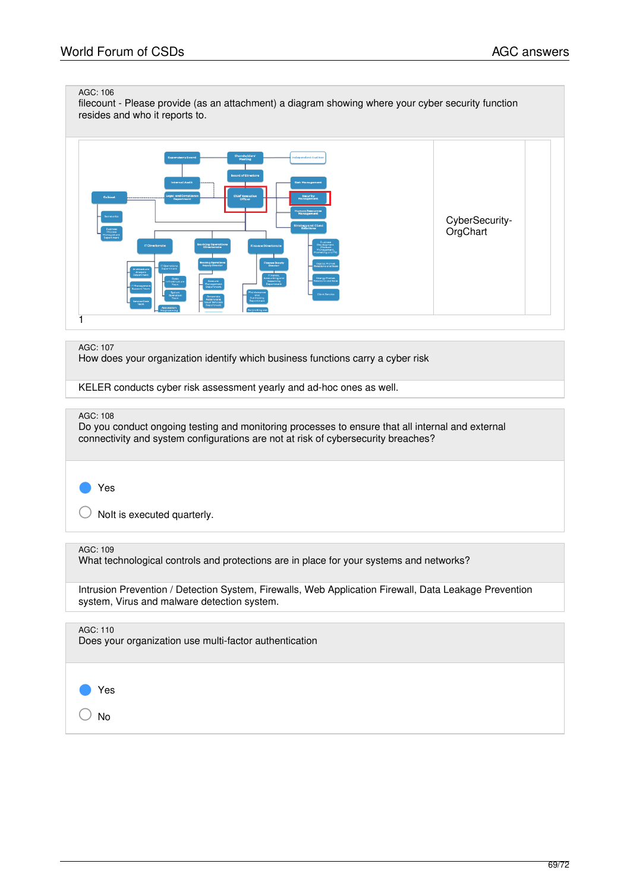#### AGC: 106

filecount - Please provide (as an attachment) a diagram showing where your cyber security function resides and who it reports to.



#### AGC: 107

How does your organization identify which business functions carry a cyber risk

KELER conducts cyber risk assessment yearly and ad-hoc ones as well.

#### AGC: 108

Do you conduct ongoing testing and monitoring processes to ensure that all internal and external connectivity and system configurations are not at risk of cybersecurity breaches?

#### Yes

 $\bigcirc$  Nolt is executed quarterly.

## AGC: 109

What technological controls and protections are in place for your systems and networks?

Intrusion Prevention / Detection System, Firewalls, Web Application Firewall, Data Leakage Prevention system, Virus and malware detection system.

# AGC: 110

Does your organization use multi-factor authentication



○ No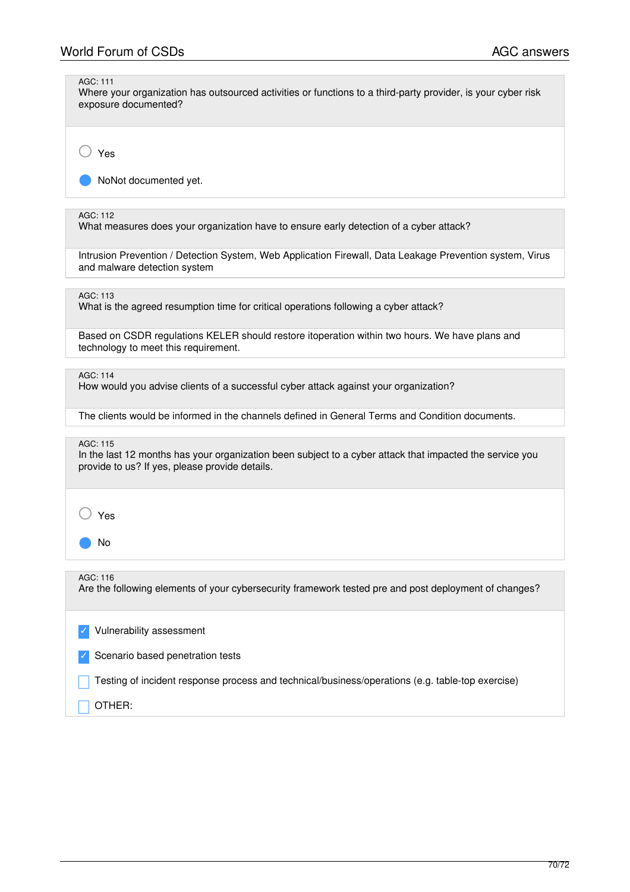| AGC: 111<br>Where your organization has outsourced activities or functions to a third-party provider, is your cyber risk<br>exposure documented?                       |
|------------------------------------------------------------------------------------------------------------------------------------------------------------------------|
| Yes                                                                                                                                                                    |
| NoNot documented yet.                                                                                                                                                  |
| AGC: 112<br>What measures does your organization have to ensure early detection of a cyber attack?                                                                     |
| Intrusion Prevention / Detection System, Web Application Firewall, Data Leakage Prevention system, Virus<br>and malware detection system                               |
| AGC: 113<br>What is the agreed resumption time for critical operations following a cyber attack?                                                                       |
| Based on CSDR regulations KELER should restore itoperation within two hours. We have plans and<br>technology to meet this requirement.                                 |
| AGC: 114<br>How would you advise clients of a successful cyber attack against your organization?                                                                       |
| The clients would be informed in the channels defined in General Terms and Condition documents.                                                                        |
| AGC: 115<br>In the last 12 months has your organization been subject to a cyber attack that impacted the service you<br>provide to us? If yes, please provide details. |
| Yes                                                                                                                                                                    |
| No                                                                                                                                                                     |
| AGC: 116<br>Are the following elements of your cybersecurity framework tested pre and post deployment of changes?                                                      |
| Vulnerability assessment                                                                                                                                               |
| Scenario based penetration tests                                                                                                                                       |
| Testing of incident response process and technical/business/operations (e.g. table-top exercise)                                                                       |
| OTHER:                                                                                                                                                                 |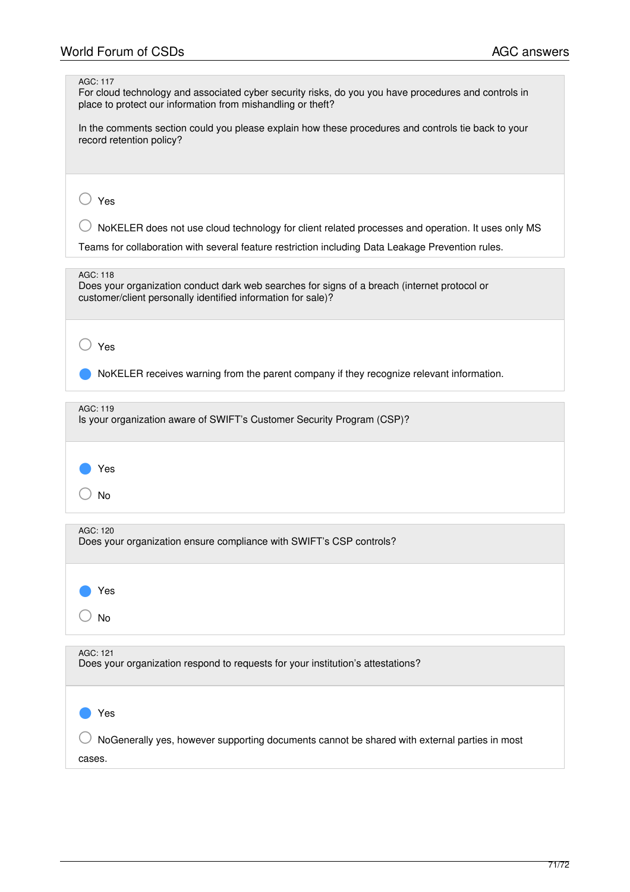| AGC: 117<br>For cloud technology and associated cyber security risks, do you you have procedures and controls in<br>place to protect our information from mishandling or theft? |
|---------------------------------------------------------------------------------------------------------------------------------------------------------------------------------|
| In the comments section could you please explain how these procedures and controls tie back to your<br>record retention policy?                                                 |
| Yes                                                                                                                                                                             |
| NoKELER does not use cloud technology for client related processes and operation. It uses only MS                                                                               |
| Teams for collaboration with several feature restriction including Data Leakage Prevention rules.                                                                               |
|                                                                                                                                                                                 |
| AGC: 118<br>Does your organization conduct dark web searches for signs of a breach (internet protocol or<br>customer/client personally identified information for sale)?        |
| Yes                                                                                                                                                                             |
| NoKELER receives warning from the parent company if they recognize relevant information.                                                                                        |
| AGC: 119<br>Is your organization aware of SWIFT's Customer Security Program (CSP)?                                                                                              |
| Yes                                                                                                                                                                             |
| <b>No</b>                                                                                                                                                                       |
| AGC: 120<br>Does your organization ensure compliance with SWIFT's CSP controls?                                                                                                 |
| Yes                                                                                                                                                                             |
| <b>No</b>                                                                                                                                                                       |
| AGC: 121<br>Does your organization respond to requests for your institution's attestations?                                                                                     |
| Yes                                                                                                                                                                             |
| NoGenerally yes, however supporting documents cannot be shared with external parties in most<br>cases.                                                                          |